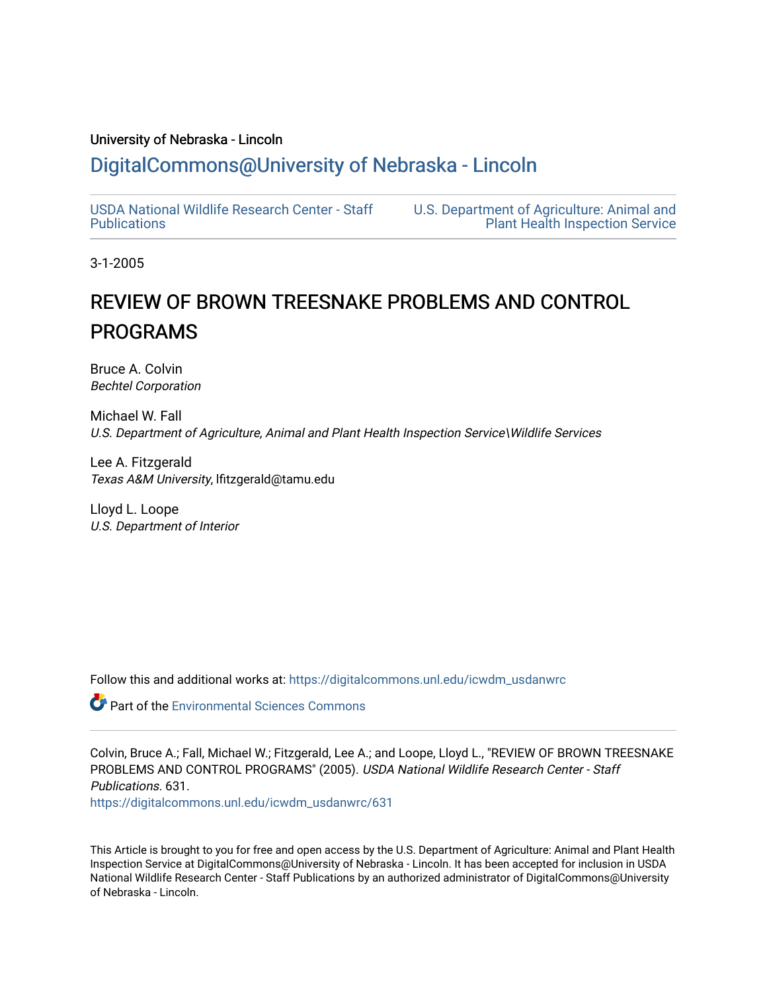#### University of Nebraska - Lincoln

## [DigitalCommons@University of Nebraska - Lincoln](https://digitalcommons.unl.edu/)

[USDA National Wildlife Research Center - Staff](https://digitalcommons.unl.edu/icwdm_usdanwrc)  [Publications](https://digitalcommons.unl.edu/icwdm_usdanwrc) 

[U.S. Department of Agriculture: Animal and](https://digitalcommons.unl.edu/usdaaphis)  [Plant Health Inspection Service](https://digitalcommons.unl.edu/usdaaphis) 

3-1-2005

# REVIEW OF BROWN TREESNAKE PROBLEMS AND CONTROL PROGRAMS

Bruce A. Colvin Bechtel Corporation

Michael W. Fall U.S. Department of Agriculture, Animal and Plant Health Inspection Service\Wildlife Services

Lee A. Fitzgerald Texas A&M University, lfitzgerald@tamu.edu

Lloyd L. Loope U.S. Department of Interior

Follow this and additional works at: [https://digitalcommons.unl.edu/icwdm\\_usdanwrc](https://digitalcommons.unl.edu/icwdm_usdanwrc?utm_source=digitalcommons.unl.edu%2Ficwdm_usdanwrc%2F631&utm_medium=PDF&utm_campaign=PDFCoverPages)

**Part of the [Environmental Sciences Commons](http://network.bepress.com/hgg/discipline/167?utm_source=digitalcommons.unl.edu%2Ficwdm_usdanwrc%2F631&utm_medium=PDF&utm_campaign=PDFCoverPages)** 

Colvin, Bruce A.; Fall, Michael W.; Fitzgerald, Lee A.; and Loope, Lloyd L., "REVIEW OF BROWN TREESNAKE PROBLEMS AND CONTROL PROGRAMS" (2005). USDA National Wildlife Research Center - Staff Publications. 631. [https://digitalcommons.unl.edu/icwdm\\_usdanwrc/631](https://digitalcommons.unl.edu/icwdm_usdanwrc/631?utm_source=digitalcommons.unl.edu%2Ficwdm_usdanwrc%2F631&utm_medium=PDF&utm_campaign=PDFCoverPages)

This Article is brought to you for free and open access by the U.S. Department of Agriculture: Animal and Plant Health Inspection Service at DigitalCommons@University of Nebraska - Lincoln. It has been accepted for inclusion in USDA National Wildlife Research Center - Staff Publications by an authorized administrator of DigitalCommons@University of Nebraska - Lincoln.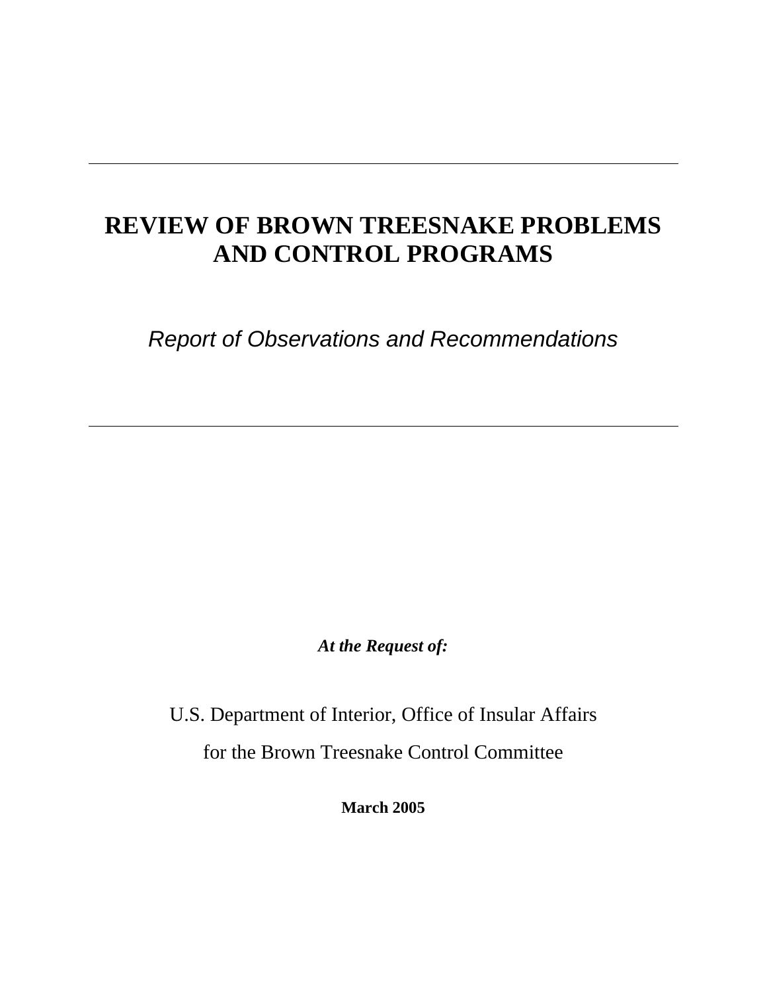# **REVIEW OF BROWN TREESNAKE PROBLEMS AND CONTROL PROGRAMS**

*Report of Observations and Recommendations* 

*At the Request of:* 

U.S. Department of Interior, Office of Insular Affairs for the Brown Treesnake Control Committee

**March 2005**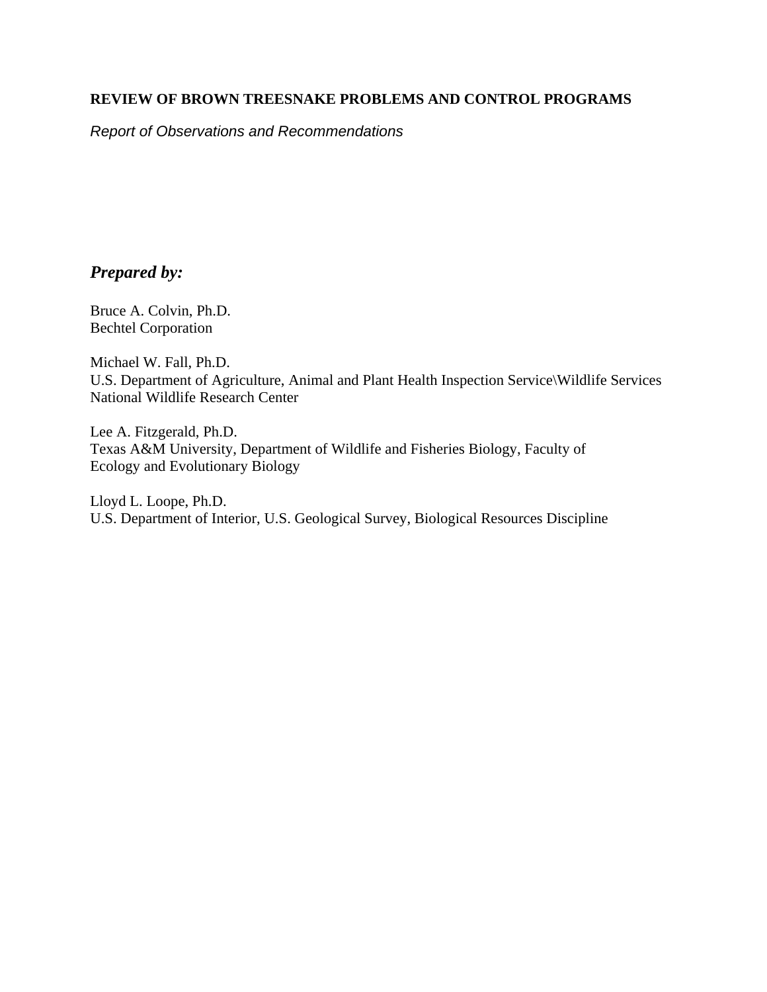#### **REVIEW OF BROWN TREESNAKE PROBLEMS AND CONTROL PROGRAMS**

*Report of Observations and Recommendations* 

## *Prepared by:*

Bruce A. Colvin, Ph.D. Bechtel Corporation

Michael W. Fall, Ph.D. U.S. Department of Agriculture, Animal and Plant Health Inspection Service\Wildlife Services National Wildlife Research Center

Lee A. Fitzgerald, Ph.D. Texas A&M University, Department of Wildlife and Fisheries Biology, Faculty of Ecology and Evolutionary Biology

Lloyd L. Loope, Ph.D. U.S. Department of Interior, U.S. Geological Survey, Biological Resources Discipline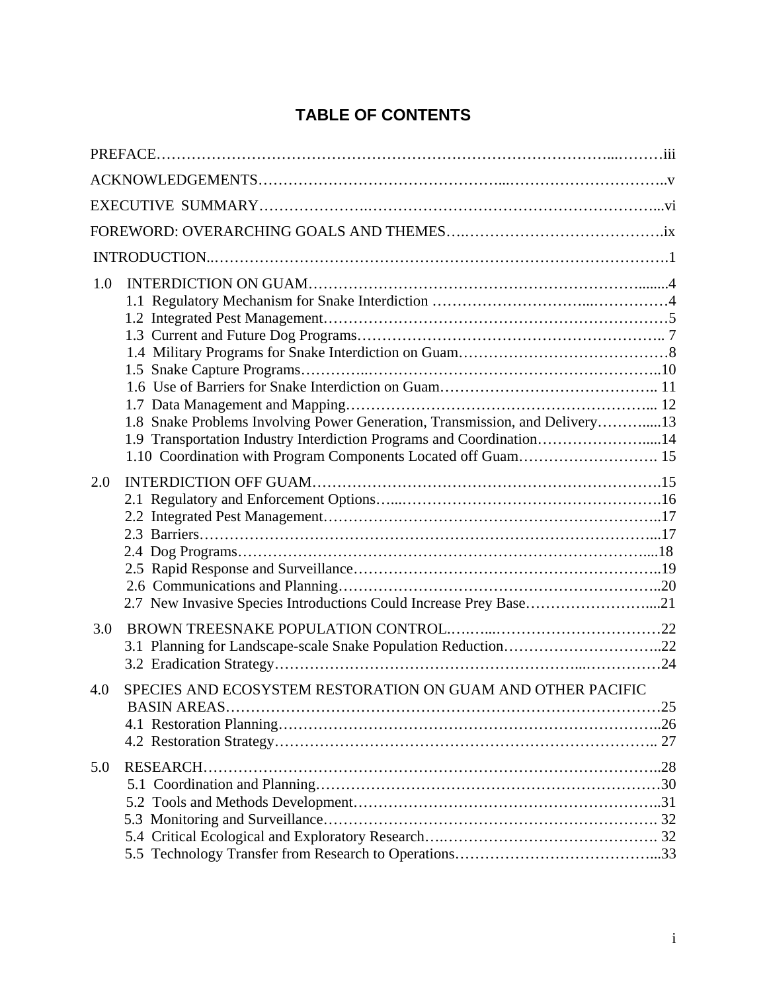## **TABLE OF CONTENTS**

| 1.0                                                                                                                                                 |  |
|-----------------------------------------------------------------------------------------------------------------------------------------------------|--|
| 1.8 Snake Problems Involving Power Generation, Transmission, and Delivery13<br>1.9 Transportation Industry Interdiction Programs and Coordination14 |  |
|                                                                                                                                                     |  |
| 2.0                                                                                                                                                 |  |
|                                                                                                                                                     |  |
|                                                                                                                                                     |  |
| 2.7 New Invasive Species Introductions Could Increase Prey Base21                                                                                   |  |
| 3.0<br>3.1 Planning for Landscape-scale Snake Population Reduction22                                                                                |  |
|                                                                                                                                                     |  |
| 4.0<br>SPECIES AND ECOSYSTEM RESTORATION ON GUAM AND OTHER PACIFIC                                                                                  |  |
| 5.0                                                                                                                                                 |  |
|                                                                                                                                                     |  |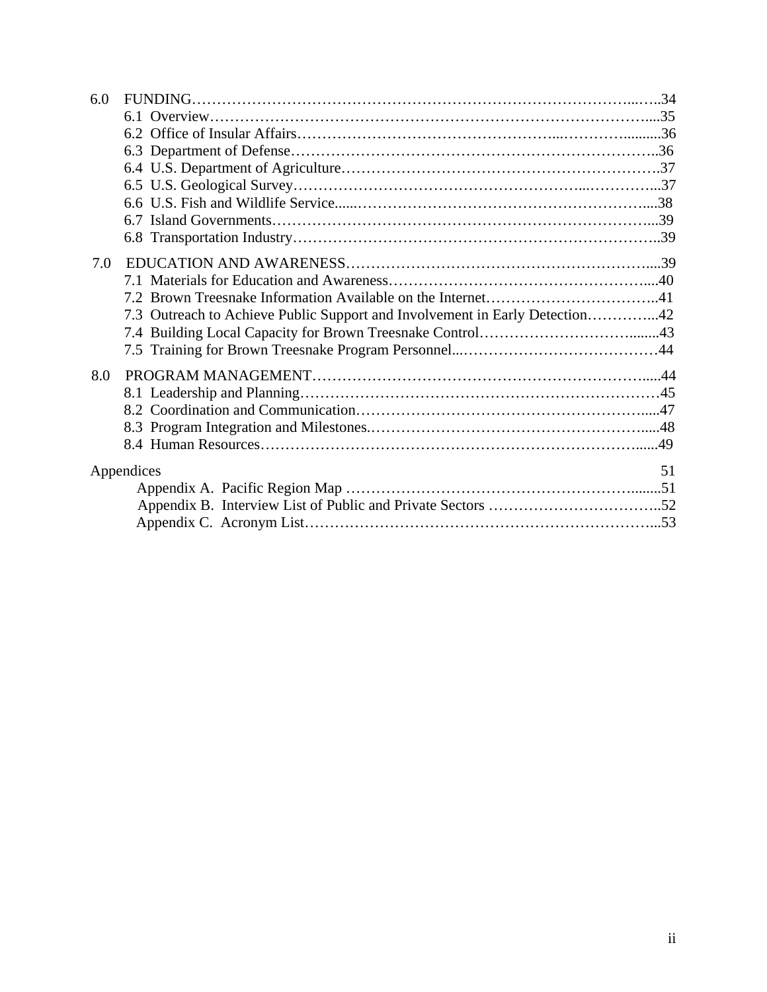| 51                                                                                        |
|-------------------------------------------------------------------------------------------|
|                                                                                           |
|                                                                                           |
|                                                                                           |
| 7.3 Outreach to Achieve Public Support and Involvement in Early Detection42<br>Appendices |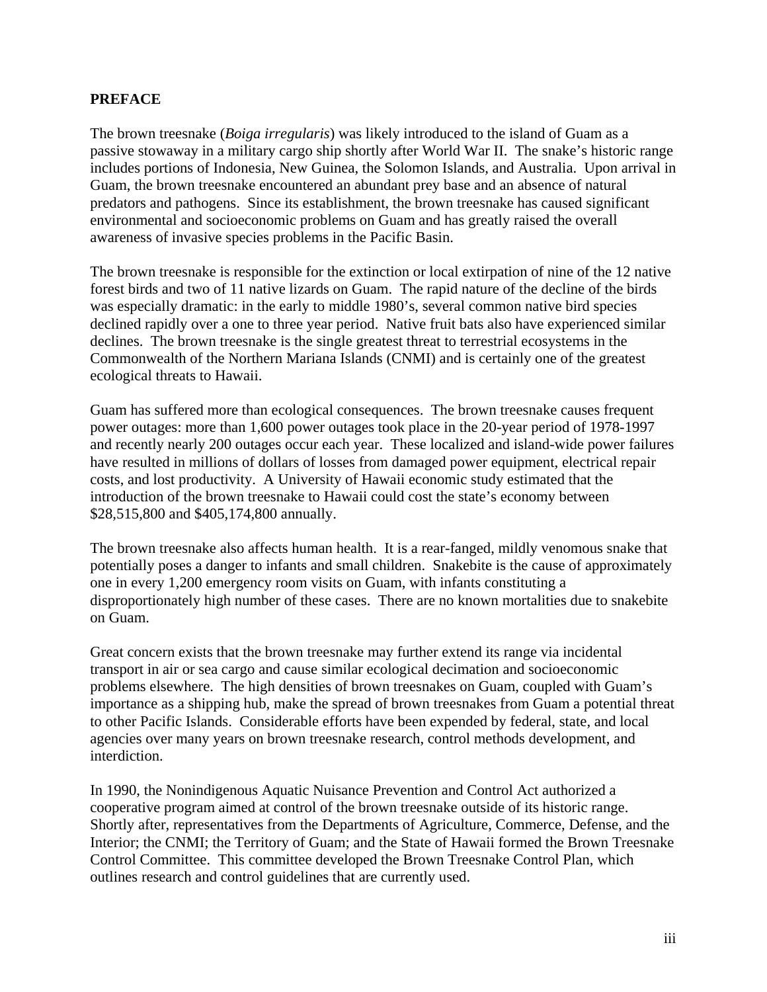#### **PREFACE**

The brown treesnake (*Boiga irregularis*) was likely introduced to the island of Guam as a passive stowaway in a military cargo ship shortly after World War II. The snake's historic range includes portions of Indonesia, New Guinea, the Solomon Islands, and Australia. Upon arrival in Guam, the brown treesnake encountered an abundant prey base and an absence of natural predators and pathogens. Since its establishment, the brown treesnake has caused significant environmental and socioeconomic problems on Guam and has greatly raised the overall awareness of invasive species problems in the Pacific Basin.

The brown treesnake is responsible for the extinction or local extirpation of nine of the 12 native forest birds and two of 11 native lizards on Guam. The rapid nature of the decline of the birds was especially dramatic: in the early to middle 1980's, several common native bird species declined rapidly over a one to three year period. Native fruit bats also have experienced similar declines. The brown treesnake is the single greatest threat to terrestrial ecosystems in the Commonwealth of the Northern Mariana Islands (CNMI) and is certainly one of the greatest ecological threats to Hawaii.

Guam has suffered more than ecological consequences. The brown treesnake causes frequent power outages: more than 1,600 power outages took place in the 20-year period of 1978-1997 and recently nearly 200 outages occur each year. These localized and island-wide power failures have resulted in millions of dollars of losses from damaged power equipment, electrical repair costs, and lost productivity. A University of Hawaii economic study estimated that the introduction of the brown treesnake to Hawaii could cost the state's economy between \$28,515,800 and \$405,174,800 annually.

The brown treesnake also affects human health. It is a rear-fanged, mildly venomous snake that potentially poses a danger to infants and small children. Snakebite is the cause of approximately one in every 1,200 emergency room visits on Guam, with infants constituting a disproportionately high number of these cases. There are no known mortalities due to snakebite on Guam.

Great concern exists that the brown treesnake may further extend its range via incidental transport in air or sea cargo and cause similar ecological decimation and socioeconomic problems elsewhere. The high densities of brown treesnakes on Guam, coupled with Guam's importance as a shipping hub, make the spread of brown treesnakes from Guam a potential threat to other Pacific Islands. Considerable efforts have been expended by federal, state, and local agencies over many years on brown treesnake research, control methods development, and interdiction.

In 1990, the Nonindigenous Aquatic Nuisance Prevention and Control Act authorized a cooperative program aimed at control of the brown treesnake outside of its historic range. Shortly after, representatives from the Departments of Agriculture, Commerce, Defense, and the Interior; the CNMI; the Territory of Guam; and the State of Hawaii formed the Brown Treesnake Control Committee. This committee developed the Brown Treesnake Control Plan, which outlines research and control guidelines that are currently used.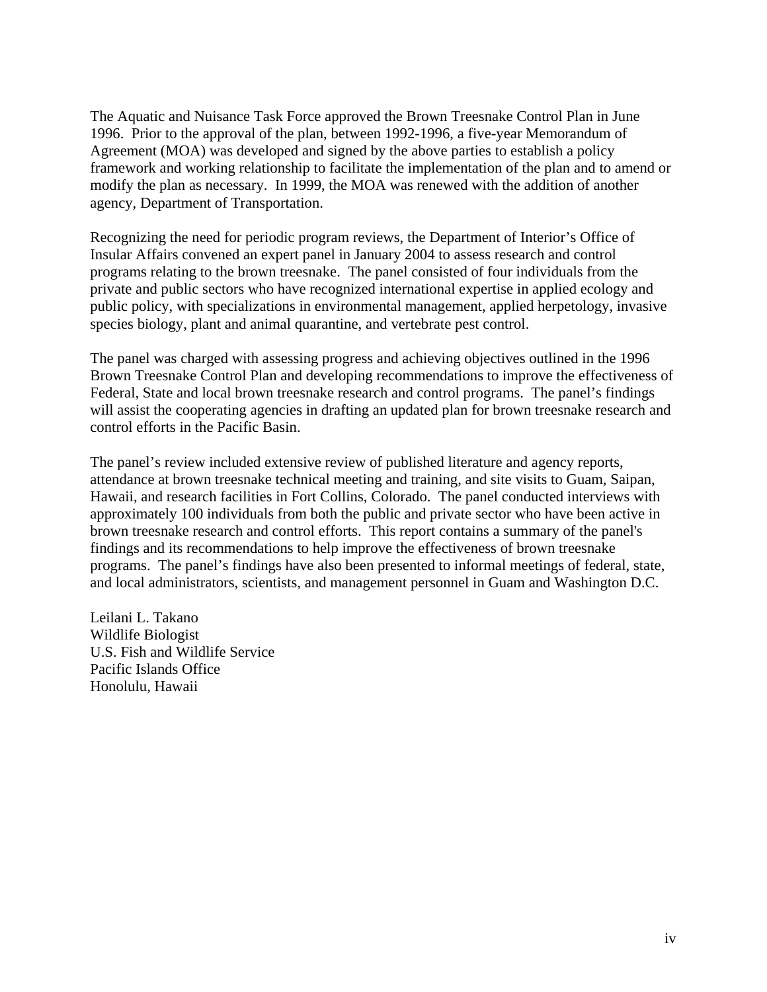The Aquatic and Nuisance Task Force approved the Brown Treesnake Control Plan in June 1996. Prior to the approval of the plan, between 1992-1996, a five-year Memorandum of Agreement (MOA) was developed and signed by the above parties to establish a policy framework and working relationship to facilitate the implementation of the plan and to amend or modify the plan as necessary. In 1999, the MOA was renewed with the addition of another agency, Department of Transportation.

Recognizing the need for periodic program reviews, the Department of Interior's Office of Insular Affairs convened an expert panel in January 2004 to assess research and control programs relating to the brown treesnake. The panel consisted of four individuals from the private and public sectors who have recognized international expertise in applied ecology and public policy, with specializations in environmental management, applied herpetology, invasive species biology, plant and animal quarantine, and vertebrate pest control.

The panel was charged with assessing progress and achieving objectives outlined in the 1996 Brown Treesnake Control Plan and developing recommendations to improve the effectiveness of Federal, State and local brown treesnake research and control programs. The panel's findings will assist the cooperating agencies in drafting an updated plan for brown treesnake research and control efforts in the Pacific Basin.

The panel's review included extensive review of published literature and agency reports, attendance at brown treesnake technical meeting and training, and site visits to Guam, Saipan, Hawaii, and research facilities in Fort Collins, Colorado. The panel conducted interviews with approximately 100 individuals from both the public and private sector who have been active in brown treesnake research and control efforts. This report contains a summary of the panel's findings and its recommendations to help improve the effectiveness of brown treesnake programs. The panel's findings have also been presented to informal meetings of federal, state, and local administrators, scientists, and management personnel in Guam and Washington D.C.

Leilani L. Takano Wildlife Biologist U.S. Fish and Wildlife Service Pacific Islands Office Honolulu, Hawaii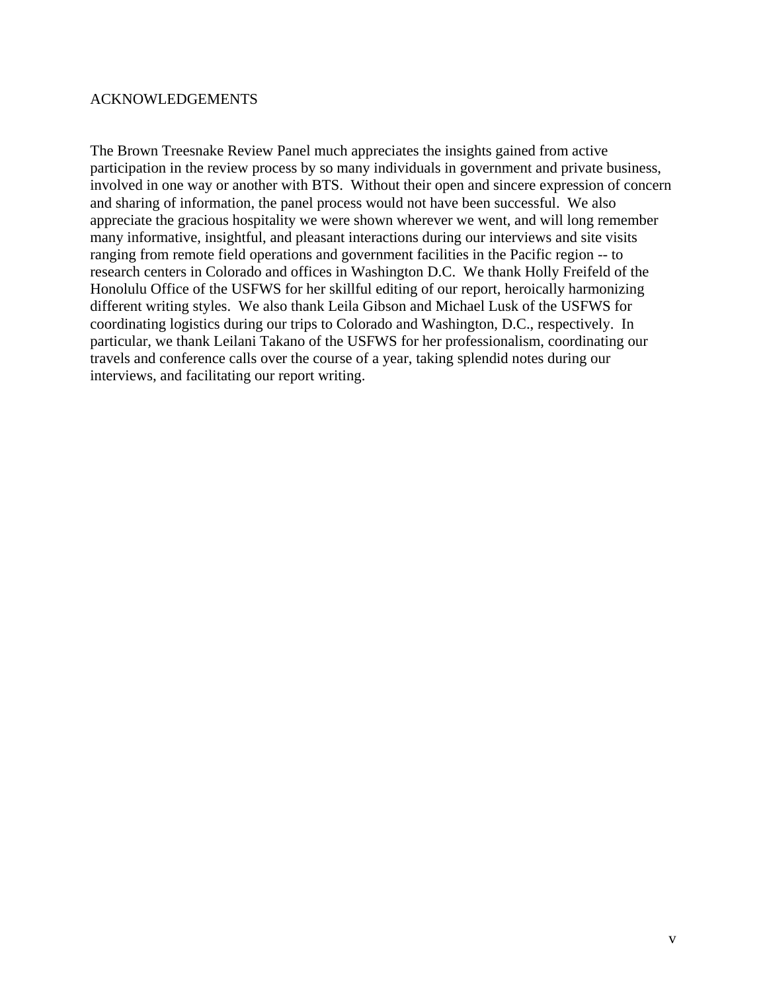#### ACKNOWLEDGEMENTS

The Brown Treesnake Review Panel much appreciates the insights gained from active participation in the review process by so many individuals in government and private business, involved in one way or another with BTS. Without their open and sincere expression of concern and sharing of information, the panel process would not have been successful. We also appreciate the gracious hospitality we were shown wherever we went, and will long remember many informative, insightful, and pleasant interactions during our interviews and site visits ranging from remote field operations and government facilities in the Pacific region -- to research centers in Colorado and offices in Washington D.C. We thank Holly Freifeld of the Honolulu Office of the USFWS for her skillful editing of our report, heroically harmonizing different writing styles. We also thank Leila Gibson and Michael Lusk of the USFWS for coordinating logistics during our trips to Colorado and Washington, D.C., respectively. In particular, we thank Leilani Takano of the USFWS for her professionalism, coordinating our travels and conference calls over the course of a year, taking splendid notes during our interviews, and facilitating our report writing.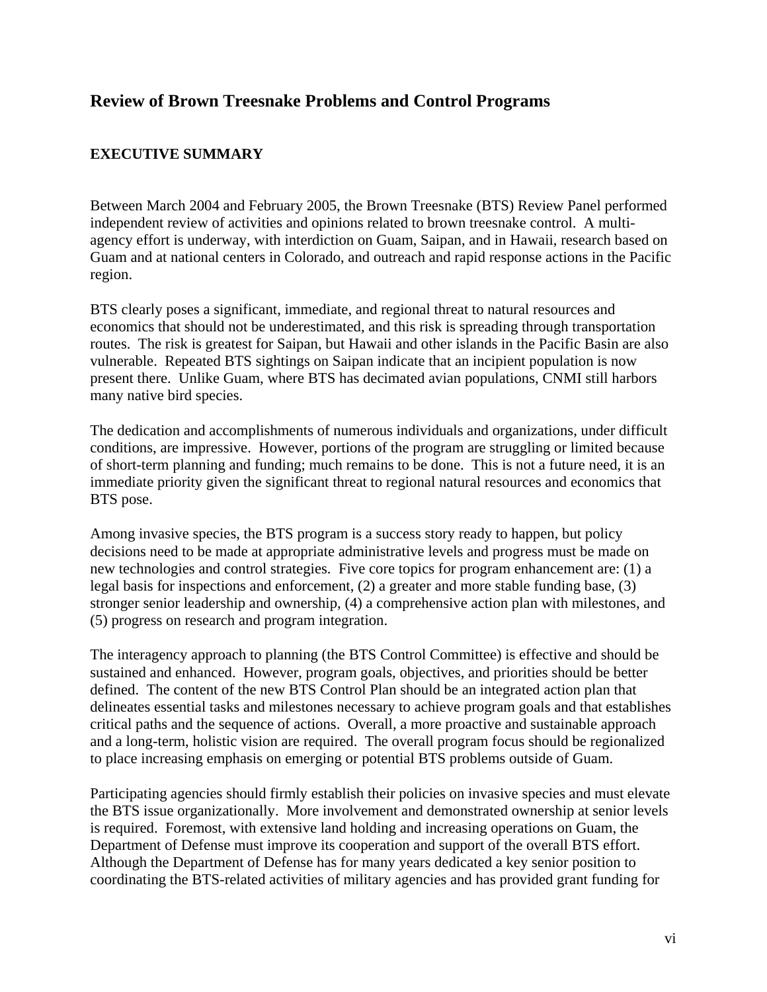## **Review of Brown Treesnake Problems and Control Programs**

### **EXECUTIVE SUMMARY**

Between March 2004 and February 2005, the Brown Treesnake (BTS) Review Panel performed independent review of activities and opinions related to brown treesnake control. A multiagency effort is underway, with interdiction on Guam, Saipan, and in Hawaii, research based on Guam and at national centers in Colorado, and outreach and rapid response actions in the Pacific region.

BTS clearly poses a significant, immediate, and regional threat to natural resources and economics that should not be underestimated, and this risk is spreading through transportation routes. The risk is greatest for Saipan, but Hawaii and other islands in the Pacific Basin are also vulnerable. Repeated BTS sightings on Saipan indicate that an incipient population is now present there. Unlike Guam, where BTS has decimated avian populations, CNMI still harbors many native bird species.

The dedication and accomplishments of numerous individuals and organizations, under difficult conditions, are impressive. However, portions of the program are struggling or limited because of short-term planning and funding; much remains to be done. This is not a future need, it is an immediate priority given the significant threat to regional natural resources and economics that BTS pose.

Among invasive species, the BTS program is a success story ready to happen, but policy decisions need to be made at appropriate administrative levels and progress must be made on new technologies and control strategies. Five core topics for program enhancement are: (1) a legal basis for inspections and enforcement, (2) a greater and more stable funding base, (3) stronger senior leadership and ownership, (4) a comprehensive action plan with milestones, and (5) progress on research and program integration.

The interagency approach to planning (the BTS Control Committee) is effective and should be sustained and enhanced. However, program goals, objectives, and priorities should be better defined. The content of the new BTS Control Plan should be an integrated action plan that delineates essential tasks and milestones necessary to achieve program goals and that establishes critical paths and the sequence of actions. Overall, a more proactive and sustainable approach and a long-term, holistic vision are required. The overall program focus should be regionalized to place increasing emphasis on emerging or potential BTS problems outside of Guam.

Participating agencies should firmly establish their policies on invasive species and must elevate the BTS issue organizationally. More involvement and demonstrated ownership at senior levels is required. Foremost, with extensive land holding and increasing operations on Guam, the Department of Defense must improve its cooperation and support of the overall BTS effort. Although the Department of Defense has for many years dedicated a key senior position to coordinating the BTS-related activities of military agencies and has provided grant funding for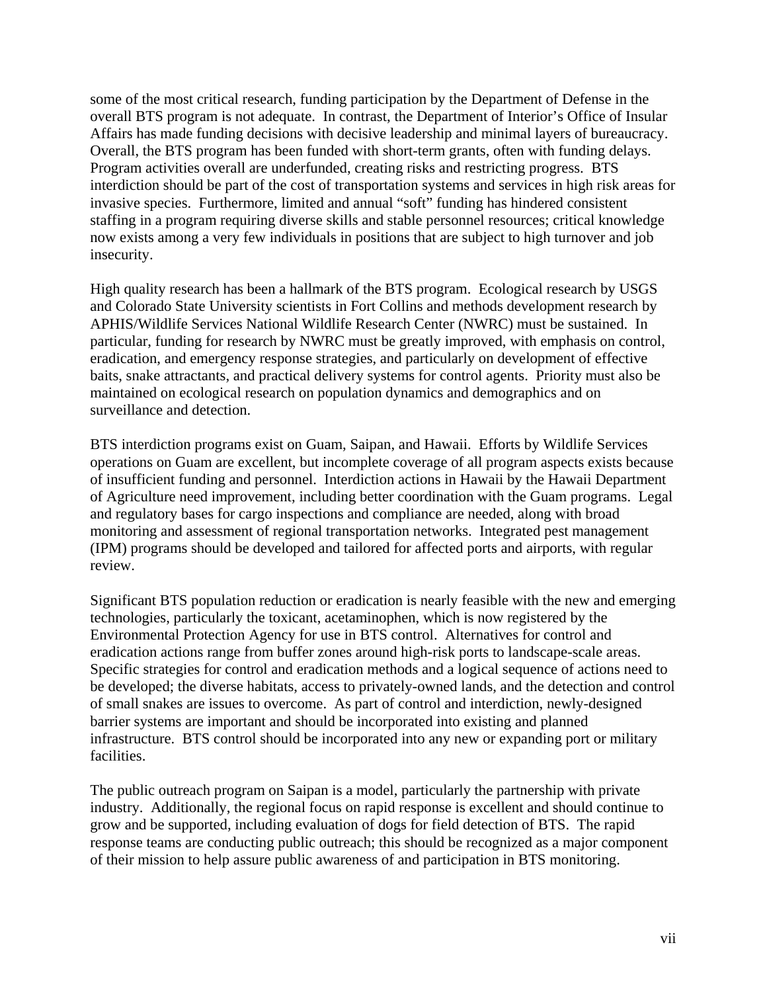some of the most critical research, funding participation by the Department of Defense in the overall BTS program is not adequate. In contrast, the Department of Interior's Office of Insular Affairs has made funding decisions with decisive leadership and minimal layers of bureaucracy. Overall, the BTS program has been funded with short-term grants, often with funding delays. Program activities overall are underfunded, creating risks and restricting progress. BTS interdiction should be part of the cost of transportation systems and services in high risk areas for invasive species. Furthermore, limited and annual "soft" funding has hindered consistent staffing in a program requiring diverse skills and stable personnel resources; critical knowledge now exists among a very few individuals in positions that are subject to high turnover and job insecurity.

High quality research has been a hallmark of the BTS program. Ecological research by USGS and Colorado State University scientists in Fort Collins and methods development research by APHIS/Wildlife Services National Wildlife Research Center (NWRC) must be sustained. In particular, funding for research by NWRC must be greatly improved, with emphasis on control, eradication, and emergency response strategies, and particularly on development of effective baits, snake attractants, and practical delivery systems for control agents. Priority must also be maintained on ecological research on population dynamics and demographics and on surveillance and detection.

BTS interdiction programs exist on Guam, Saipan, and Hawaii. Efforts by Wildlife Services operations on Guam are excellent, but incomplete coverage of all program aspects exists because of insufficient funding and personnel. Interdiction actions in Hawaii by the Hawaii Department of Agriculture need improvement, including better coordination with the Guam programs. Legal and regulatory bases for cargo inspections and compliance are needed, along with broad monitoring and assessment of regional transportation networks. Integrated pest management (IPM) programs should be developed and tailored for affected ports and airports, with regular review.

Significant BTS population reduction or eradication is nearly feasible with the new and emerging technologies, particularly the toxicant, acetaminophen, which is now registered by the Environmental Protection Agency for use in BTS control. Alternatives for control and eradication actions range from buffer zones around high-risk ports to landscape-scale areas. Specific strategies for control and eradication methods and a logical sequence of actions need to be developed; the diverse habitats, access to privately-owned lands, and the detection and control of small snakes are issues to overcome. As part of control and interdiction, newly-designed barrier systems are important and should be incorporated into existing and planned infrastructure. BTS control should be incorporated into any new or expanding port or military facilities.

The public outreach program on Saipan is a model, particularly the partnership with private industry. Additionally, the regional focus on rapid response is excellent and should continue to grow and be supported, including evaluation of dogs for field detection of BTS. The rapid response teams are conducting public outreach; this should be recognized as a major component of their mission to help assure public awareness of and participation in BTS monitoring.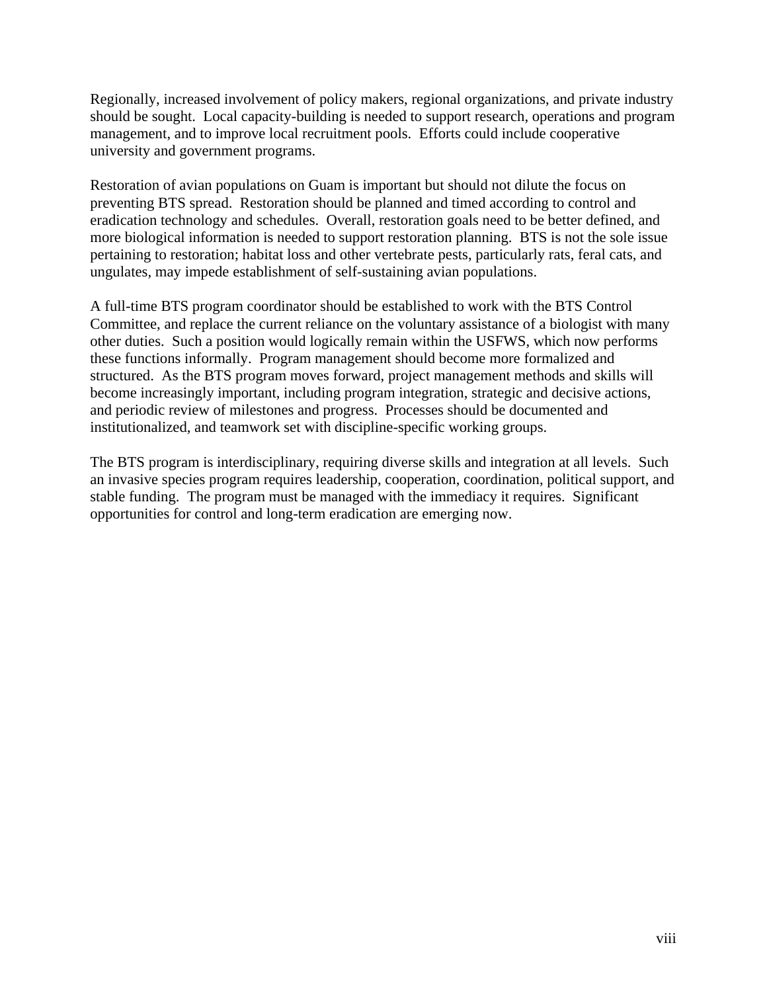Regionally, increased involvement of policy makers, regional organizations, and private industry should be sought. Local capacity-building is needed to support research, operations and program management, and to improve local recruitment pools. Efforts could include cooperative university and government programs.

Restoration of avian populations on Guam is important but should not dilute the focus on preventing BTS spread. Restoration should be planned and timed according to control and eradication technology and schedules. Overall, restoration goals need to be better defined, and more biological information is needed to support restoration planning. BTS is not the sole issue pertaining to restoration; habitat loss and other vertebrate pests, particularly rats, feral cats, and ungulates, may impede establishment of self-sustaining avian populations.

A full-time BTS program coordinator should be established to work with the BTS Control Committee, and replace the current reliance on the voluntary assistance of a biologist with many other duties. Such a position would logically remain within the USFWS, which now performs these functions informally. Program management should become more formalized and structured. As the BTS program moves forward, project management methods and skills will become increasingly important, including program integration, strategic and decisive actions, and periodic review of milestones and progress. Processes should be documented and institutionalized, and teamwork set with discipline-specific working groups.

The BTS program is interdisciplinary, requiring diverse skills and integration at all levels. Such an invasive species program requires leadership, cooperation, coordination, political support, and stable funding. The program must be managed with the immediacy it requires. Significant opportunities for control and long-term eradication are emerging now.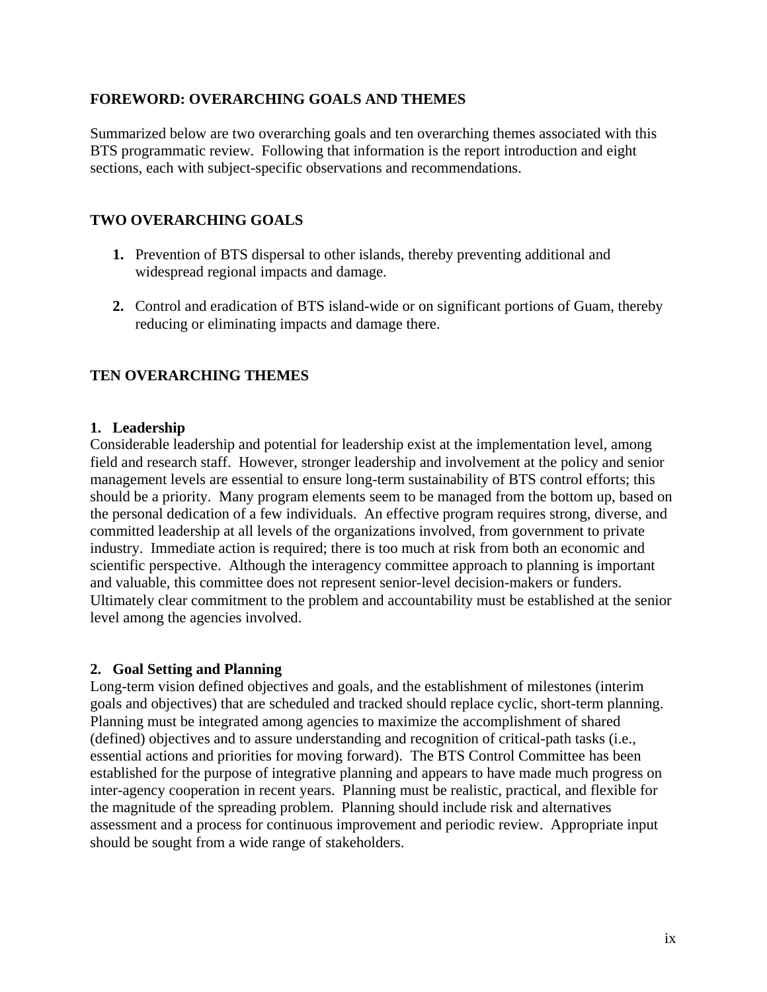#### **FOREWORD: OVERARCHING GOALS AND THEMES**

Summarized below are two overarching goals and ten overarching themes associated with this BTS programmatic review. Following that information is the report introduction and eight sections, each with subject-specific observations and recommendations.

### **TWO OVERARCHING GOALS**

- **1.** Prevention of BTS dispersal to other islands, thereby preventing additional and widespread regional impacts and damage.
- **2.** Control and eradication of BTS island-wide or on significant portions of Guam, thereby reducing or eliminating impacts and damage there.

### **TEN OVERARCHING THEMES**

#### **1. Leadership**

Considerable leadership and potential for leadership exist at the implementation level, among field and research staff. However, stronger leadership and involvement at the policy and senior management levels are essential to ensure long-term sustainability of BTS control efforts; this should be a priority. Many program elements seem to be managed from the bottom up, based on the personal dedication of a few individuals. An effective program requires strong, diverse, and committed leadership at all levels of the organizations involved, from government to private industry. Immediate action is required; there is too much at risk from both an economic and scientific perspective. Although the interagency committee approach to planning is important and valuable, this committee does not represent senior-level decision-makers or funders. Ultimately clear commitment to the problem and accountability must be established at the senior level among the agencies involved.

#### **2. Goal Setting and Planning**

Long-term vision defined objectives and goals, and the establishment of milestones (interim goals and objectives) that are scheduled and tracked should replace cyclic, short-term planning. Planning must be integrated among agencies to maximize the accomplishment of shared (defined) objectives and to assure understanding and recognition of critical-path tasks (i.e., essential actions and priorities for moving forward). The BTS Control Committee has been established for the purpose of integrative planning and appears to have made much progress on inter-agency cooperation in recent years. Planning must be realistic, practical, and flexible for the magnitude of the spreading problem. Planning should include risk and alternatives assessment and a process for continuous improvement and periodic review. Appropriate input should be sought from a wide range of stakeholders.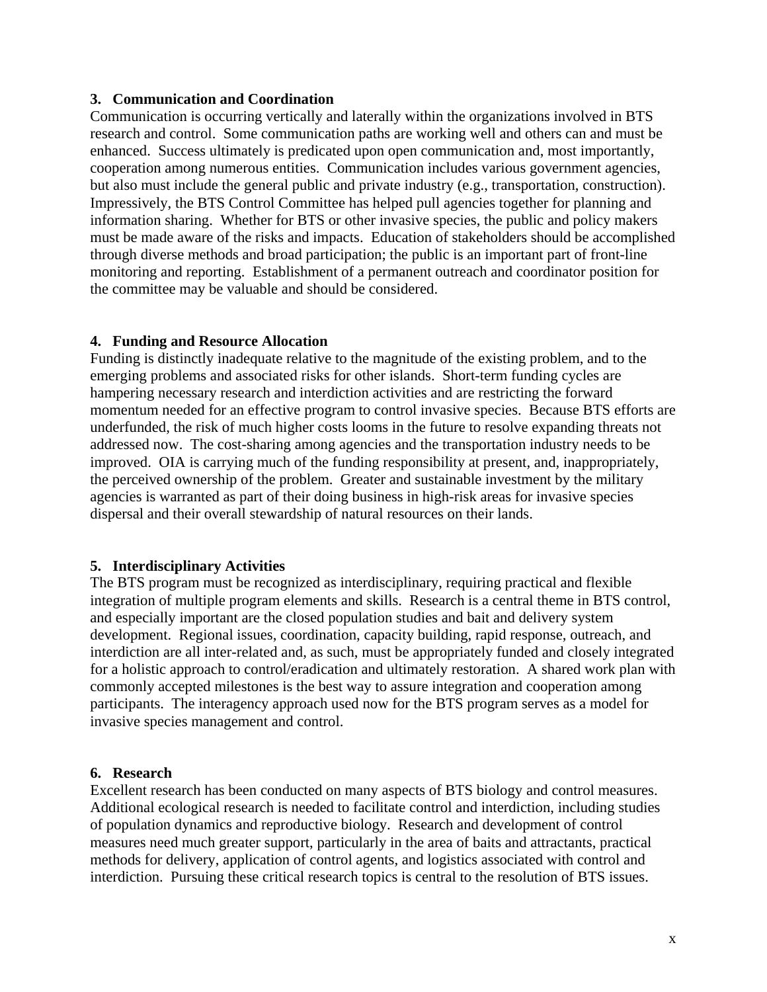#### **3. Communication and Coordination**

Communication is occurring vertically and laterally within the organizations involved in BTS research and control. Some communication paths are working well and others can and must be enhanced. Success ultimately is predicated upon open communication and, most importantly, cooperation among numerous entities. Communication includes various government agencies, but also must include the general public and private industry (e.g., transportation, construction). Impressively, the BTS Control Committee has helped pull agencies together for planning and information sharing. Whether for BTS or other invasive species, the public and policy makers must be made aware of the risks and impacts. Education of stakeholders should be accomplished through diverse methods and broad participation; the public is an important part of front-line monitoring and reporting. Establishment of a permanent outreach and coordinator position for the committee may be valuable and should be considered.

#### **4. Funding and Resource Allocation**

Funding is distinctly inadequate relative to the magnitude of the existing problem, and to the emerging problems and associated risks for other islands. Short-term funding cycles are hampering necessary research and interdiction activities and are restricting the forward momentum needed for an effective program to control invasive species. Because BTS efforts are underfunded, the risk of much higher costs looms in the future to resolve expanding threats not addressed now. The cost-sharing among agencies and the transportation industry needs to be improved. OIA is carrying much of the funding responsibility at present, and, inappropriately, the perceived ownership of the problem. Greater and sustainable investment by the military agencies is warranted as part of their doing business in high-risk areas for invasive species dispersal and their overall stewardship of natural resources on their lands.

#### **5. Interdisciplinary Activities**

The BTS program must be recognized as interdisciplinary, requiring practical and flexible integration of multiple program elements and skills. Research is a central theme in BTS control, and especially important are the closed population studies and bait and delivery system development. Regional issues, coordination, capacity building, rapid response, outreach, and interdiction are all inter-related and, as such, must be appropriately funded and closely integrated for a holistic approach to control/eradication and ultimately restoration. A shared work plan with commonly accepted milestones is the best way to assure integration and cooperation among participants. The interagency approach used now for the BTS program serves as a model for invasive species management and control.

#### **6. Research**

Excellent research has been conducted on many aspects of BTS biology and control measures. Additional ecological research is needed to facilitate control and interdiction, including studies of population dynamics and reproductive biology. Research and development of control measures need much greater support, particularly in the area of baits and attractants, practical methods for delivery, application of control agents, and logistics associated with control and interdiction. Pursuing these critical research topics is central to the resolution of BTS issues.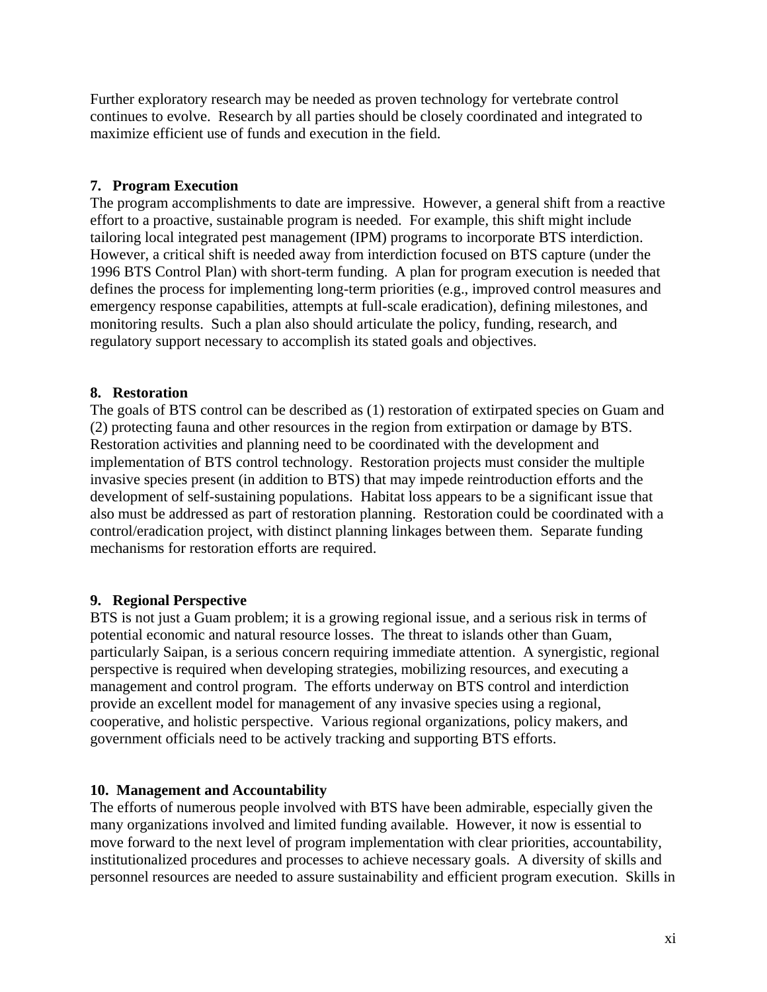Further exploratory research may be needed as proven technology for vertebrate control continues to evolve. Research by all parties should be closely coordinated and integrated to maximize efficient use of funds and execution in the field.

### **7. Program Execution**

The program accomplishments to date are impressive. However, a general shift from a reactive effort to a proactive, sustainable program is needed. For example, this shift might include tailoring local integrated pest management (IPM) programs to incorporate BTS interdiction. However, a critical shift is needed away from interdiction focused on BTS capture (under the 1996 BTS Control Plan) with short-term funding. A plan for program execution is needed that defines the process for implementing long-term priorities (e.g., improved control measures and emergency response capabilities, attempts at full-scale eradication), defining milestones, and monitoring results. Such a plan also should articulate the policy, funding, research, and regulatory support necessary to accomplish its stated goals and objectives.

### **8. Restoration**

The goals of BTS control can be described as (1) restoration of extirpated species on Guam and (2) protecting fauna and other resources in the region from extirpation or damage by BTS. Restoration activities and planning need to be coordinated with the development and implementation of BTS control technology. Restoration projects must consider the multiple invasive species present (in addition to BTS) that may impede reintroduction efforts and the development of self-sustaining populations. Habitat loss appears to be a significant issue that also must be addressed as part of restoration planning. Restoration could be coordinated with a control/eradication project, with distinct planning linkages between them. Separate funding mechanisms for restoration efforts are required.

#### **9. Regional Perspective**

BTS is not just a Guam problem; it is a growing regional issue, and a serious risk in terms of potential economic and natural resource losses. The threat to islands other than Guam, particularly Saipan, is a serious concern requiring immediate attention. A synergistic, regional perspective is required when developing strategies, mobilizing resources, and executing a management and control program. The efforts underway on BTS control and interdiction provide an excellent model for management of any invasive species using a regional, cooperative, and holistic perspective. Various regional organizations, policy makers, and government officials need to be actively tracking and supporting BTS efforts.

#### **10. Management and Accountability**

The efforts of numerous people involved with BTS have been admirable, especially given the many organizations involved and limited funding available. However, it now is essential to move forward to the next level of program implementation with clear priorities, accountability, institutionalized procedures and processes to achieve necessary goals. A diversity of skills and personnel resources are needed to assure sustainability and efficient program execution. Skills in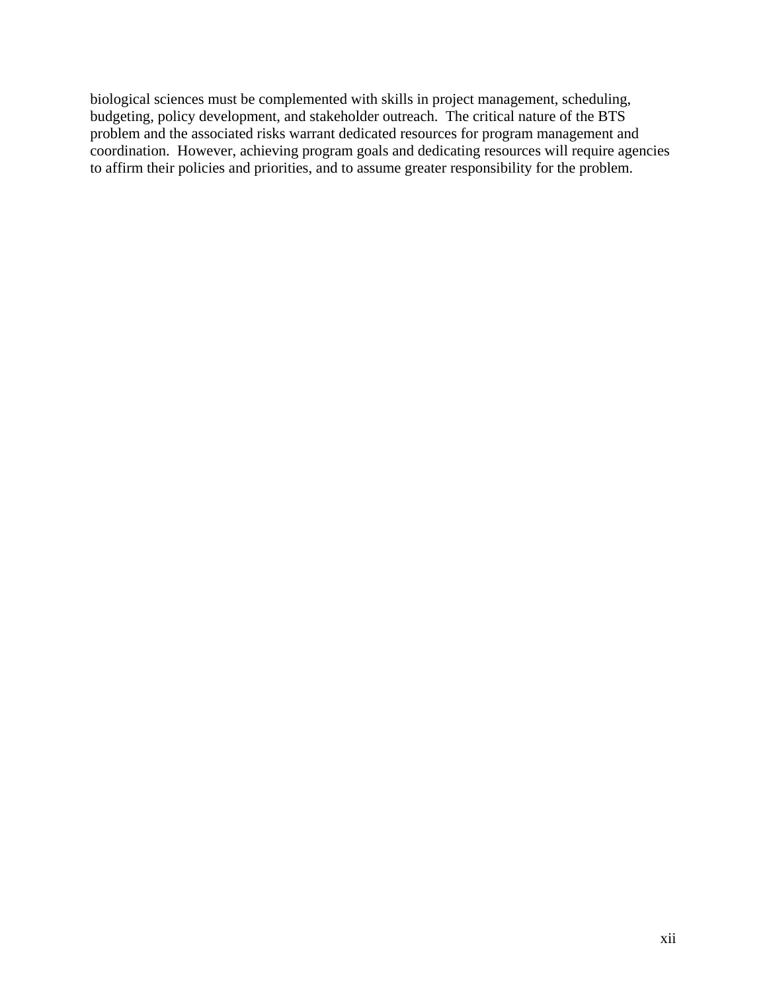biological sciences must be complemented with skills in project management, scheduling, budgeting, policy development, and stakeholder outreach. The critical nature of the BTS problem and the associated risks warrant dedicated resources for program management and coordination. However, achieving program goals and dedicating resources will require agencies to affirm their policies and priorities, and to assume greater responsibility for the problem.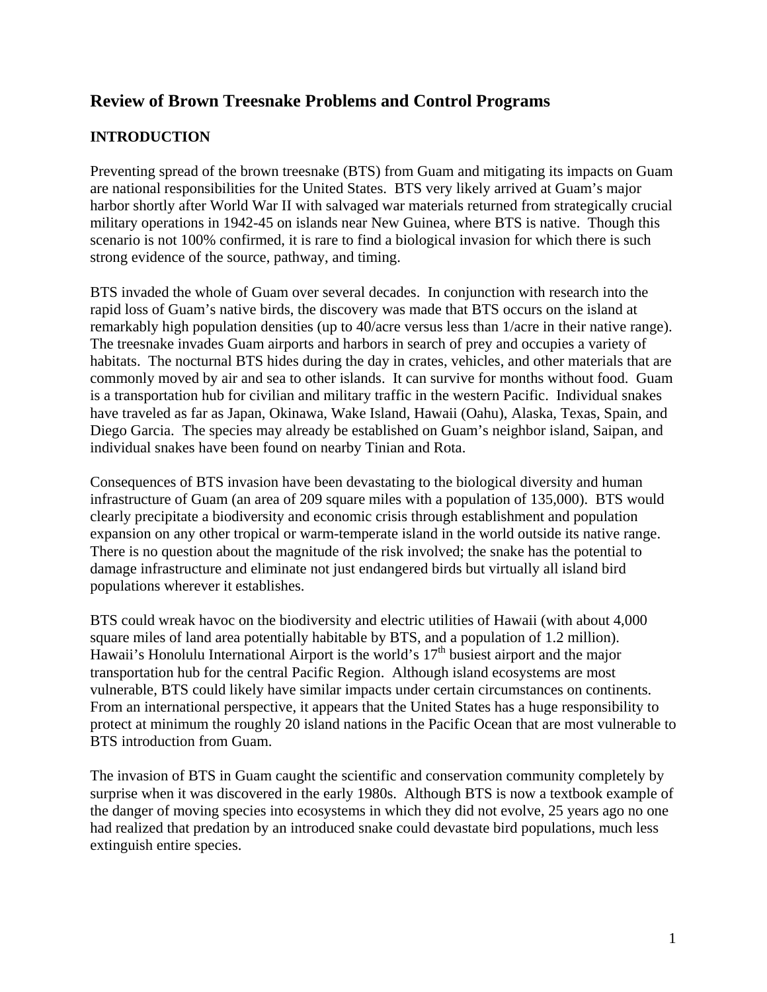## **Review of Brown Treesnake Problems and Control Programs**

## **INTRODUCTION**

Preventing spread of the brown treesnake (BTS) from Guam and mitigating its impacts on Guam are national responsibilities for the United States. BTS very likely arrived at Guam's major harbor shortly after World War II with salvaged war materials returned from strategically crucial military operations in 1942-45 on islands near New Guinea, where BTS is native. Though this scenario is not 100% confirmed, it is rare to find a biological invasion for which there is such strong evidence of the source, pathway, and timing.

BTS invaded the whole of Guam over several decades. In conjunction with research into the rapid loss of Guam's native birds, the discovery was made that BTS occurs on the island at remarkably high population densities (up to 40/acre versus less than 1/acre in their native range). The treesnake invades Guam airports and harbors in search of prey and occupies a variety of habitats. The nocturnal BTS hides during the day in crates, vehicles, and other materials that are commonly moved by air and sea to other islands. It can survive for months without food. Guam is a transportation hub for civilian and military traffic in the western Pacific. Individual snakes have traveled as far as Japan, Okinawa, Wake Island, Hawaii (Oahu), Alaska, Texas, Spain, and Diego Garcia. The species may already be established on Guam's neighbor island, Saipan, and individual snakes have been found on nearby Tinian and Rota.

Consequences of BTS invasion have been devastating to the biological diversity and human infrastructure of Guam (an area of 209 square miles with a population of 135,000). BTS would clearly precipitate a biodiversity and economic crisis through establishment and population expansion on any other tropical or warm-temperate island in the world outside its native range. There is no question about the magnitude of the risk involved; the snake has the potential to damage infrastructure and eliminate not just endangered birds but virtually all island bird populations wherever it establishes.

BTS could wreak havoc on the biodiversity and electric utilities of Hawaii (with about 4,000 square miles of land area potentially habitable by BTS, and a population of 1.2 million). Hawaii's Honolulu International Airport is the world's  $17<sup>th</sup>$  busiest airport and the major transportation hub for the central Pacific Region. Although island ecosystems are most vulnerable, BTS could likely have similar impacts under certain circumstances on continents. From an international perspective, it appears that the United States has a huge responsibility to protect at minimum the roughly 20 island nations in the Pacific Ocean that are most vulnerable to BTS introduction from Guam.

The invasion of BTS in Guam caught the scientific and conservation community completely by surprise when it was discovered in the early 1980s. Although BTS is now a textbook example of the danger of moving species into ecosystems in which they did not evolve, 25 years ago no one had realized that predation by an introduced snake could devastate bird populations, much less extinguish entire species.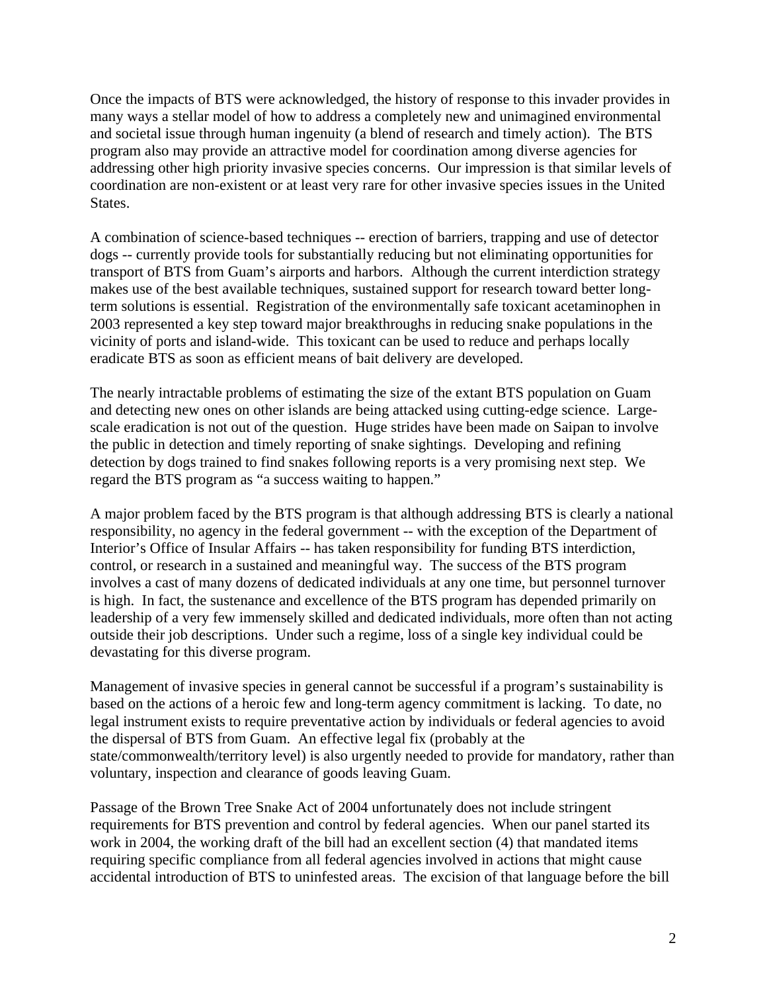Once the impacts of BTS were acknowledged, the history of response to this invader provides in many ways a stellar model of how to address a completely new and unimagined environmental and societal issue through human ingenuity (a blend of research and timely action). The BTS program also may provide an attractive model for coordination among diverse agencies for addressing other high priority invasive species concerns. Our impression is that similar levels of coordination are non-existent or at least very rare for other invasive species issues in the United States.

A combination of science-based techniques -- erection of barriers, trapping and use of detector dogs -- currently provide tools for substantially reducing but not eliminating opportunities for transport of BTS from Guam's airports and harbors. Although the current interdiction strategy makes use of the best available techniques, sustained support for research toward better longterm solutions is essential. Registration of the environmentally safe toxicant acetaminophen in 2003 represented a key step toward major breakthroughs in reducing snake populations in the vicinity of ports and island-wide. This toxicant can be used to reduce and perhaps locally eradicate BTS as soon as efficient means of bait delivery are developed.

The nearly intractable problems of estimating the size of the extant BTS population on Guam and detecting new ones on other islands are being attacked using cutting-edge science. Largescale eradication is not out of the question. Huge strides have been made on Saipan to involve the public in detection and timely reporting of snake sightings. Developing and refining detection by dogs trained to find snakes following reports is a very promising next step. We regard the BTS program as "a success waiting to happen."

A major problem faced by the BTS program is that although addressing BTS is clearly a national responsibility, no agency in the federal government -- with the exception of the Department of Interior's Office of Insular Affairs -- has taken responsibility for funding BTS interdiction, control, or research in a sustained and meaningful way. The success of the BTS program involves a cast of many dozens of dedicated individuals at any one time, but personnel turnover is high. In fact, the sustenance and excellence of the BTS program has depended primarily on leadership of a very few immensely skilled and dedicated individuals, more often than not acting outside their job descriptions. Under such a regime, loss of a single key individual could be devastating for this diverse program.

Management of invasive species in general cannot be successful if a program's sustainability is based on the actions of a heroic few and long-term agency commitment is lacking. To date, no legal instrument exists to require preventative action by individuals or federal agencies to avoid the dispersal of BTS from Guam. An effective legal fix (probably at the state/commonwealth/territory level) is also urgently needed to provide for mandatory, rather than voluntary, inspection and clearance of goods leaving Guam.

Passage of the Brown Tree Snake Act of 2004 unfortunately does not include stringent requirements for BTS prevention and control by federal agencies. When our panel started its work in 2004, the working draft of the bill had an excellent section (4) that mandated items requiring specific compliance from all federal agencies involved in actions that might cause accidental introduction of BTS to uninfested areas. The excision of that language before the bill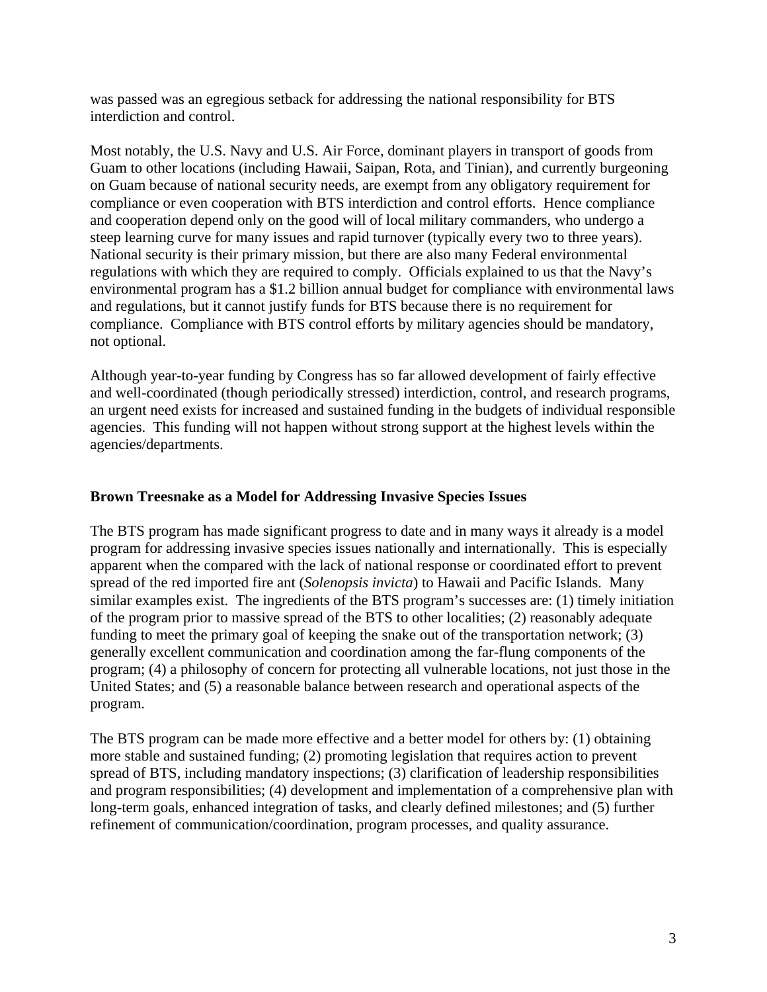was passed was an egregious setback for addressing the national responsibility for BTS interdiction and control.

Most notably, the U.S. Navy and U.S. Air Force, dominant players in transport of goods from Guam to other locations (including Hawaii, Saipan, Rota, and Tinian), and currently burgeoning on Guam because of national security needs, are exempt from any obligatory requirement for compliance or even cooperation with BTS interdiction and control efforts. Hence compliance and cooperation depend only on the good will of local military commanders, who undergo a steep learning curve for many issues and rapid turnover (typically every two to three years). National security is their primary mission, but there are also many Federal environmental regulations with which they are required to comply. Officials explained to us that the Navy's environmental program has a \$1.2 billion annual budget for compliance with environmental laws and regulations, but it cannot justify funds for BTS because there is no requirement for compliance. Compliance with BTS control efforts by military agencies should be mandatory, not optional.

Although year-to-year funding by Congress has so far allowed development of fairly effective and well-coordinated (though periodically stressed) interdiction, control, and research programs, an urgent need exists for increased and sustained funding in the budgets of individual responsible agencies. This funding will not happen without strong support at the highest levels within the agencies/departments.

#### **Brown Treesnake as a Model for Addressing Invasive Species Issues**

The BTS program has made significant progress to date and in many ways it already is a model program for addressing invasive species issues nationally and internationally. This is especially apparent when the compared with the lack of national response or coordinated effort to prevent spread of the red imported fire ant (*Solenopsis invicta*) to Hawaii and Pacific Islands. Many similar examples exist. The ingredients of the BTS program's successes are: (1) timely initiation of the program prior to massive spread of the BTS to other localities; (2) reasonably adequate funding to meet the primary goal of keeping the snake out of the transportation network; (3) generally excellent communication and coordination among the far-flung components of the program; (4) a philosophy of concern for protecting all vulnerable locations, not just those in the United States; and (5) a reasonable balance between research and operational aspects of the program.

The BTS program can be made more effective and a better model for others by: (1) obtaining more stable and sustained funding; (2) promoting legislation that requires action to prevent spread of BTS, including mandatory inspections; (3) clarification of leadership responsibilities and program responsibilities; (4) development and implementation of a comprehensive plan with long-term goals, enhanced integration of tasks, and clearly defined milestones; and (5) further refinement of communication/coordination, program processes, and quality assurance.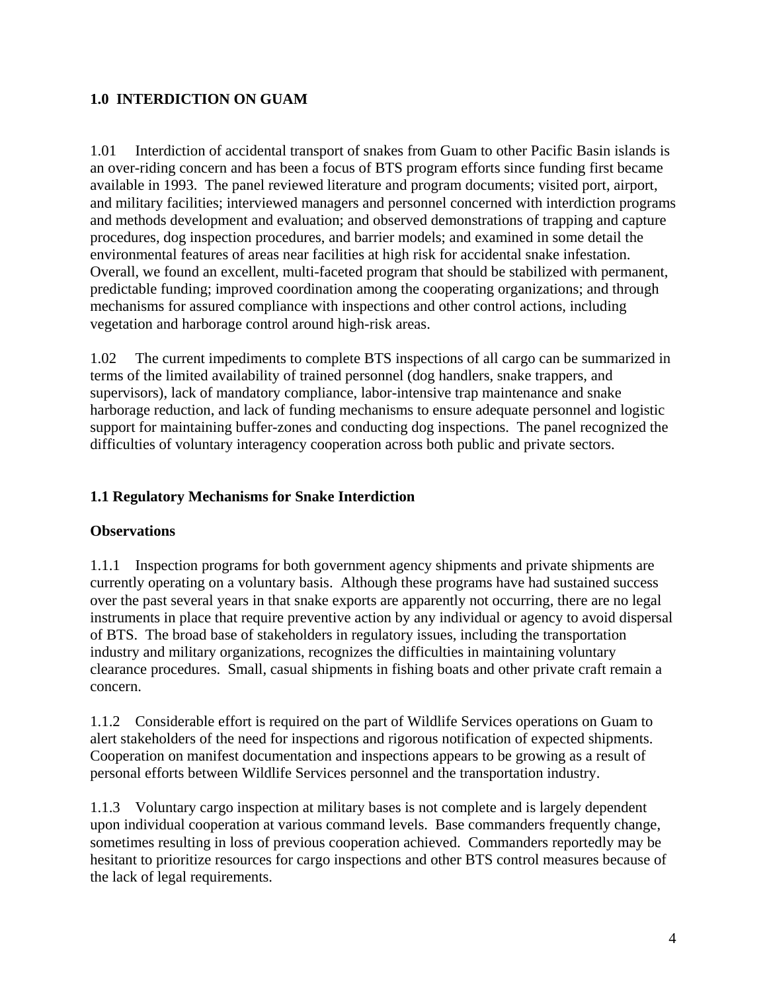## **1.0 INTERDICTION ON GUAM**

1.01 Interdiction of accidental transport of snakes from Guam to other Pacific Basin islands is an over-riding concern and has been a focus of BTS program efforts since funding first became available in 1993. The panel reviewed literature and program documents; visited port, airport, and military facilities; interviewed managers and personnel concerned with interdiction programs and methods development and evaluation; and observed demonstrations of trapping and capture procedures, dog inspection procedures, and barrier models; and examined in some detail the environmental features of areas near facilities at high risk for accidental snake infestation. Overall, we found an excellent, multi-faceted program that should be stabilized with permanent, predictable funding; improved coordination among the cooperating organizations; and through mechanisms for assured compliance with inspections and other control actions, including vegetation and harborage control around high-risk areas.

1.02 The current impediments to complete BTS inspections of all cargo can be summarized in terms of the limited availability of trained personnel (dog handlers, snake trappers, and supervisors), lack of mandatory compliance, labor-intensive trap maintenance and snake harborage reduction, and lack of funding mechanisms to ensure adequate personnel and logistic support for maintaining buffer-zones and conducting dog inspections. The panel recognized the difficulties of voluntary interagency cooperation across both public and private sectors.

## **1.1 Regulatory Mechanisms for Snake Interdiction**

#### **Observations**

1.1.1 Inspection programs for both government agency shipments and private shipments are currently operating on a voluntary basis. Although these programs have had sustained success over the past several years in that snake exports are apparently not occurring, there are no legal instruments in place that require preventive action by any individual or agency to avoid dispersal of BTS. The broad base of stakeholders in regulatory issues, including the transportation industry and military organizations, recognizes the difficulties in maintaining voluntary clearance procedures. Small, casual shipments in fishing boats and other private craft remain a concern.

1.1.2 Considerable effort is required on the part of Wildlife Services operations on Guam to alert stakeholders of the need for inspections and rigorous notification of expected shipments. Cooperation on manifest documentation and inspections appears to be growing as a result of personal efforts between Wildlife Services personnel and the transportation industry.

1.1.3 Voluntary cargo inspection at military bases is not complete and is largely dependent upon individual cooperation at various command levels. Base commanders frequently change, sometimes resulting in loss of previous cooperation achieved. Commanders reportedly may be hesitant to prioritize resources for cargo inspections and other BTS control measures because of the lack of legal requirements.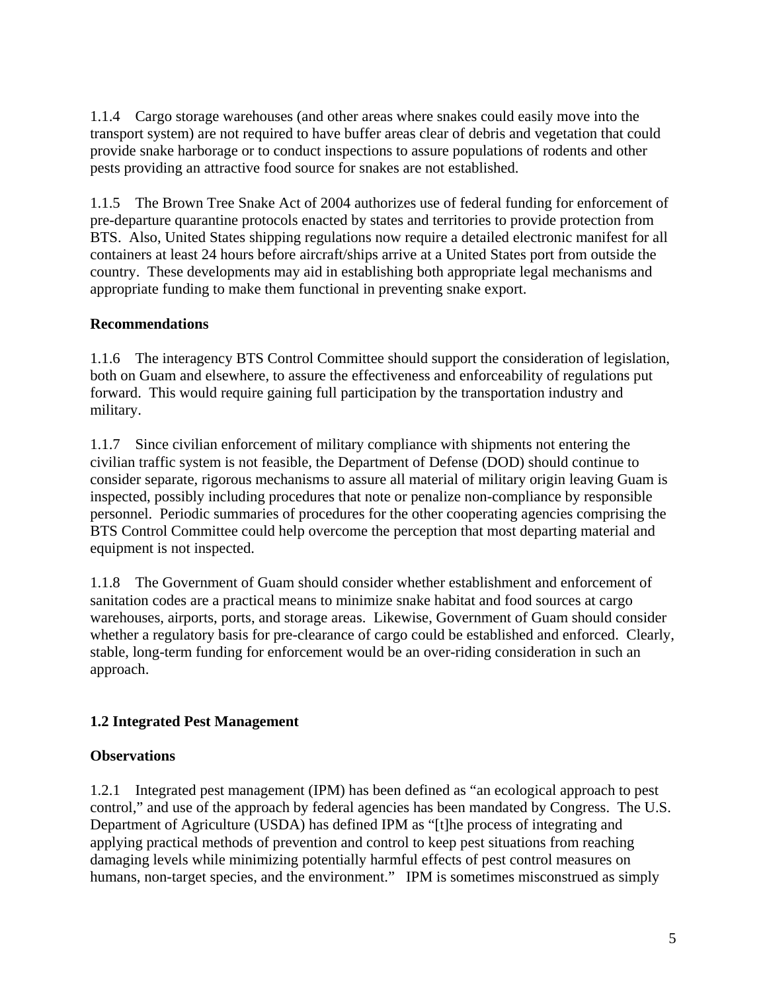1.1.4 Cargo storage warehouses (and other areas where snakes could easily move into the transport system) are not required to have buffer areas clear of debris and vegetation that could provide snake harborage or to conduct inspections to assure populations of rodents and other pests providing an attractive food source for snakes are not established.

1.1.5 The Brown Tree Snake Act of 2004 authorizes use of federal funding for enforcement of pre-departure quarantine protocols enacted by states and territories to provide protection from BTS. Also, United States shipping regulations now require a detailed electronic manifest for all containers at least 24 hours before aircraft/ships arrive at a United States port from outside the country. These developments may aid in establishing both appropriate legal mechanisms and appropriate funding to make them functional in preventing snake export.

## **Recommendations**

1.1.6 The interagency BTS Control Committee should support the consideration of legislation, both on Guam and elsewhere, to assure the effectiveness and enforceability of regulations put forward. This would require gaining full participation by the transportation industry and military.

1.1.7 Since civilian enforcement of military compliance with shipments not entering the civilian traffic system is not feasible, the Department of Defense (DOD) should continue to consider separate, rigorous mechanisms to assure all material of military origin leaving Guam is inspected, possibly including procedures that note or penalize non-compliance by responsible personnel. Periodic summaries of procedures for the other cooperating agencies comprising the BTS Control Committee could help overcome the perception that most departing material and equipment is not inspected.

1.1.8 The Government of Guam should consider whether establishment and enforcement of sanitation codes are a practical means to minimize snake habitat and food sources at cargo warehouses, airports, ports, and storage areas. Likewise, Government of Guam should consider whether a regulatory basis for pre-clearance of cargo could be established and enforced. Clearly, stable, long-term funding for enforcement would be an over-riding consideration in such an approach.

## **1.2 Integrated Pest Management**

## **Observations**

1.2.1 Integrated pest management (IPM) has been defined as "an ecological approach to pest control," and use of the approach by federal agencies has been mandated by Congress. The U.S. Department of Agriculture (USDA) has defined IPM as "[t]he process of integrating and applying practical methods of prevention and control to keep pest situations from reaching damaging levels while minimizing potentially harmful effects of pest control measures on humans, non-target species, and the environment." IPM is sometimes misconstrued as simply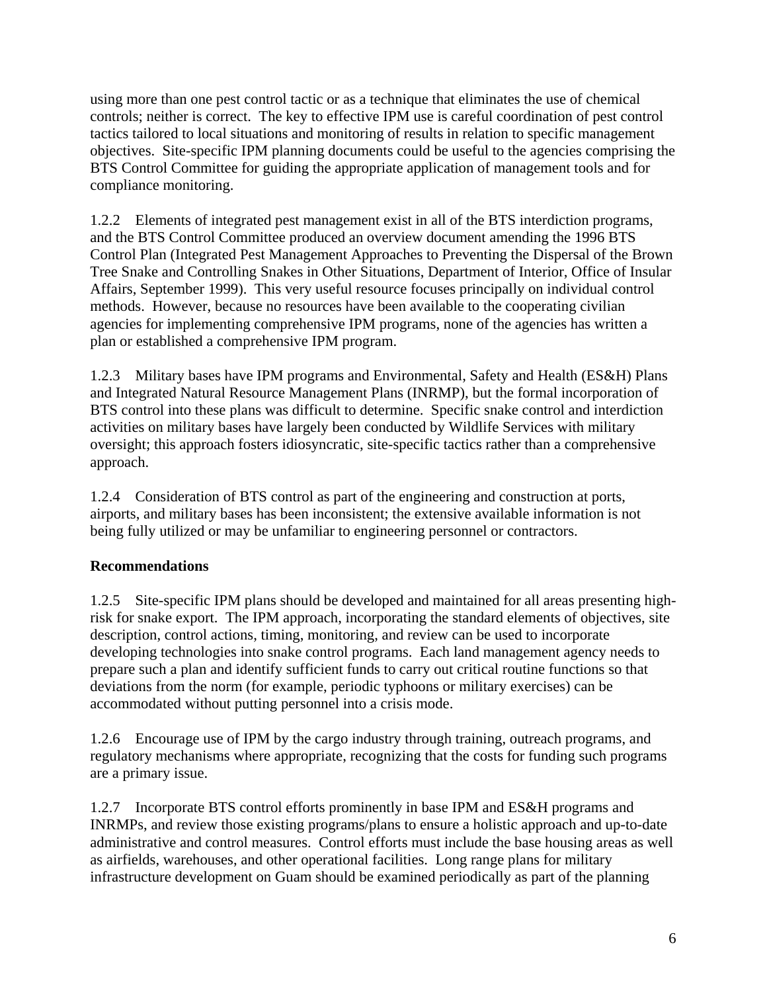using more than one pest control tactic or as a technique that eliminates the use of chemical controls; neither is correct. The key to effective IPM use is careful coordination of pest control tactics tailored to local situations and monitoring of results in relation to specific management objectives. Site-specific IPM planning documents could be useful to the agencies comprising the BTS Control Committee for guiding the appropriate application of management tools and for compliance monitoring.

1.2.2 Elements of integrated pest management exist in all of the BTS interdiction programs, and the BTS Control Committee produced an overview document amending the 1996 BTS Control Plan (Integrated Pest Management Approaches to Preventing the Dispersal of the Brown Tree Snake and Controlling Snakes in Other Situations, Department of Interior, Office of Insular Affairs, September 1999). This very useful resource focuses principally on individual control methods. However, because no resources have been available to the cooperating civilian agencies for implementing comprehensive IPM programs, none of the agencies has written a plan or established a comprehensive IPM program.

1.2.3 Military bases have IPM programs and Environmental, Safety and Health (ES&H) Plans and Integrated Natural Resource Management Plans (INRMP), but the formal incorporation of BTS control into these plans was difficult to determine. Specific snake control and interdiction activities on military bases have largely been conducted by Wildlife Services with military oversight; this approach fosters idiosyncratic, site-specific tactics rather than a comprehensive approach.

1.2.4 Consideration of BTS control as part of the engineering and construction at ports, airports, and military bases has been inconsistent; the extensive available information is not being fully utilized or may be unfamiliar to engineering personnel or contractors.

## **Recommendations**

1.2.5 Site-specific IPM plans should be developed and maintained for all areas presenting highrisk for snake export. The IPM approach, incorporating the standard elements of objectives, site description, control actions, timing, monitoring, and review can be used to incorporate developing technologies into snake control programs. Each land management agency needs to prepare such a plan and identify sufficient funds to carry out critical routine functions so that deviations from the norm (for example, periodic typhoons or military exercises) can be accommodated without putting personnel into a crisis mode.

1.2.6 Encourage use of IPM by the cargo industry through training, outreach programs, and regulatory mechanisms where appropriate, recognizing that the costs for funding such programs are a primary issue.

1.2.7 Incorporate BTS control efforts prominently in base IPM and ES&H programs and INRMPs, and review those existing programs/plans to ensure a holistic approach and up-to-date administrative and control measures. Control efforts must include the base housing areas as well as airfields, warehouses, and other operational facilities. Long range plans for military infrastructure development on Guam should be examined periodically as part of the planning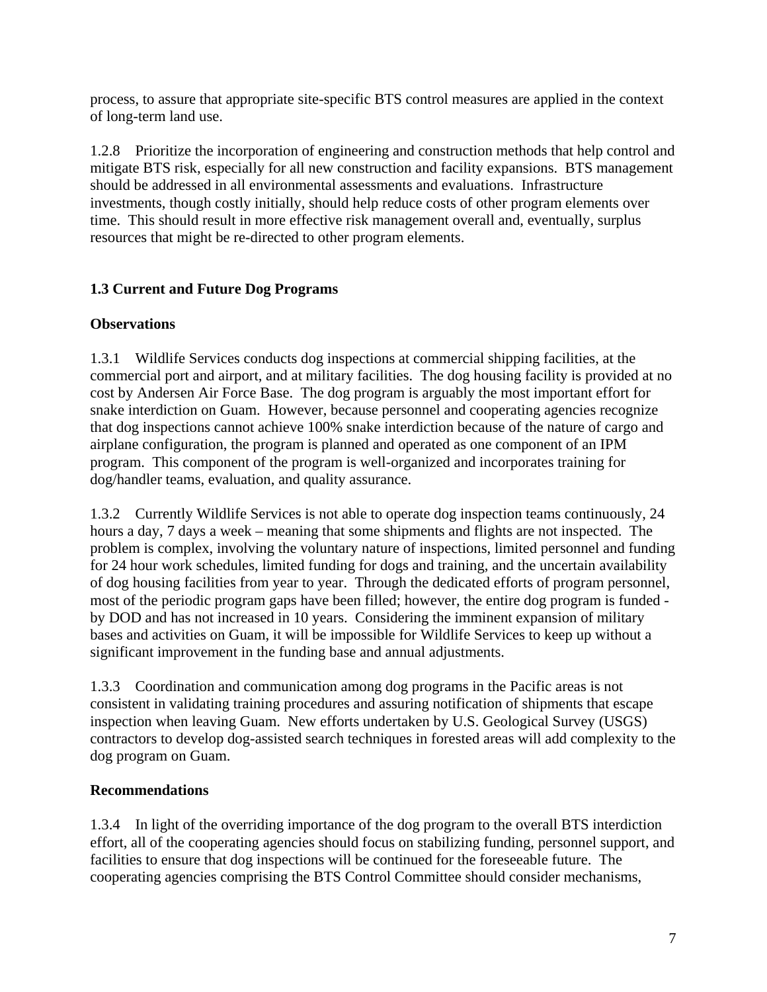process, to assure that appropriate site-specific BTS control measures are applied in the context of long-term land use.

1.2.8 Prioritize the incorporation of engineering and construction methods that help control and mitigate BTS risk, especially for all new construction and facility expansions. BTS management should be addressed in all environmental assessments and evaluations. Infrastructure investments, though costly initially, should help reduce costs of other program elements over time. This should result in more effective risk management overall and, eventually, surplus resources that might be re-directed to other program elements.

## **1.3 Current and Future Dog Programs**

## **Observations**

1.3.1 Wildlife Services conducts dog inspections at commercial shipping facilities, at the commercial port and airport, and at military facilities. The dog housing facility is provided at no cost by Andersen Air Force Base. The dog program is arguably the most important effort for snake interdiction on Guam. However, because personnel and cooperating agencies recognize that dog inspections cannot achieve 100% snake interdiction because of the nature of cargo and airplane configuration, the program is planned and operated as one component of an IPM program. This component of the program is well-organized and incorporates training for dog/handler teams, evaluation, and quality assurance.

1.3.2 Currently Wildlife Services is not able to operate dog inspection teams continuously, 24 hours a day, 7 days a week – meaning that some shipments and flights are not inspected. The problem is complex, involving the voluntary nature of inspections, limited personnel and funding for 24 hour work schedules, limited funding for dogs and training, and the uncertain availability of dog housing facilities from year to year. Through the dedicated efforts of program personnel, most of the periodic program gaps have been filled; however, the entire dog program is funded by DOD and has not increased in 10 years. Considering the imminent expansion of military bases and activities on Guam, it will be impossible for Wildlife Services to keep up without a significant improvement in the funding base and annual adjustments.

1.3.3 Coordination and communication among dog programs in the Pacific areas is not consistent in validating training procedures and assuring notification of shipments that escape inspection when leaving Guam. New efforts undertaken by U.S. Geological Survey (USGS) contractors to develop dog-assisted search techniques in forested areas will add complexity to the dog program on Guam.

## **Recommendations**

1.3.4 In light of the overriding importance of the dog program to the overall BTS interdiction effort, all of the cooperating agencies should focus on stabilizing funding, personnel support, and facilities to ensure that dog inspections will be continued for the foreseeable future. The cooperating agencies comprising the BTS Control Committee should consider mechanisms,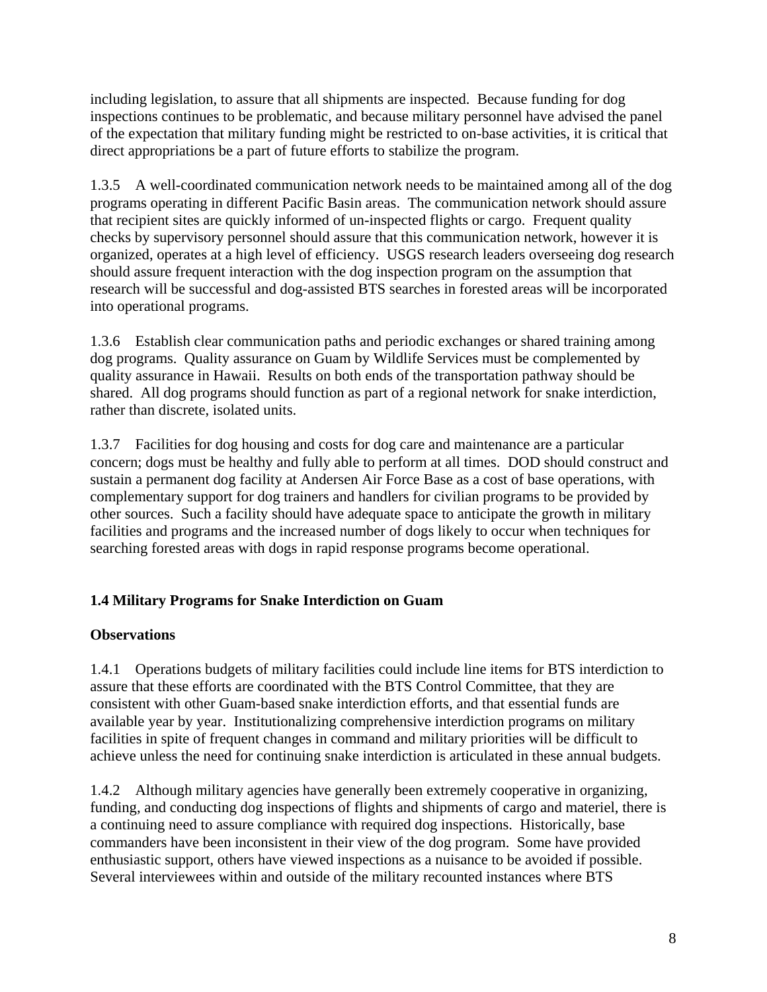including legislation, to assure that all shipments are inspected. Because funding for dog inspections continues to be problematic, and because military personnel have advised the panel of the expectation that military funding might be restricted to on-base activities, it is critical that direct appropriations be a part of future efforts to stabilize the program.

1.3.5 A well-coordinated communication network needs to be maintained among all of the dog programs operating in different Pacific Basin areas. The communication network should assure that recipient sites are quickly informed of un-inspected flights or cargo. Frequent quality checks by supervisory personnel should assure that this communication network, however it is organized, operates at a high level of efficiency. USGS research leaders overseeing dog research should assure frequent interaction with the dog inspection program on the assumption that research will be successful and dog-assisted BTS searches in forested areas will be incorporated into operational programs.

1.3.6 Establish clear communication paths and periodic exchanges or shared training among dog programs. Quality assurance on Guam by Wildlife Services must be complemented by quality assurance in Hawaii. Results on both ends of the transportation pathway should be shared. All dog programs should function as part of a regional network for snake interdiction, rather than discrete, isolated units.

1.3.7 Facilities for dog housing and costs for dog care and maintenance are a particular concern; dogs must be healthy and fully able to perform at all times. DOD should construct and sustain a permanent dog facility at Andersen Air Force Base as a cost of base operations, with complementary support for dog trainers and handlers for civilian programs to be provided by other sources. Such a facility should have adequate space to anticipate the growth in military facilities and programs and the increased number of dogs likely to occur when techniques for searching forested areas with dogs in rapid response programs become operational.

## **1.4 Military Programs for Snake Interdiction on Guam**

## **Observations**

1.4.1 Operations budgets of military facilities could include line items for BTS interdiction to assure that these efforts are coordinated with the BTS Control Committee, that they are consistent with other Guam-based snake interdiction efforts, and that essential funds are available year by year. Institutionalizing comprehensive interdiction programs on military facilities in spite of frequent changes in command and military priorities will be difficult to achieve unless the need for continuing snake interdiction is articulated in these annual budgets.

1.4.2 Although military agencies have generally been extremely cooperative in organizing, funding, and conducting dog inspections of flights and shipments of cargo and materiel, there is a continuing need to assure compliance with required dog inspections. Historically, base commanders have been inconsistent in their view of the dog program. Some have provided enthusiastic support, others have viewed inspections as a nuisance to be avoided if possible. Several interviewees within and outside of the military recounted instances where BTS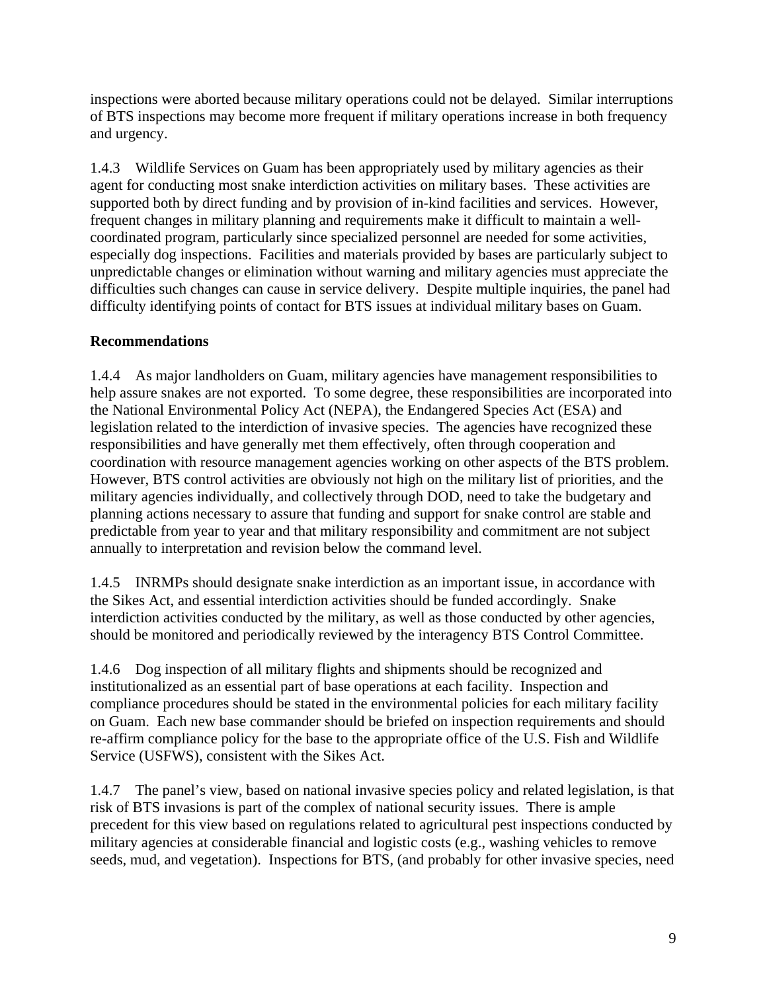inspections were aborted because military operations could not be delayed. Similar interruptions of BTS inspections may become more frequent if military operations increase in both frequency and urgency.

1.4.3 Wildlife Services on Guam has been appropriately used by military agencies as their agent for conducting most snake interdiction activities on military bases. These activities are supported both by direct funding and by provision of in-kind facilities and services. However, frequent changes in military planning and requirements make it difficult to maintain a wellcoordinated program, particularly since specialized personnel are needed for some activities, especially dog inspections. Facilities and materials provided by bases are particularly subject to unpredictable changes or elimination without warning and military agencies must appreciate the difficulties such changes can cause in service delivery. Despite multiple inquiries, the panel had difficulty identifying points of contact for BTS issues at individual military bases on Guam.

## **Recommendations**

1.4.4 As major landholders on Guam, military agencies have management responsibilities to help assure snakes are not exported. To some degree, these responsibilities are incorporated into the National Environmental Policy Act (NEPA), the Endangered Species Act (ESA) and legislation related to the interdiction of invasive species. The agencies have recognized these responsibilities and have generally met them effectively, often through cooperation and coordination with resource management agencies working on other aspects of the BTS problem. However, BTS control activities are obviously not high on the military list of priorities, and the military agencies individually, and collectively through DOD, need to take the budgetary and planning actions necessary to assure that funding and support for snake control are stable and predictable from year to year and that military responsibility and commitment are not subject annually to interpretation and revision below the command level.

1.4.5 INRMPs should designate snake interdiction as an important issue, in accordance with the Sikes Act, and essential interdiction activities should be funded accordingly. Snake interdiction activities conducted by the military, as well as those conducted by other agencies, should be monitored and periodically reviewed by the interagency BTS Control Committee.

1.4.6 Dog inspection of all military flights and shipments should be recognized and institutionalized as an essential part of base operations at each facility. Inspection and compliance procedures should be stated in the environmental policies for each military facility on Guam. Each new base commander should be briefed on inspection requirements and should re-affirm compliance policy for the base to the appropriate office of the U.S. Fish and Wildlife Service (USFWS), consistent with the Sikes Act.

1.4.7 The panel's view, based on national invasive species policy and related legislation, is that risk of BTS invasions is part of the complex of national security issues. There is ample precedent for this view based on regulations related to agricultural pest inspections conducted by military agencies at considerable financial and logistic costs (e.g., washing vehicles to remove seeds, mud, and vegetation). Inspections for BTS, (and probably for other invasive species, need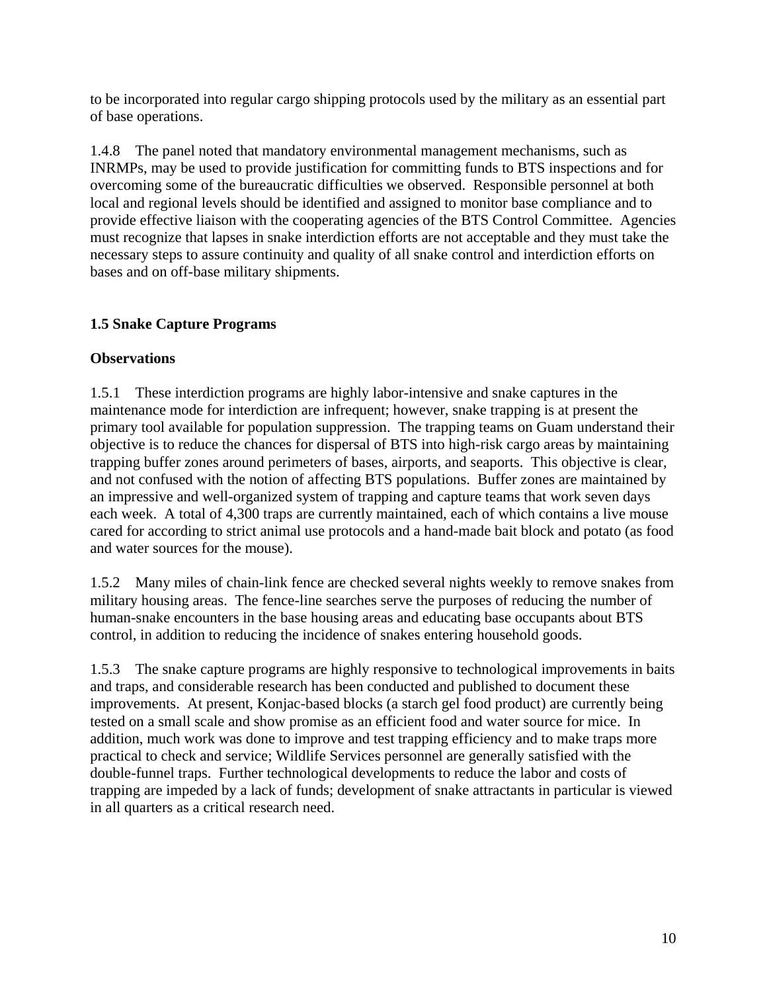to be incorporated into regular cargo shipping protocols used by the military as an essential part of base operations.

1.4.8 The panel noted that mandatory environmental management mechanisms, such as INRMPs, may be used to provide justification for committing funds to BTS inspections and for overcoming some of the bureaucratic difficulties we observed. Responsible personnel at both local and regional levels should be identified and assigned to monitor base compliance and to provide effective liaison with the cooperating agencies of the BTS Control Committee. Agencies must recognize that lapses in snake interdiction efforts are not acceptable and they must take the necessary steps to assure continuity and quality of all snake control and interdiction efforts on bases and on off-base military shipments.

## **1.5 Snake Capture Programs**

#### **Observations**

1.5.1 These interdiction programs are highly labor-intensive and snake captures in the maintenance mode for interdiction are infrequent; however, snake trapping is at present the primary tool available for population suppression. The trapping teams on Guam understand their objective is to reduce the chances for dispersal of BTS into high-risk cargo areas by maintaining trapping buffer zones around perimeters of bases, airports, and seaports. This objective is clear, and not confused with the notion of affecting BTS populations. Buffer zones are maintained by an impressive and well-organized system of trapping and capture teams that work seven days each week. A total of 4,300 traps are currently maintained, each of which contains a live mouse cared for according to strict animal use protocols and a hand-made bait block and potato (as food and water sources for the mouse).

1.5.2 Many miles of chain-link fence are checked several nights weekly to remove snakes from military housing areas. The fence-line searches serve the purposes of reducing the number of human-snake encounters in the base housing areas and educating base occupants about BTS control, in addition to reducing the incidence of snakes entering household goods.

1.5.3 The snake capture programs are highly responsive to technological improvements in baits and traps, and considerable research has been conducted and published to document these improvements. At present, Konjac-based blocks (a starch gel food product) are currently being tested on a small scale and show promise as an efficient food and water source for mice. In addition, much work was done to improve and test trapping efficiency and to make traps more practical to check and service; Wildlife Services personnel are generally satisfied with the double-funnel traps. Further technological developments to reduce the labor and costs of trapping are impeded by a lack of funds; development of snake attractants in particular is viewed in all quarters as a critical research need.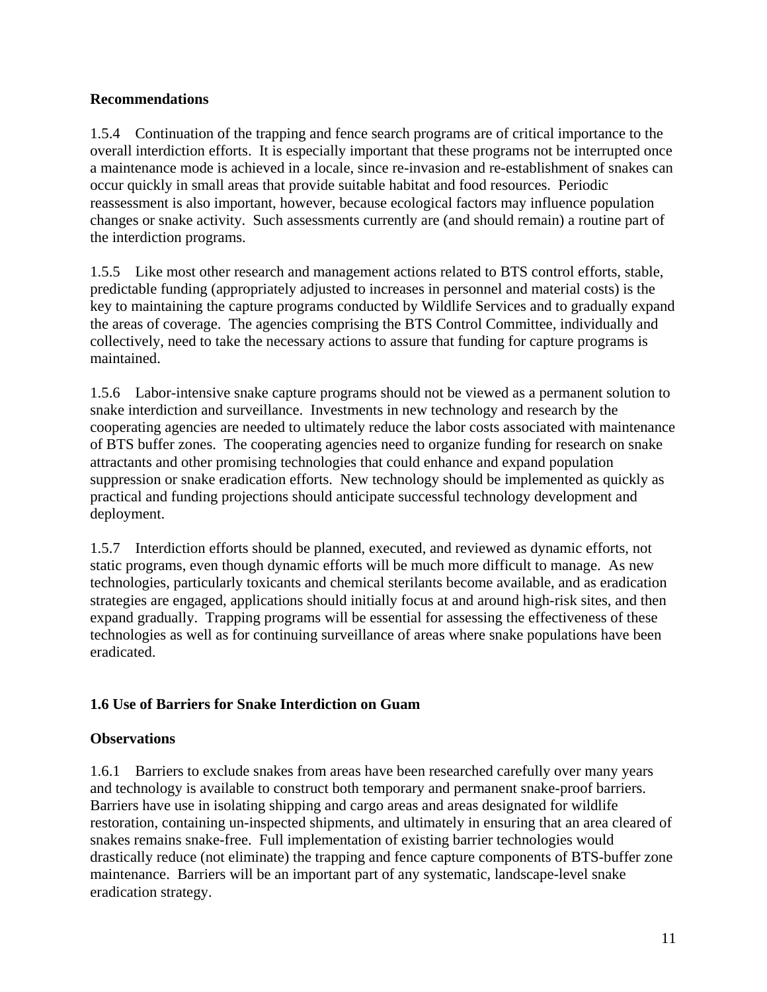#### **Recommendations**

1.5.4 Continuation of the trapping and fence search programs are of critical importance to the overall interdiction efforts. It is especially important that these programs not be interrupted once a maintenance mode is achieved in a locale, since re-invasion and re-establishment of snakes can occur quickly in small areas that provide suitable habitat and food resources. Periodic reassessment is also important, however, because ecological factors may influence population changes or snake activity. Such assessments currently are (and should remain) a routine part of the interdiction programs.

1.5.5 Like most other research and management actions related to BTS control efforts, stable, predictable funding (appropriately adjusted to increases in personnel and material costs) is the key to maintaining the capture programs conducted by Wildlife Services and to gradually expand the areas of coverage. The agencies comprising the BTS Control Committee, individually and collectively, need to take the necessary actions to assure that funding for capture programs is maintained.

1.5.6 Labor-intensive snake capture programs should not be viewed as a permanent solution to snake interdiction and surveillance. Investments in new technology and research by the cooperating agencies are needed to ultimately reduce the labor costs associated with maintenance of BTS buffer zones. The cooperating agencies need to organize funding for research on snake attractants and other promising technologies that could enhance and expand population suppression or snake eradication efforts. New technology should be implemented as quickly as practical and funding projections should anticipate successful technology development and deployment.

1.5.7 Interdiction efforts should be planned, executed, and reviewed as dynamic efforts, not static programs, even though dynamic efforts will be much more difficult to manage. As new technologies, particularly toxicants and chemical sterilants become available, and as eradication strategies are engaged, applications should initially focus at and around high-risk sites, and then expand gradually. Trapping programs will be essential for assessing the effectiveness of these technologies as well as for continuing surveillance of areas where snake populations have been eradicated.

## **1.6 Use of Barriers for Snake Interdiction on Guam**

## **Observations**

1.6.1 Barriers to exclude snakes from areas have been researched carefully over many years and technology is available to construct both temporary and permanent snake-proof barriers. Barriers have use in isolating shipping and cargo areas and areas designated for wildlife restoration, containing un-inspected shipments, and ultimately in ensuring that an area cleared of snakes remains snake-free. Full implementation of existing barrier technologies would drastically reduce (not eliminate) the trapping and fence capture components of BTS-buffer zone maintenance. Barriers will be an important part of any systematic, landscape-level snake eradication strategy.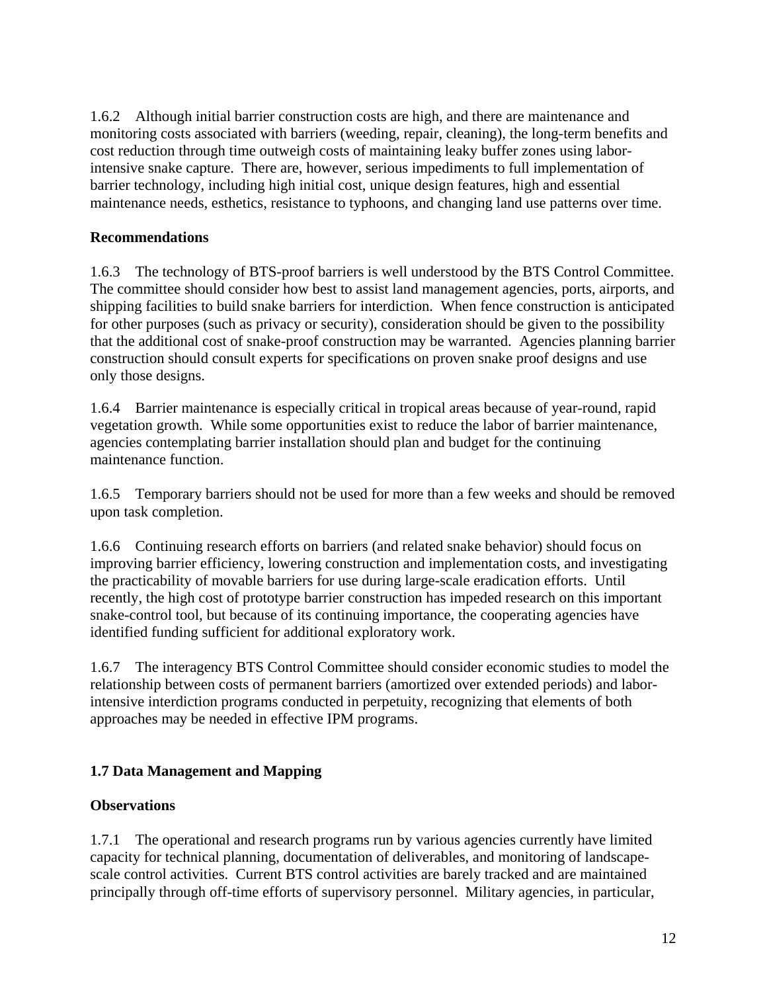1.6.2 Although initial barrier construction costs are high, and there are maintenance and monitoring costs associated with barriers (weeding, repair, cleaning), the long-term benefits and cost reduction through time outweigh costs of maintaining leaky buffer zones using laborintensive snake capture. There are, however, serious impediments to full implementation of barrier technology, including high initial cost, unique design features, high and essential maintenance needs, esthetics, resistance to typhoons, and changing land use patterns over time.

## **Recommendations**

1.6.3 The technology of BTS-proof barriers is well understood by the BTS Control Committee. The committee should consider how best to assist land management agencies, ports, airports, and shipping facilities to build snake barriers for interdiction. When fence construction is anticipated for other purposes (such as privacy or security), consideration should be given to the possibility that the additional cost of snake-proof construction may be warranted. Agencies planning barrier construction should consult experts for specifications on proven snake proof designs and use only those designs.

1.6.4 Barrier maintenance is especially critical in tropical areas because of year-round, rapid vegetation growth. While some opportunities exist to reduce the labor of barrier maintenance, agencies contemplating barrier installation should plan and budget for the continuing maintenance function.

1.6.5 Temporary barriers should not be used for more than a few weeks and should be removed upon task completion.

1.6.6 Continuing research efforts on barriers (and related snake behavior) should focus on improving barrier efficiency, lowering construction and implementation costs, and investigating the practicability of movable barriers for use during large-scale eradication efforts. Until recently, the high cost of prototype barrier construction has impeded research on this important snake-control tool, but because of its continuing importance, the cooperating agencies have identified funding sufficient for additional exploratory work.

1.6.7 The interagency BTS Control Committee should consider economic studies to model the relationship between costs of permanent barriers (amortized over extended periods) and laborintensive interdiction programs conducted in perpetuity, recognizing that elements of both approaches may be needed in effective IPM programs.

## **1.7 Data Management and Mapping**

#### **Observations**

1.7.1 The operational and research programs run by various agencies currently have limited capacity for technical planning, documentation of deliverables, and monitoring of landscapescale control activities. Current BTS control activities are barely tracked and are maintained principally through off-time efforts of supervisory personnel. Military agencies, in particular,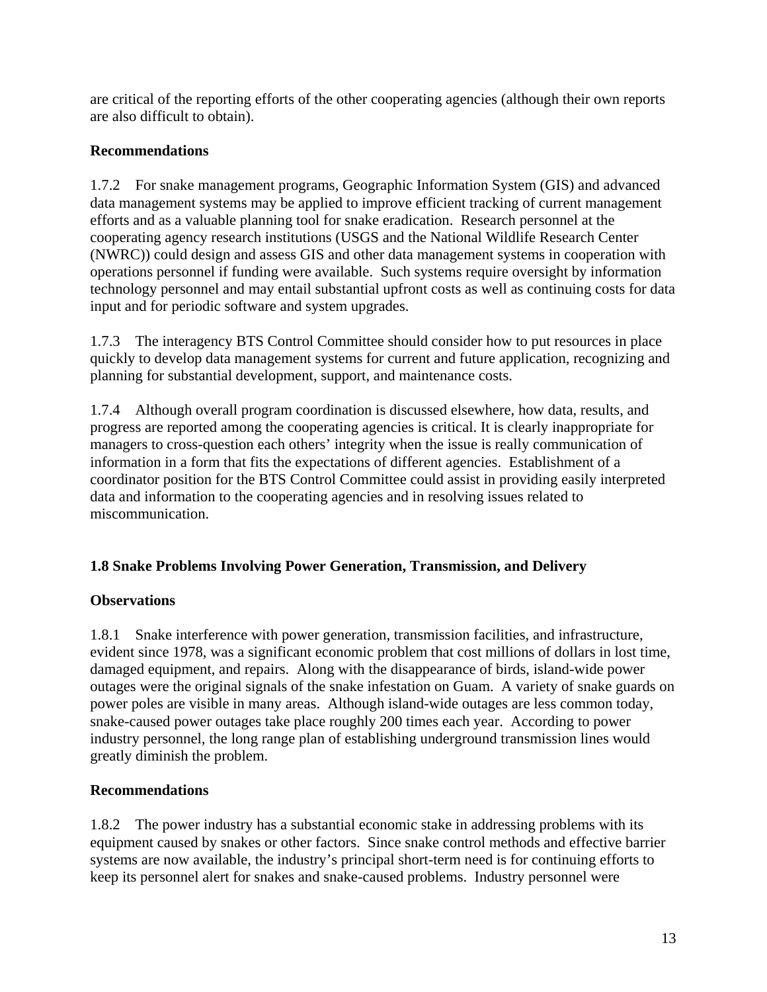are critical of the reporting efforts of the other cooperating agencies (although their own reports are also difficult to obtain).

## **Recommendations**

1.7.2 For snake management programs, Geographic Information System (GIS) and advanced data management systems may be applied to improve efficient tracking of current management efforts and as a valuable planning tool for snake eradication. Research personnel at the cooperating agency research institutions (USGS and the National Wildlife Research Center (NWRC)) could design and assess GIS and other data management systems in cooperation with operations personnel if funding were available. Such systems require oversight by information technology personnel and may entail substantial upfront costs as well as continuing costs for data input and for periodic software and system upgrades.

1.7.3 The interagency BTS Control Committee should consider how to put resources in place quickly to develop data management systems for current and future application, recognizing and planning for substantial development, support, and maintenance costs.

1.7.4 Although overall program coordination is discussed elsewhere, how data, results, and progress are reported among the cooperating agencies is critical. It is clearly inappropriate for managers to cross-question each others' integrity when the issue is really communication of information in a form that fits the expectations of different agencies. Establishment of a coordinator position for the BTS Control Committee could assist in providing easily interpreted data and information to the cooperating agencies and in resolving issues related to miscommunication.

## **1.8 Snake Problems Involving Power Generation, Transmission, and Delivery**

#### **Observations**

1.8.1 Snake interference with power generation, transmission facilities, and infrastructure, evident since 1978, was a significant economic problem that cost millions of dollars in lost time, damaged equipment, and repairs. Along with the disappearance of birds, island-wide power outages were the original signals of the snake infestation on Guam. A variety of snake guards on power poles are visible in many areas. Although island-wide outages are less common today, snake-caused power outages take place roughly 200 times each year. According to power industry personnel, the long range plan of establishing underground transmission lines would greatly diminish the problem.

#### **Recommendations**

1.8.2 The power industry has a substantial economic stake in addressing problems with its equipment caused by snakes or other factors. Since snake control methods and effective barrier systems are now available, the industry's principal short-term need is for continuing efforts to keep its personnel alert for snakes and snake-caused problems. Industry personnel were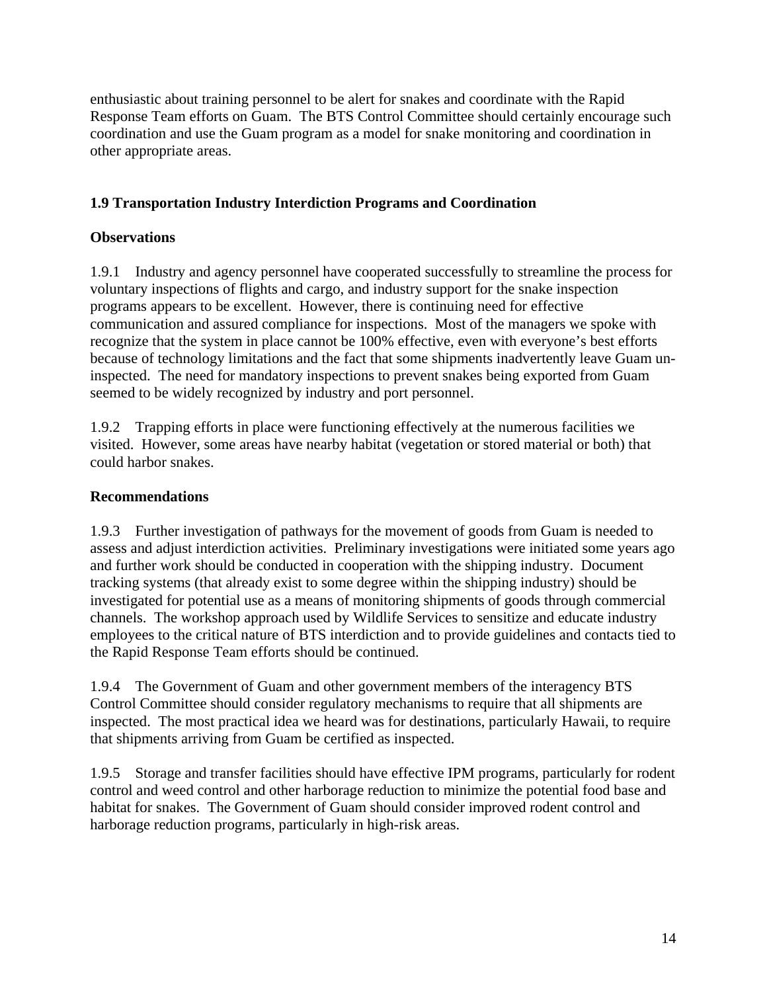enthusiastic about training personnel to be alert for snakes and coordinate with the Rapid Response Team efforts on Guam. The BTS Control Committee should certainly encourage such coordination and use the Guam program as a model for snake monitoring and coordination in other appropriate areas.

## **1.9 Transportation Industry Interdiction Programs and Coordination**

#### **Observations**

1.9.1 Industry and agency personnel have cooperated successfully to streamline the process for voluntary inspections of flights and cargo, and industry support for the snake inspection programs appears to be excellent. However, there is continuing need for effective communication and assured compliance for inspections. Most of the managers we spoke with recognize that the system in place cannot be 100% effective, even with everyone's best efforts because of technology limitations and the fact that some shipments inadvertently leave Guam uninspected. The need for mandatory inspections to prevent snakes being exported from Guam seemed to be widely recognized by industry and port personnel.

1.9.2 Trapping efforts in place were functioning effectively at the numerous facilities we visited. However, some areas have nearby habitat (vegetation or stored material or both) that could harbor snakes.

#### **Recommendations**

1.9.3 Further investigation of pathways for the movement of goods from Guam is needed to assess and adjust interdiction activities. Preliminary investigations were initiated some years ago and further work should be conducted in cooperation with the shipping industry. Document tracking systems (that already exist to some degree within the shipping industry) should be investigated for potential use as a means of monitoring shipments of goods through commercial channels. The workshop approach used by Wildlife Services to sensitize and educate industry employees to the critical nature of BTS interdiction and to provide guidelines and contacts tied to the Rapid Response Team efforts should be continued.

1.9.4 The Government of Guam and other government members of the interagency BTS Control Committee should consider regulatory mechanisms to require that all shipments are inspected. The most practical idea we heard was for destinations, particularly Hawaii, to require that shipments arriving from Guam be certified as inspected.

1.9.5 Storage and transfer facilities should have effective IPM programs, particularly for rodent control and weed control and other harborage reduction to minimize the potential food base and habitat for snakes. The Government of Guam should consider improved rodent control and harborage reduction programs, particularly in high-risk areas.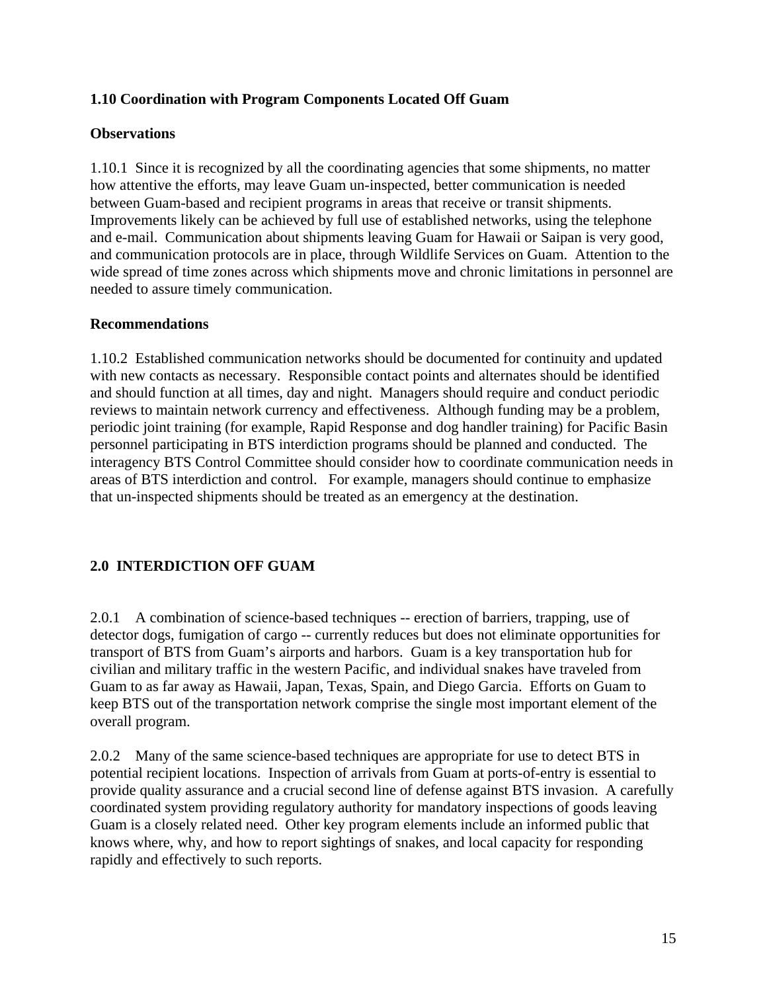#### **1.10 Coordination with Program Components Located Off Guam**

#### **Observations**

1.10.1 Since it is recognized by all the coordinating agencies that some shipments, no matter how attentive the efforts, may leave Guam un-inspected, better communication is needed between Guam-based and recipient programs in areas that receive or transit shipments. Improvements likely can be achieved by full use of established networks, using the telephone and e-mail. Communication about shipments leaving Guam for Hawaii or Saipan is very good, and communication protocols are in place, through Wildlife Services on Guam. Attention to the wide spread of time zones across which shipments move and chronic limitations in personnel are needed to assure timely communication.

#### **Recommendations**

1.10.2 Established communication networks should be documented for continuity and updated with new contacts as necessary. Responsible contact points and alternates should be identified and should function at all times, day and night. Managers should require and conduct periodic reviews to maintain network currency and effectiveness. Although funding may be a problem, periodic joint training (for example, Rapid Response and dog handler training) for Pacific Basin personnel participating in BTS interdiction programs should be planned and conducted. The interagency BTS Control Committee should consider how to coordinate communication needs in areas of BTS interdiction and control. For example, managers should continue to emphasize that un-inspected shipments should be treated as an emergency at the destination.

#### **2.0 INTERDICTION OFF GUAM**

2.0.1 A combination of science-based techniques -- erection of barriers, trapping, use of detector dogs, fumigation of cargo -- currently reduces but does not eliminate opportunities for transport of BTS from Guam's airports and harbors. Guam is a key transportation hub for civilian and military traffic in the western Pacific, and individual snakes have traveled from Guam to as far away as Hawaii, Japan, Texas, Spain, and Diego Garcia. Efforts on Guam to keep BTS out of the transportation network comprise the single most important element of the overall program.

2.0.2 Many of the same science-based techniques are appropriate for use to detect BTS in potential recipient locations. Inspection of arrivals from Guam at ports-of-entry is essential to provide quality assurance and a crucial second line of defense against BTS invasion. A carefully coordinated system providing regulatory authority for mandatory inspections of goods leaving Guam is a closely related need. Other key program elements include an informed public that knows where, why, and how to report sightings of snakes, and local capacity for responding rapidly and effectively to such reports.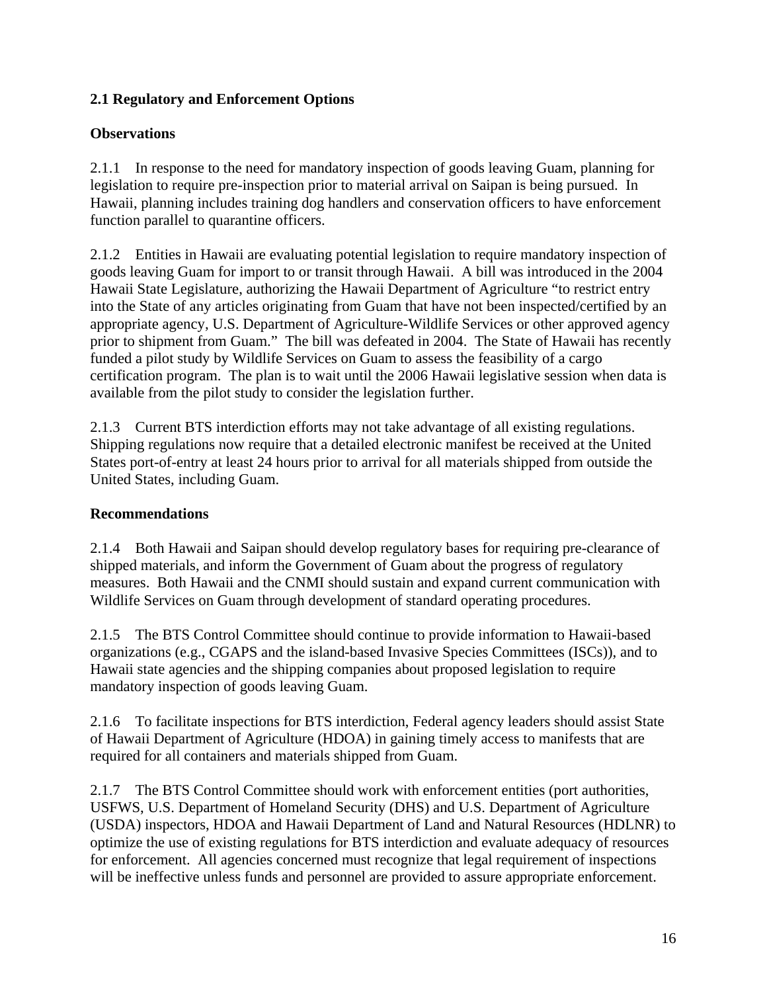## **2.1 Regulatory and Enforcement Options**

## **Observations**

2.1.1 In response to the need for mandatory inspection of goods leaving Guam, planning for legislation to require pre-inspection prior to material arrival on Saipan is being pursued. In Hawaii, planning includes training dog handlers and conservation officers to have enforcement function parallel to quarantine officers.

2.1.2 Entities in Hawaii are evaluating potential legislation to require mandatory inspection of goods leaving Guam for import to or transit through Hawaii. A bill was introduced in the 2004 Hawaii State Legislature, authorizing the Hawaii Department of Agriculture "to restrict entry into the State of any articles originating from Guam that have not been inspected/certified by an appropriate agency, U.S. Department of Agriculture-Wildlife Services or other approved agency prior to shipment from Guam." The bill was defeated in 2004. The State of Hawaii has recently funded a pilot study by Wildlife Services on Guam to assess the feasibility of a cargo certification program. The plan is to wait until the 2006 Hawaii legislative session when data is available from the pilot study to consider the legislation further.

2.1.3 Current BTS interdiction efforts may not take advantage of all existing regulations. Shipping regulations now require that a detailed electronic manifest be received at the United States port-of-entry at least 24 hours prior to arrival for all materials shipped from outside the United States, including Guam.

## **Recommendations**

2.1.4 Both Hawaii and Saipan should develop regulatory bases for requiring pre-clearance of shipped materials, and inform the Government of Guam about the progress of regulatory measures. Both Hawaii and the CNMI should sustain and expand current communication with Wildlife Services on Guam through development of standard operating procedures.

2.1.5 The BTS Control Committee should continue to provide information to Hawaii-based organizations (e.g., CGAPS and the island-based Invasive Species Committees (ISCs)), and to Hawaii state agencies and the shipping companies about proposed legislation to require mandatory inspection of goods leaving Guam.

2.1.6 To facilitate inspections for BTS interdiction, Federal agency leaders should assist State of Hawaii Department of Agriculture (HDOA) in gaining timely access to manifests that are required for all containers and materials shipped from Guam.

2.1.7 The BTS Control Committee should work with enforcement entities (port authorities, USFWS, U.S. Department of Homeland Security (DHS) and U.S. Department of Agriculture (USDA) inspectors, HDOA and Hawaii Department of Land and Natural Resources (HDLNR) to optimize the use of existing regulations for BTS interdiction and evaluate adequacy of resources for enforcement. All agencies concerned must recognize that legal requirement of inspections will be ineffective unless funds and personnel are provided to assure appropriate enforcement.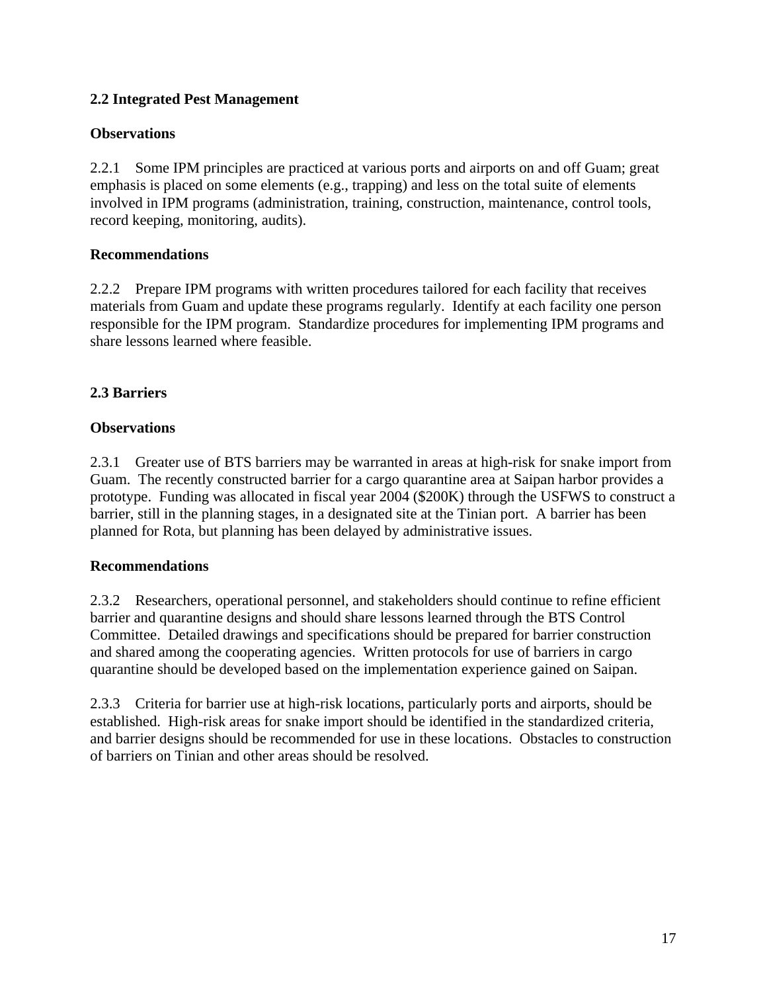## **2.2 Integrated Pest Management**

#### **Observations**

2.2.1 Some IPM principles are practiced at various ports and airports on and off Guam; great emphasis is placed on some elements (e.g., trapping) and less on the total suite of elements involved in IPM programs (administration, training, construction, maintenance, control tools, record keeping, monitoring, audits).

#### **Recommendations**

2.2.2 Prepare IPM programs with written procedures tailored for each facility that receives materials from Guam and update these programs regularly. Identify at each facility one person responsible for the IPM program. Standardize procedures for implementing IPM programs and share lessons learned where feasible.

### **2.3 Barriers**

#### **Observations**

2.3.1 Greater use of BTS barriers may be warranted in areas at high-risk for snake import from Guam. The recently constructed barrier for a cargo quarantine area at Saipan harbor provides a prototype. Funding was allocated in fiscal year 2004 (\$200K) through the USFWS to construct a barrier, still in the planning stages, in a designated site at the Tinian port. A barrier has been planned for Rota, but planning has been delayed by administrative issues.

#### **Recommendations**

2.3.2 Researchers, operational personnel, and stakeholders should continue to refine efficient barrier and quarantine designs and should share lessons learned through the BTS Control Committee. Detailed drawings and specifications should be prepared for barrier construction and shared among the cooperating agencies. Written protocols for use of barriers in cargo quarantine should be developed based on the implementation experience gained on Saipan.

2.3.3 Criteria for barrier use at high-risk locations, particularly ports and airports, should be established. High-risk areas for snake import should be identified in the standardized criteria, and barrier designs should be recommended for use in these locations. Obstacles to construction of barriers on Tinian and other areas should be resolved.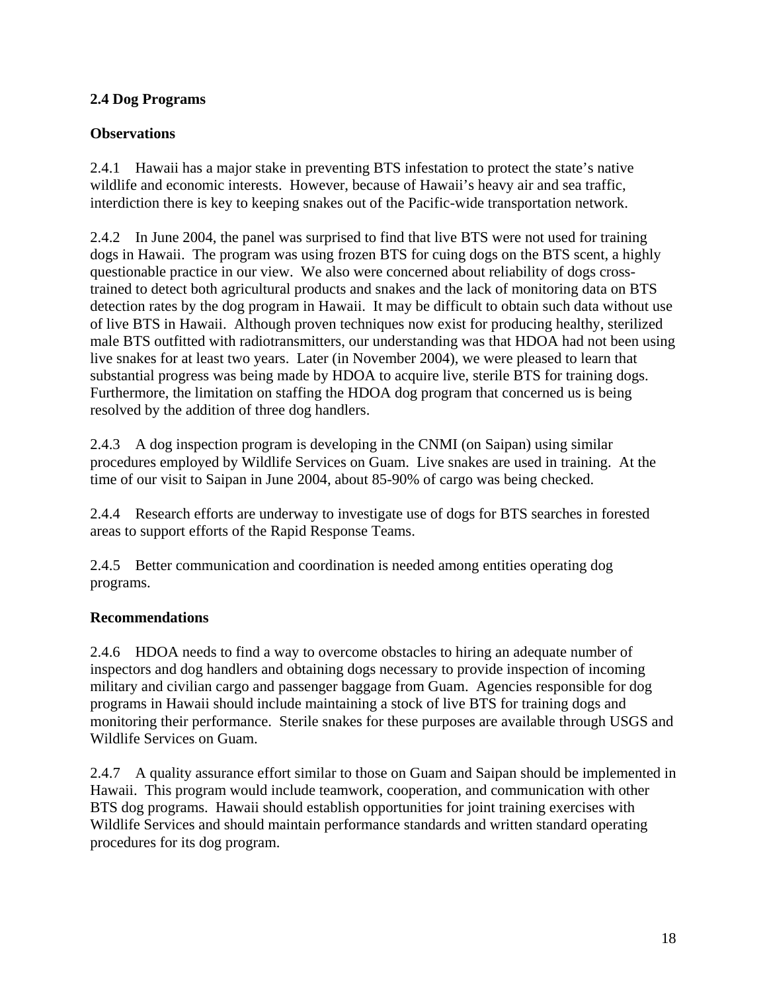## **2.4 Dog Programs**

## **Observations**

2.4.1 Hawaii has a major stake in preventing BTS infestation to protect the state's native wildlife and economic interests. However, because of Hawaii's heavy air and sea traffic, interdiction there is key to keeping snakes out of the Pacific-wide transportation network.

2.4.2 In June 2004, the panel was surprised to find that live BTS were not used for training dogs in Hawaii. The program was using frozen BTS for cuing dogs on the BTS scent, a highly questionable practice in our view. We also were concerned about reliability of dogs crosstrained to detect both agricultural products and snakes and the lack of monitoring data on BTS detection rates by the dog program in Hawaii. It may be difficult to obtain such data without use of live BTS in Hawaii. Although proven techniques now exist for producing healthy, sterilized male BTS outfitted with radiotransmitters, our understanding was that HDOA had not been using live snakes for at least two years. Later (in November 2004), we were pleased to learn that substantial progress was being made by HDOA to acquire live, sterile BTS for training dogs. Furthermore, the limitation on staffing the HDOA dog program that concerned us is being resolved by the addition of three dog handlers.

2.4.3 A dog inspection program is developing in the CNMI (on Saipan) using similar procedures employed by Wildlife Services on Guam. Live snakes are used in training. At the time of our visit to Saipan in June 2004, about 85-90% of cargo was being checked.

2.4.4 Research efforts are underway to investigate use of dogs for BTS searches in forested areas to support efforts of the Rapid Response Teams.

2.4.5 Better communication and coordination is needed among entities operating dog programs.

## **Recommendations**

2.4.6 HDOA needs to find a way to overcome obstacles to hiring an adequate number of inspectors and dog handlers and obtaining dogs necessary to provide inspection of incoming military and civilian cargo and passenger baggage from Guam. Agencies responsible for dog programs in Hawaii should include maintaining a stock of live BTS for training dogs and monitoring their performance. Sterile snakes for these purposes are available through USGS and Wildlife Services on Guam.

2.4.7 A quality assurance effort similar to those on Guam and Saipan should be implemented in Hawaii. This program would include teamwork, cooperation, and communication with other BTS dog programs. Hawaii should establish opportunities for joint training exercises with Wildlife Services and should maintain performance standards and written standard operating procedures for its dog program.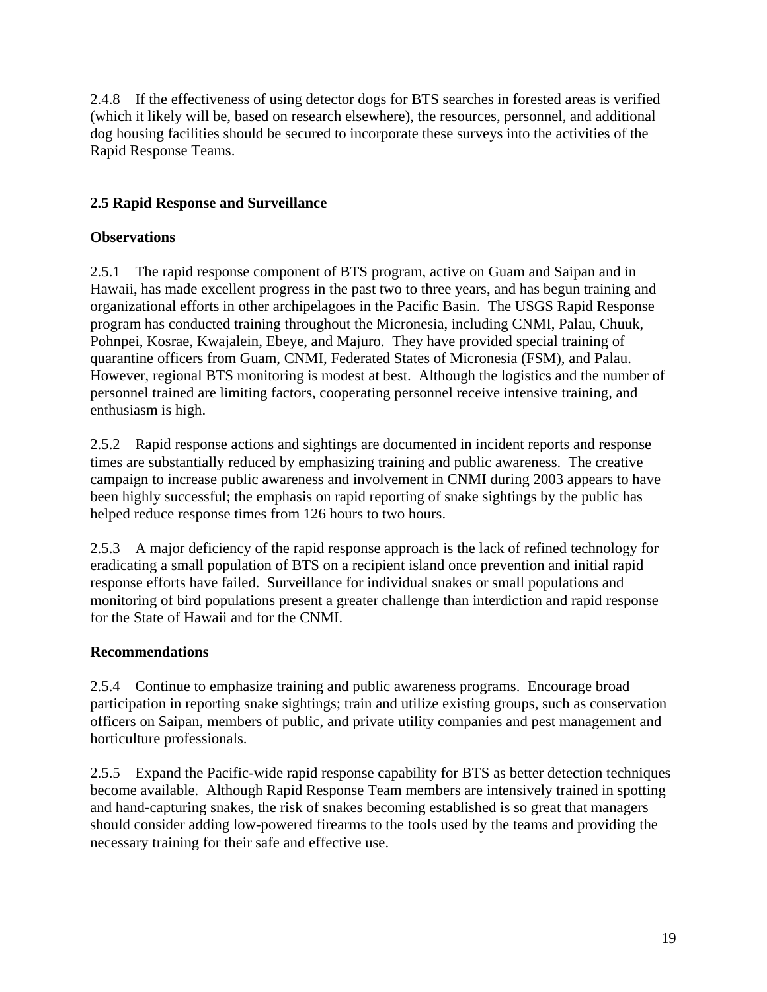2.4.8 If the effectiveness of using detector dogs for BTS searches in forested areas is verified (which it likely will be, based on research elsewhere), the resources, personnel, and additional dog housing facilities should be secured to incorporate these surveys into the activities of the Rapid Response Teams.

## **2.5 Rapid Response and Surveillance**

## **Observations**

2.5.1 The rapid response component of BTS program, active on Guam and Saipan and in Hawaii, has made excellent progress in the past two to three years, and has begun training and organizational efforts in other archipelagoes in the Pacific Basin. The USGS Rapid Response program has conducted training throughout the Micronesia, including CNMI, Palau, Chuuk, Pohnpei, Kosrae, Kwajalein, Ebeye, and Majuro. They have provided special training of quarantine officers from Guam, CNMI, Federated States of Micronesia (FSM), and Palau. However, regional BTS monitoring is modest at best. Although the logistics and the number of personnel trained are limiting factors, cooperating personnel receive intensive training, and enthusiasm is high.

2.5.2 Rapid response actions and sightings are documented in incident reports and response times are substantially reduced by emphasizing training and public awareness. The creative campaign to increase public awareness and involvement in CNMI during 2003 appears to have been highly successful; the emphasis on rapid reporting of snake sightings by the public has helped reduce response times from 126 hours to two hours.

2.5.3 A major deficiency of the rapid response approach is the lack of refined technology for eradicating a small population of BTS on a recipient island once prevention and initial rapid response efforts have failed. Surveillance for individual snakes or small populations and monitoring of bird populations present a greater challenge than interdiction and rapid response for the State of Hawaii and for the CNMI.

## **Recommendations**

2.5.4 Continue to emphasize training and public awareness programs. Encourage broad participation in reporting snake sightings; train and utilize existing groups, such as conservation officers on Saipan, members of public, and private utility companies and pest management and horticulture professionals.

2.5.5 Expand the Pacific-wide rapid response capability for BTS as better detection techniques become available. Although Rapid Response Team members are intensively trained in spotting and hand-capturing snakes, the risk of snakes becoming established is so great that managers should consider adding low-powered firearms to the tools used by the teams and providing the necessary training for their safe and effective use.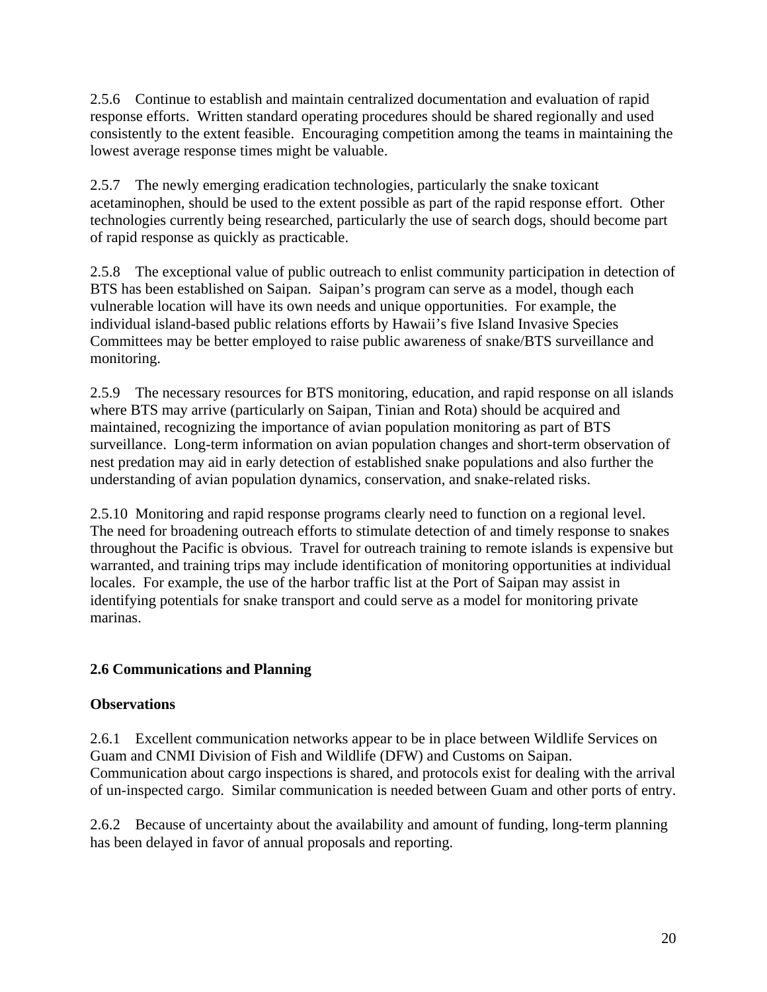2.5.6 Continue to establish and maintain centralized documentation and evaluation of rapid response efforts. Written standard operating procedures should be shared regionally and used consistently to the extent feasible. Encouraging competition among the teams in maintaining the lowest average response times might be valuable.

2.5.7 The newly emerging eradication technologies, particularly the snake toxicant acetaminophen, should be used to the extent possible as part of the rapid response effort. Other technologies currently being researched, particularly the use of search dogs, should become part of rapid response as quickly as practicable.

2.5.8 The exceptional value of public outreach to enlist community participation in detection of BTS has been established on Saipan. Saipan's program can serve as a model, though each vulnerable location will have its own needs and unique opportunities. For example, the individual island-based public relations efforts by Hawaii's five Island Invasive Species Committees may be better employed to raise public awareness of snake/BTS surveillance and monitoring.

2.5.9 The necessary resources for BTS monitoring, education, and rapid response on all islands where BTS may arrive (particularly on Saipan, Tinian and Rota) should be acquired and maintained, recognizing the importance of avian population monitoring as part of BTS surveillance. Long-term information on avian population changes and short-term observation of nest predation may aid in early detection of established snake populations and also further the understanding of avian population dynamics, conservation, and snake-related risks.

2.5.10 Monitoring and rapid response programs clearly need to function on a regional level. The need for broadening outreach efforts to stimulate detection of and timely response to snakes throughout the Pacific is obvious. Travel for outreach training to remote islands is expensive but warranted, and training trips may include identification of monitoring opportunities at individual locales. For example, the use of the harbor traffic list at the Port of Saipan may assist in identifying potentials for snake transport and could serve as a model for monitoring private marinas.

## **2.6 Communications and Planning**

#### **Observations**

2.6.1 Excellent communication networks appear to be in place between Wildlife Services on Guam and CNMI Division of Fish and Wildlife (DFW) and Customs on Saipan. Communication about cargo inspections is shared, and protocols exist for dealing with the arrival of un-inspected cargo. Similar communication is needed between Guam and other ports of entry.

2.6.2 Because of uncertainty about the availability and amount of funding, long-term planning has been delayed in favor of annual proposals and reporting.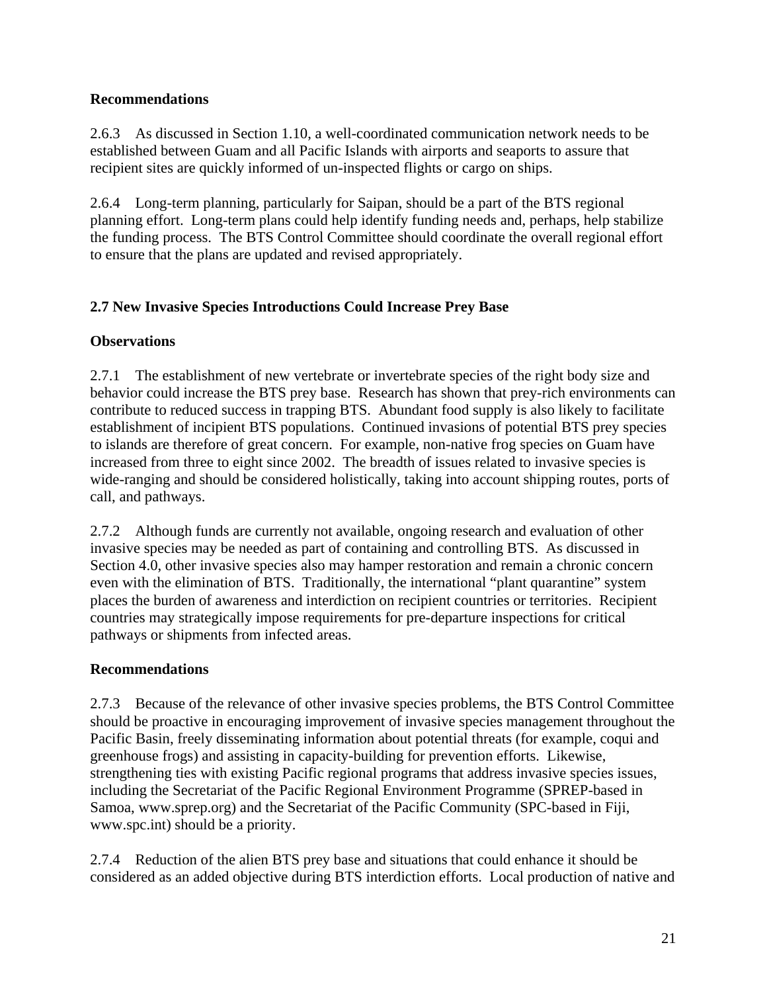## **Recommendations**

2.6.3 As discussed in Section 1.10, a well-coordinated communication network needs to be established between Guam and all Pacific Islands with airports and seaports to assure that recipient sites are quickly informed of un-inspected flights or cargo on ships.

2.6.4 Long-term planning, particularly for Saipan, should be a part of the BTS regional planning effort. Long-term plans could help identify funding needs and, perhaps, help stabilize the funding process. The BTS Control Committee should coordinate the overall regional effort to ensure that the plans are updated and revised appropriately.

## **2.7 New Invasive Species Introductions Could Increase Prey Base**

## **Observations**

2.7.1 The establishment of new vertebrate or invertebrate species of the right body size and behavior could increase the BTS prey base. Research has shown that prey-rich environments can contribute to reduced success in trapping BTS. Abundant food supply is also likely to facilitate establishment of incipient BTS populations. Continued invasions of potential BTS prey species to islands are therefore of great concern. For example, non-native frog species on Guam have increased from three to eight since 2002. The breadth of issues related to invasive species is wide-ranging and should be considered holistically, taking into account shipping routes, ports of call, and pathways.

2.7.2 Although funds are currently not available, ongoing research and evaluation of other invasive species may be needed as part of containing and controlling BTS. As discussed in Section 4.0, other invasive species also may hamper restoration and remain a chronic concern even with the elimination of BTS. Traditionally, the international "plant quarantine" system places the burden of awareness and interdiction on recipient countries or territories. Recipient countries may strategically impose requirements for pre-departure inspections for critical pathways or shipments from infected areas.

## **Recommendations**

2.7.3 Because of the relevance of other invasive species problems, the BTS Control Committee should be proactive in encouraging improvement of invasive species management throughout the Pacific Basin, freely disseminating information about potential threats (for example, coqui and greenhouse frogs) and assisting in capacity-building for prevention efforts. Likewise, strengthening ties with existing Pacific regional programs that address invasive species issues, including the Secretariat of the Pacific Regional Environment Programme (SPREP-based in Samoa, www.sprep.org) and the Secretariat of the Pacific Community (SPC-based in Fiji, www.spc.int) should be a priority.

2.7.4 Reduction of the alien BTS prey base and situations that could enhance it should be considered as an added objective during BTS interdiction efforts. Local production of native and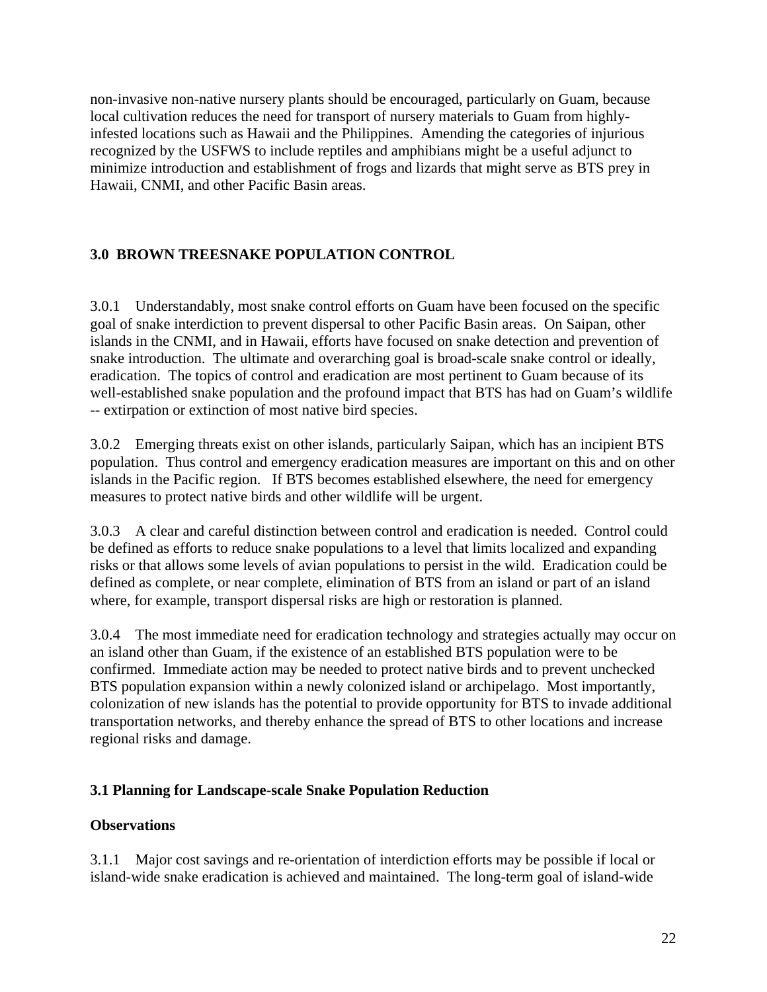non-invasive non-native nursery plants should be encouraged, particularly on Guam, because local cultivation reduces the need for transport of nursery materials to Guam from highlyinfested locations such as Hawaii and the Philippines. Amending the categories of injurious recognized by the USFWS to include reptiles and amphibians might be a useful adjunct to minimize introduction and establishment of frogs and lizards that might serve as BTS prey in Hawaii, CNMI, and other Pacific Basin areas.

## **3.0 BROWN TREESNAKE POPULATION CONTROL**

3.0.1 Understandably, most snake control efforts on Guam have been focused on the specific goal of snake interdiction to prevent dispersal to other Pacific Basin areas. On Saipan, other islands in the CNMI, and in Hawaii, efforts have focused on snake detection and prevention of snake introduction. The ultimate and overarching goal is broad-scale snake control or ideally, eradication. The topics of control and eradication are most pertinent to Guam because of its well-established snake population and the profound impact that BTS has had on Guam's wildlife -- extirpation or extinction of most native bird species.

3.0.2 Emerging threats exist on other islands, particularly Saipan, which has an incipient BTS population. Thus control and emergency eradication measures are important on this and on other islands in the Pacific region. If BTS becomes established elsewhere, the need for emergency measures to protect native birds and other wildlife will be urgent.

3.0.3 A clear and careful distinction between control and eradication is needed. Control could be defined as efforts to reduce snake populations to a level that limits localized and expanding risks or that allows some levels of avian populations to persist in the wild. Eradication could be defined as complete, or near complete, elimination of BTS from an island or part of an island where, for example, transport dispersal risks are high or restoration is planned.

3.0.4 The most immediate need for eradication technology and strategies actually may occur on an island other than Guam, if the existence of an established BTS population were to be confirmed. Immediate action may be needed to protect native birds and to prevent unchecked BTS population expansion within a newly colonized island or archipelago. Most importantly, colonization of new islands has the potential to provide opportunity for BTS to invade additional transportation networks, and thereby enhance the spread of BTS to other locations and increase regional risks and damage.

#### **3.1 Planning for Landscape-scale Snake Population Reduction**

#### **Observations**

3.1.1 Major cost savings and re-orientation of interdiction efforts may be possible if local or island-wide snake eradication is achieved and maintained. The long-term goal of island-wide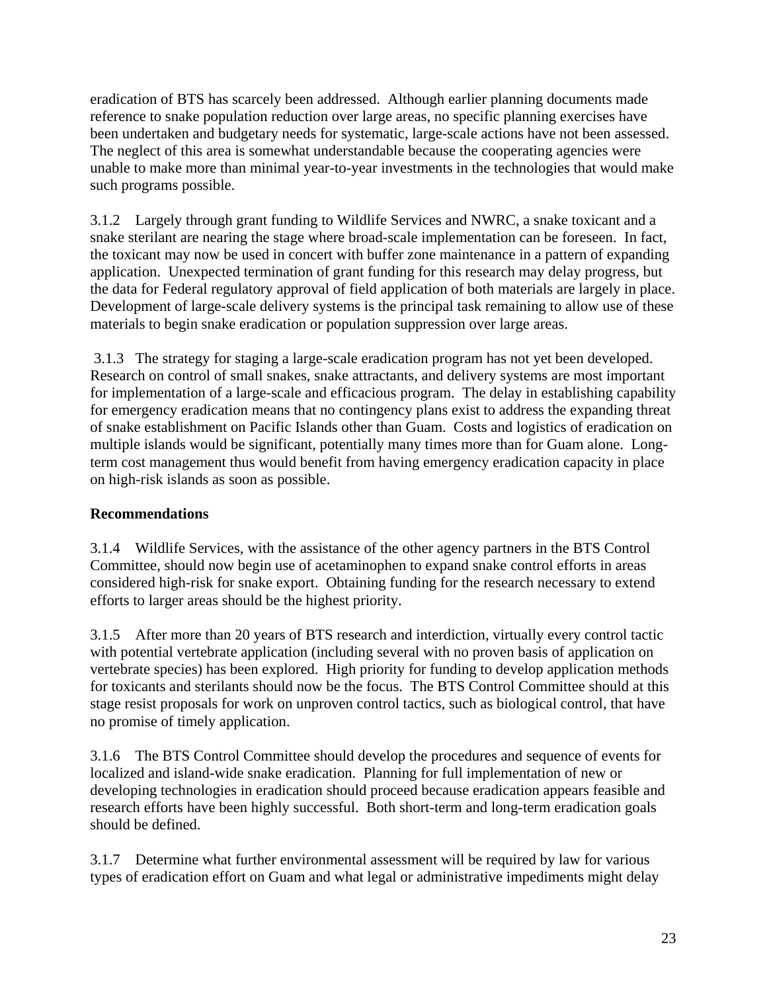eradication of BTS has scarcely been addressed. Although earlier planning documents made reference to snake population reduction over large areas, no specific planning exercises have been undertaken and budgetary needs for systematic, large-scale actions have not been assessed. The neglect of this area is somewhat understandable because the cooperating agencies were unable to make more than minimal year-to-year investments in the technologies that would make such programs possible.

3.1.2 Largely through grant funding to Wildlife Services and NWRC, a snake toxicant and a snake sterilant are nearing the stage where broad-scale implementation can be foreseen. In fact, the toxicant may now be used in concert with buffer zone maintenance in a pattern of expanding application. Unexpected termination of grant funding for this research may delay progress, but the data for Federal regulatory approval of field application of both materials are largely in place. Development of large-scale delivery systems is the principal task remaining to allow use of these materials to begin snake eradication or population suppression over large areas.

 3.1.3 The strategy for staging a large-scale eradication program has not yet been developed. Research on control of small snakes, snake attractants, and delivery systems are most important for implementation of a large-scale and efficacious program. The delay in establishing capability for emergency eradication means that no contingency plans exist to address the expanding threat of snake establishment on Pacific Islands other than Guam. Costs and logistics of eradication on multiple islands would be significant, potentially many times more than for Guam alone. Longterm cost management thus would benefit from having emergency eradication capacity in place on high-risk islands as soon as possible.

## **Recommendations**

3.1.4 Wildlife Services, with the assistance of the other agency partners in the BTS Control Committee, should now begin use of acetaminophen to expand snake control efforts in areas considered high-risk for snake export. Obtaining funding for the research necessary to extend efforts to larger areas should be the highest priority.

3.1.5 After more than 20 years of BTS research and interdiction, virtually every control tactic with potential vertebrate application (including several with no proven basis of application on vertebrate species) has been explored. High priority for funding to develop application methods for toxicants and sterilants should now be the focus. The BTS Control Committee should at this stage resist proposals for work on unproven control tactics, such as biological control, that have no promise of timely application.

3.1.6 The BTS Control Committee should develop the procedures and sequence of events for localized and island-wide snake eradication. Planning for full implementation of new or developing technologies in eradication should proceed because eradication appears feasible and research efforts have been highly successful. Both short-term and long-term eradication goals should be defined.

3.1.7 Determine what further environmental assessment will be required by law for various types of eradication effort on Guam and what legal or administrative impediments might delay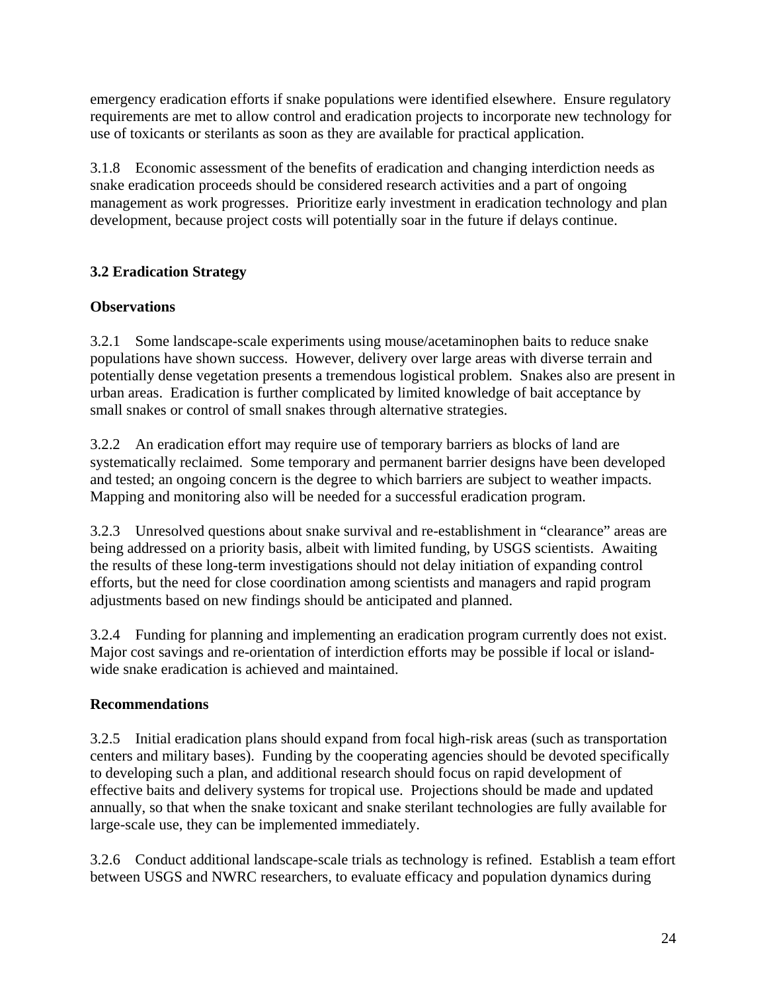emergency eradication efforts if snake populations were identified elsewhere. Ensure regulatory requirements are met to allow control and eradication projects to incorporate new technology for use of toxicants or sterilants as soon as they are available for practical application.

3.1.8 Economic assessment of the benefits of eradication and changing interdiction needs as snake eradication proceeds should be considered research activities and a part of ongoing management as work progresses. Prioritize early investment in eradication technology and plan development, because project costs will potentially soar in the future if delays continue.

## **3.2 Eradication Strategy**

## **Observations**

3.2.1 Some landscape-scale experiments using mouse/acetaminophen baits to reduce snake populations have shown success. However, delivery over large areas with diverse terrain and potentially dense vegetation presents a tremendous logistical problem. Snakes also are present in urban areas. Eradication is further complicated by limited knowledge of bait acceptance by small snakes or control of small snakes through alternative strategies.

3.2.2 An eradication effort may require use of temporary barriers as blocks of land are systematically reclaimed. Some temporary and permanent barrier designs have been developed and tested; an ongoing concern is the degree to which barriers are subject to weather impacts. Mapping and monitoring also will be needed for a successful eradication program.

3.2.3 Unresolved questions about snake survival and re-establishment in "clearance" areas are being addressed on a priority basis, albeit with limited funding, by USGS scientists. Awaiting the results of these long-term investigations should not delay initiation of expanding control efforts, but the need for close coordination among scientists and managers and rapid program adjustments based on new findings should be anticipated and planned.

3.2.4 Funding for planning and implementing an eradication program currently does not exist. Major cost savings and re-orientation of interdiction efforts may be possible if local or islandwide snake eradication is achieved and maintained.

## **Recommendations**

3.2.5 Initial eradication plans should expand from focal high-risk areas (such as transportation centers and military bases). Funding by the cooperating agencies should be devoted specifically to developing such a plan, and additional research should focus on rapid development of effective baits and delivery systems for tropical use. Projections should be made and updated annually, so that when the snake toxicant and snake sterilant technologies are fully available for large-scale use, they can be implemented immediately.

3.2.6 Conduct additional landscape-scale trials as technology is refined. Establish a team effort between USGS and NWRC researchers, to evaluate efficacy and population dynamics during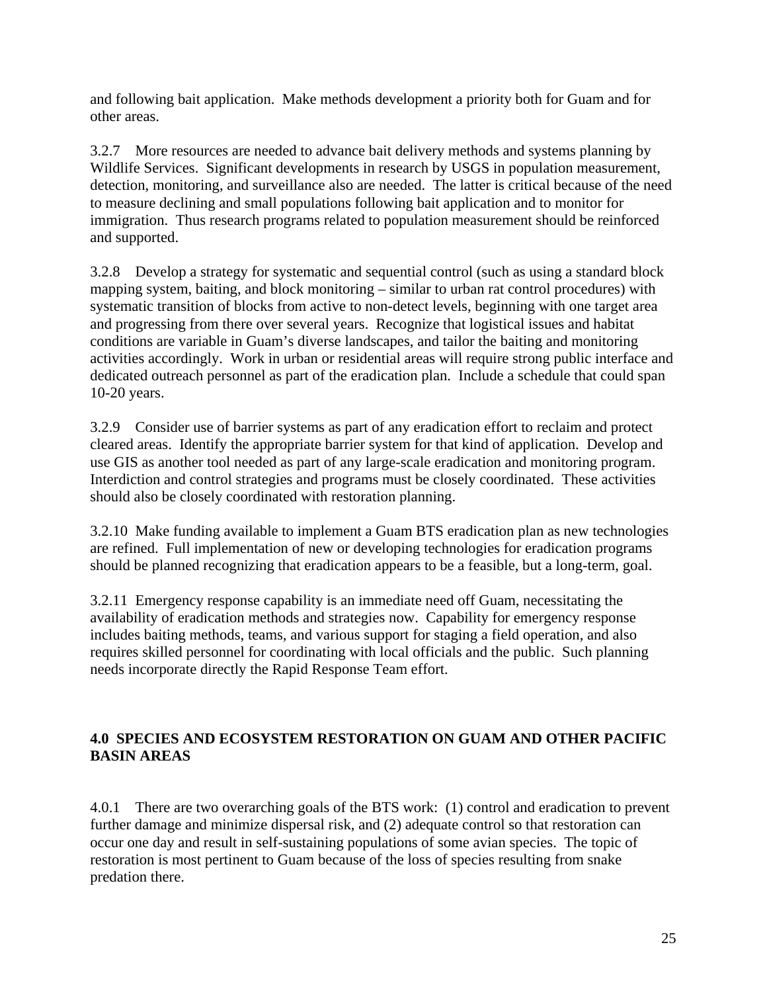and following bait application. Make methods development a priority both for Guam and for other areas.

3.2.7 More resources are needed to advance bait delivery methods and systems planning by Wildlife Services. Significant developments in research by USGS in population measurement, detection, monitoring, and surveillance also are needed. The latter is critical because of the need to measure declining and small populations following bait application and to monitor for immigration. Thus research programs related to population measurement should be reinforced and supported.

3.2.8 Develop a strategy for systematic and sequential control (such as using a standard block mapping system, baiting, and block monitoring – similar to urban rat control procedures) with systematic transition of blocks from active to non-detect levels, beginning with one target area and progressing from there over several years. Recognize that logistical issues and habitat conditions are variable in Guam's diverse landscapes, and tailor the baiting and monitoring activities accordingly. Work in urban or residential areas will require strong public interface and dedicated outreach personnel as part of the eradication plan. Include a schedule that could span 10-20 years.

3.2.9 Consider use of barrier systems as part of any eradication effort to reclaim and protect cleared areas. Identify the appropriate barrier system for that kind of application. Develop and use GIS as another tool needed as part of any large-scale eradication and monitoring program. Interdiction and control strategies and programs must be closely coordinated. These activities should also be closely coordinated with restoration planning.

3.2.10 Make funding available to implement a Guam BTS eradication plan as new technologies are refined. Full implementation of new or developing technologies for eradication programs should be planned recognizing that eradication appears to be a feasible, but a long-term, goal.

3.2.11 Emergency response capability is an immediate need off Guam, necessitating the availability of eradication methods and strategies now. Capability for emergency response includes baiting methods, teams, and various support for staging a field operation, and also requires skilled personnel for coordinating with local officials and the public. Such planning needs incorporate directly the Rapid Response Team effort.

## **4.0 SPECIES AND ECOSYSTEM RESTORATION ON GUAM AND OTHER PACIFIC BASIN AREAS**

4.0.1 There are two overarching goals of the BTS work: (1) control and eradication to prevent further damage and minimize dispersal risk, and (2) adequate control so that restoration can occur one day and result in self-sustaining populations of some avian species. The topic of restoration is most pertinent to Guam because of the loss of species resulting from snake predation there.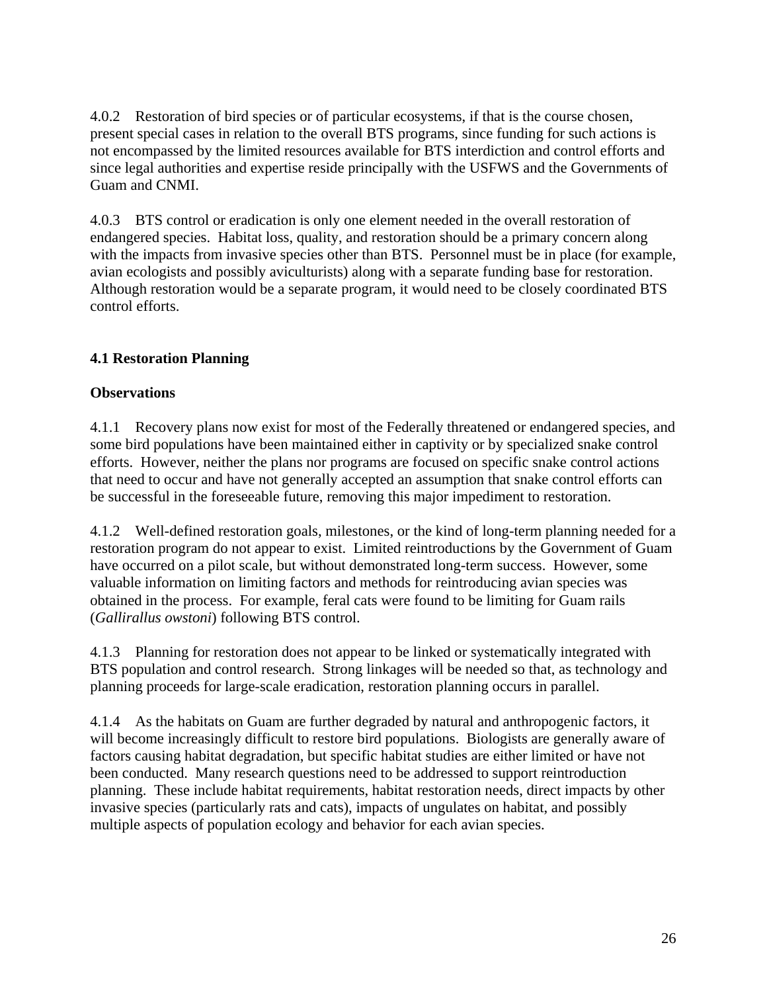4.0.2 Restoration of bird species or of particular ecosystems, if that is the course chosen, present special cases in relation to the overall BTS programs, since funding for such actions is not encompassed by the limited resources available for BTS interdiction and control efforts and since legal authorities and expertise reside principally with the USFWS and the Governments of Guam and CNMI.

4.0.3 BTS control or eradication is only one element needed in the overall restoration of endangered species. Habitat loss, quality, and restoration should be a primary concern along with the impacts from invasive species other than BTS. Personnel must be in place (for example, avian ecologists and possibly aviculturists) along with a separate funding base for restoration. Although restoration would be a separate program, it would need to be closely coordinated BTS control efforts.

## **4.1 Restoration Planning**

### **Observations**

4.1.1 Recovery plans now exist for most of the Federally threatened or endangered species, and some bird populations have been maintained either in captivity or by specialized snake control efforts. However, neither the plans nor programs are focused on specific snake control actions that need to occur and have not generally accepted an assumption that snake control efforts can be successful in the foreseeable future, removing this major impediment to restoration.

4.1.2 Well-defined restoration goals, milestones, or the kind of long-term planning needed for a restoration program do not appear to exist. Limited reintroductions by the Government of Guam have occurred on a pilot scale, but without demonstrated long-term success. However, some valuable information on limiting factors and methods for reintroducing avian species was obtained in the process. For example, feral cats were found to be limiting for Guam rails (*Gallirallus owstoni*) following BTS control.

4.1.3 Planning for restoration does not appear to be linked or systematically integrated with BTS population and control research. Strong linkages will be needed so that, as technology and planning proceeds for large-scale eradication, restoration planning occurs in parallel.

4.1.4 As the habitats on Guam are further degraded by natural and anthropogenic factors, it will become increasingly difficult to restore bird populations. Biologists are generally aware of factors causing habitat degradation, but specific habitat studies are either limited or have not been conducted. Many research questions need to be addressed to support reintroduction planning. These include habitat requirements, habitat restoration needs, direct impacts by other invasive species (particularly rats and cats), impacts of ungulates on habitat, and possibly multiple aspects of population ecology and behavior for each avian species.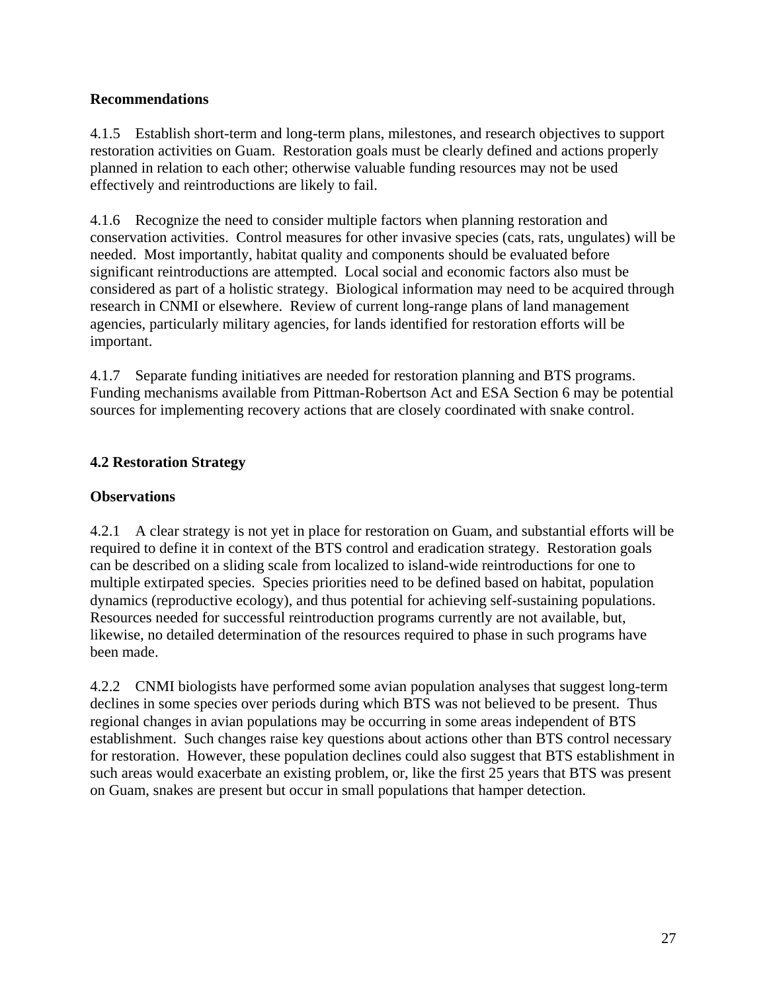#### **Recommendations**

4.1.5 Establish short-term and long-term plans, milestones, and research objectives to support restoration activities on Guam. Restoration goals must be clearly defined and actions properly planned in relation to each other; otherwise valuable funding resources may not be used effectively and reintroductions are likely to fail.

4.1.6 Recognize the need to consider multiple factors when planning restoration and conservation activities. Control measures for other invasive species (cats, rats, ungulates) will be needed. Most importantly, habitat quality and components should be evaluated before significant reintroductions are attempted. Local social and economic factors also must be considered as part of a holistic strategy. Biological information may need to be acquired through research in CNMI or elsewhere. Review of current long-range plans of land management agencies, particularly military agencies, for lands identified for restoration efforts will be important.

4.1.7 Separate funding initiatives are needed for restoration planning and BTS programs. Funding mechanisms available from Pittman-Robertson Act and ESA Section 6 may be potential sources for implementing recovery actions that are closely coordinated with snake control.

## **4.2 Restoration Strategy**

## **Observations**

4.2.1 A clear strategy is not yet in place for restoration on Guam, and substantial efforts will be required to define it in context of the BTS control and eradication strategy. Restoration goals can be described on a sliding scale from localized to island-wide reintroductions for one to multiple extirpated species. Species priorities need to be defined based on habitat, population dynamics (reproductive ecology), and thus potential for achieving self-sustaining populations. Resources needed for successful reintroduction programs currently are not available, but, likewise, no detailed determination of the resources required to phase in such programs have been made.

4.2.2 CNMI biologists have performed some avian population analyses that suggest long-term declines in some species over periods during which BTS was not believed to be present. Thus regional changes in avian populations may be occurring in some areas independent of BTS establishment. Such changes raise key questions about actions other than BTS control necessary for restoration. However, these population declines could also suggest that BTS establishment in such areas would exacerbate an existing problem, or, like the first 25 years that BTS was present on Guam, snakes are present but occur in small populations that hamper detection.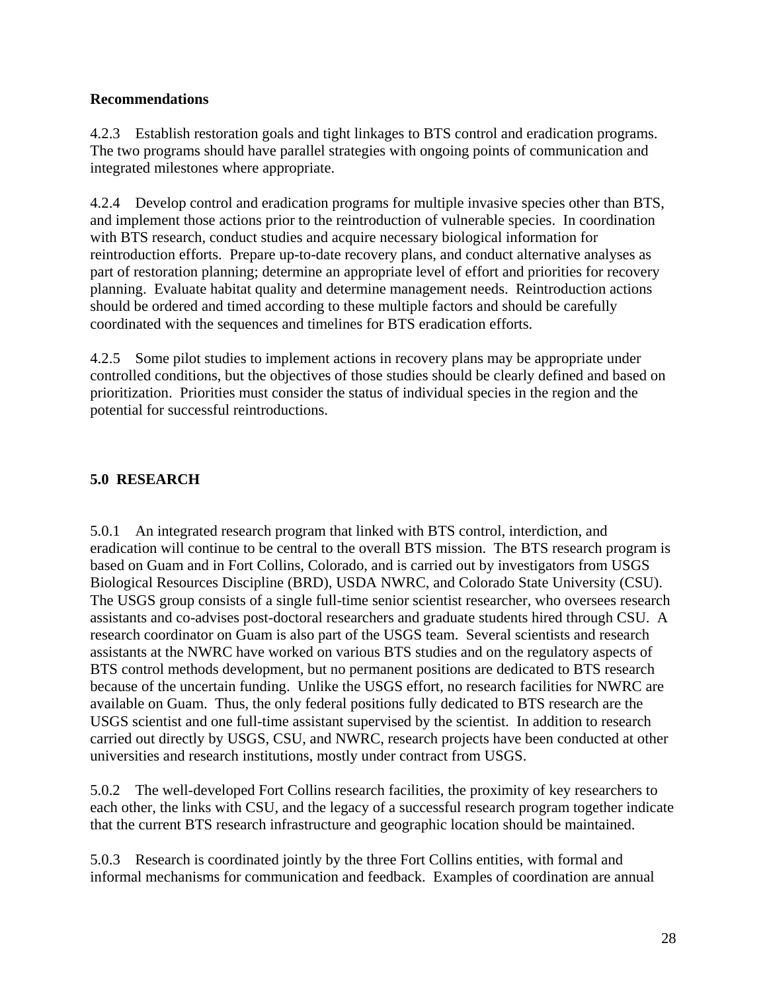#### **Recommendations**

4.2.3 Establish restoration goals and tight linkages to BTS control and eradication programs. The two programs should have parallel strategies with ongoing points of communication and integrated milestones where appropriate.

4.2.4 Develop control and eradication programs for multiple invasive species other than BTS, and implement those actions prior to the reintroduction of vulnerable species. In coordination with BTS research, conduct studies and acquire necessary biological information for reintroduction efforts. Prepare up-to-date recovery plans, and conduct alternative analyses as part of restoration planning; determine an appropriate level of effort and priorities for recovery planning. Evaluate habitat quality and determine management needs. Reintroduction actions should be ordered and timed according to these multiple factors and should be carefully coordinated with the sequences and timelines for BTS eradication efforts.

4.2.5 Some pilot studies to implement actions in recovery plans may be appropriate under controlled conditions, but the objectives of those studies should be clearly defined and based on prioritization. Priorities must consider the status of individual species in the region and the potential for successful reintroductions.

### **5.0 RESEARCH**

5.0.1 An integrated research program that linked with BTS control, interdiction, and eradication will continue to be central to the overall BTS mission. The BTS research program is based on Guam and in Fort Collins, Colorado, and is carried out by investigators from USGS Biological Resources Discipline (BRD), USDA NWRC, and Colorado State University (CSU). The USGS group consists of a single full-time senior scientist researcher, who oversees research assistants and co-advises post-doctoral researchers and graduate students hired through CSU. A research coordinator on Guam is also part of the USGS team. Several scientists and research assistants at the NWRC have worked on various BTS studies and on the regulatory aspects of BTS control methods development, but no permanent positions are dedicated to BTS research because of the uncertain funding. Unlike the USGS effort, no research facilities for NWRC are available on Guam. Thus, the only federal positions fully dedicated to BTS research are the USGS scientist and one full-time assistant supervised by the scientist. In addition to research carried out directly by USGS, CSU, and NWRC, research projects have been conducted at other universities and research institutions, mostly under contract from USGS.

5.0.2 The well-developed Fort Collins research facilities, the proximity of key researchers to each other, the links with CSU, and the legacy of a successful research program together indicate that the current BTS research infrastructure and geographic location should be maintained.

5.0.3 Research is coordinated jointly by the three Fort Collins entities, with formal and informal mechanisms for communication and feedback. Examples of coordination are annual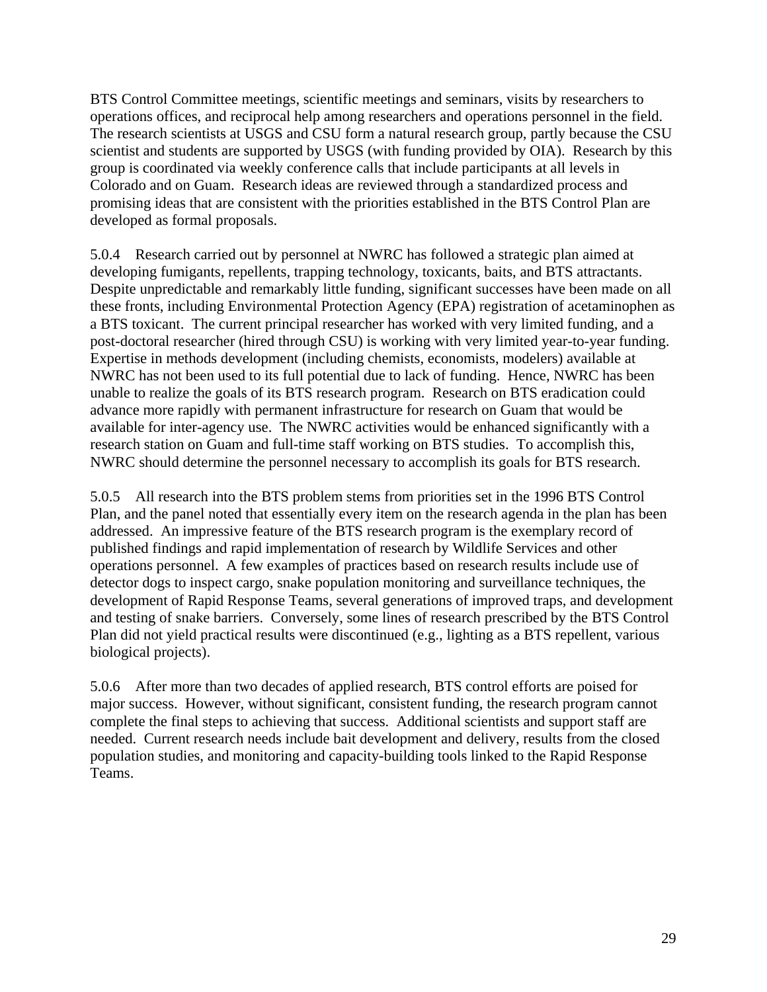BTS Control Committee meetings, scientific meetings and seminars, visits by researchers to operations offices, and reciprocal help among researchers and operations personnel in the field. The research scientists at USGS and CSU form a natural research group, partly because the CSU scientist and students are supported by USGS (with funding provided by OIA). Research by this group is coordinated via weekly conference calls that include participants at all levels in Colorado and on Guam. Research ideas are reviewed through a standardized process and promising ideas that are consistent with the priorities established in the BTS Control Plan are developed as formal proposals.

5.0.4 Research carried out by personnel at NWRC has followed a strategic plan aimed at developing fumigants, repellents, trapping technology, toxicants, baits, and BTS attractants. Despite unpredictable and remarkably little funding, significant successes have been made on all these fronts, including Environmental Protection Agency (EPA) registration of acetaminophen as a BTS toxicant. The current principal researcher has worked with very limited funding, and a post-doctoral researcher (hired through CSU) is working with very limited year-to-year funding. Expertise in methods development (including chemists, economists, modelers) available at NWRC has not been used to its full potential due to lack of funding. Hence, NWRC has been unable to realize the goals of its BTS research program. Research on BTS eradication could advance more rapidly with permanent infrastructure for research on Guam that would be available for inter-agency use. The NWRC activities would be enhanced significantly with a research station on Guam and full-time staff working on BTS studies. To accomplish this, NWRC should determine the personnel necessary to accomplish its goals for BTS research.

5.0.5 All research into the BTS problem stems from priorities set in the 1996 BTS Control Plan, and the panel noted that essentially every item on the research agenda in the plan has been addressed. An impressive feature of the BTS research program is the exemplary record of published findings and rapid implementation of research by Wildlife Services and other operations personnel. A few examples of practices based on research results include use of detector dogs to inspect cargo, snake population monitoring and surveillance techniques, the development of Rapid Response Teams, several generations of improved traps, and development and testing of snake barriers. Conversely, some lines of research prescribed by the BTS Control Plan did not yield practical results were discontinued (e.g., lighting as a BTS repellent, various biological projects).

5.0.6 After more than two decades of applied research, BTS control efforts are poised for major success. However, without significant, consistent funding, the research program cannot complete the final steps to achieving that success. Additional scientists and support staff are needed. Current research needs include bait development and delivery, results from the closed population studies, and monitoring and capacity-building tools linked to the Rapid Response Teams.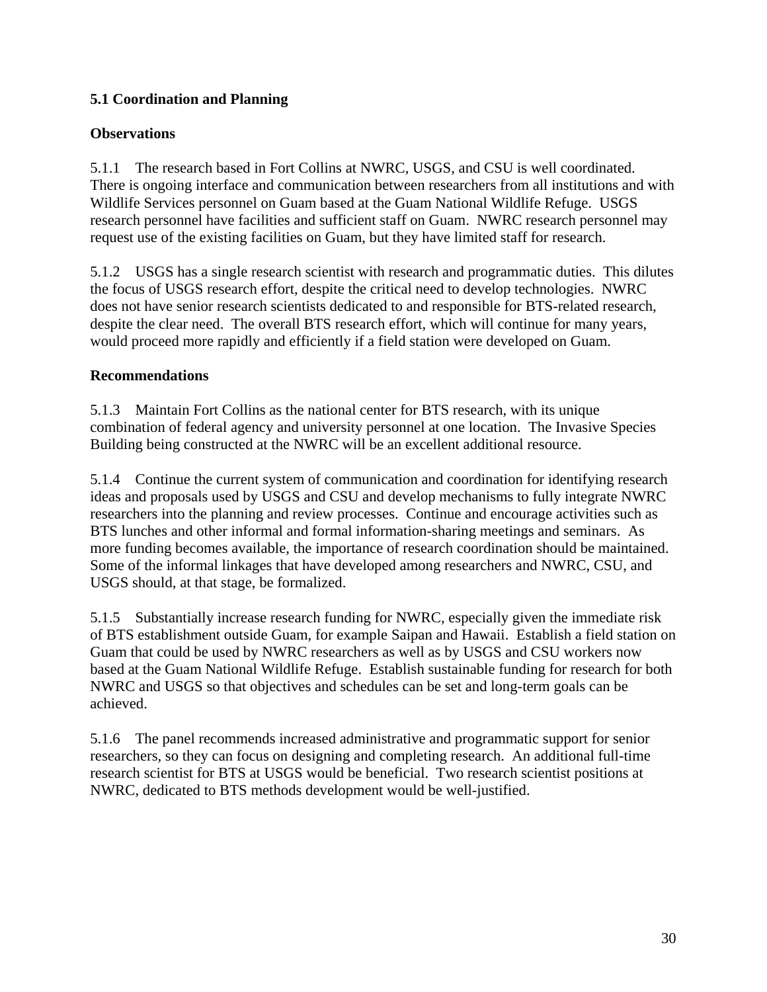## **5.1 Coordination and Planning**

### **Observations**

5.1.1 The research based in Fort Collins at NWRC, USGS, and CSU is well coordinated. There is ongoing interface and communication between researchers from all institutions and with Wildlife Services personnel on Guam based at the Guam National Wildlife Refuge. USGS research personnel have facilities and sufficient staff on Guam. NWRC research personnel may request use of the existing facilities on Guam, but they have limited staff for research.

5.1.2 USGS has a single research scientist with research and programmatic duties. This dilutes the focus of USGS research effort, despite the critical need to develop technologies. NWRC does not have senior research scientists dedicated to and responsible for BTS-related research, despite the clear need. The overall BTS research effort, which will continue for many years, would proceed more rapidly and efficiently if a field station were developed on Guam.

### **Recommendations**

5.1.3 Maintain Fort Collins as the national center for BTS research, with its unique combination of federal agency and university personnel at one location. The Invasive Species Building being constructed at the NWRC will be an excellent additional resource.

5.1.4 Continue the current system of communication and coordination for identifying research ideas and proposals used by USGS and CSU and develop mechanisms to fully integrate NWRC researchers into the planning and review processes. Continue and encourage activities such as BTS lunches and other informal and formal information-sharing meetings and seminars. As more funding becomes available, the importance of research coordination should be maintained. Some of the informal linkages that have developed among researchers and NWRC, CSU, and USGS should, at that stage, be formalized.

5.1.5 Substantially increase research funding for NWRC, especially given the immediate risk of BTS establishment outside Guam, for example Saipan and Hawaii. Establish a field station on Guam that could be used by NWRC researchers as well as by USGS and CSU workers now based at the Guam National Wildlife Refuge. Establish sustainable funding for research for both NWRC and USGS so that objectives and schedules can be set and long-term goals can be achieved.

5.1.6 The panel recommends increased administrative and programmatic support for senior researchers, so they can focus on designing and completing research. An additional full-time research scientist for BTS at USGS would be beneficial. Two research scientist positions at NWRC, dedicated to BTS methods development would be well-justified.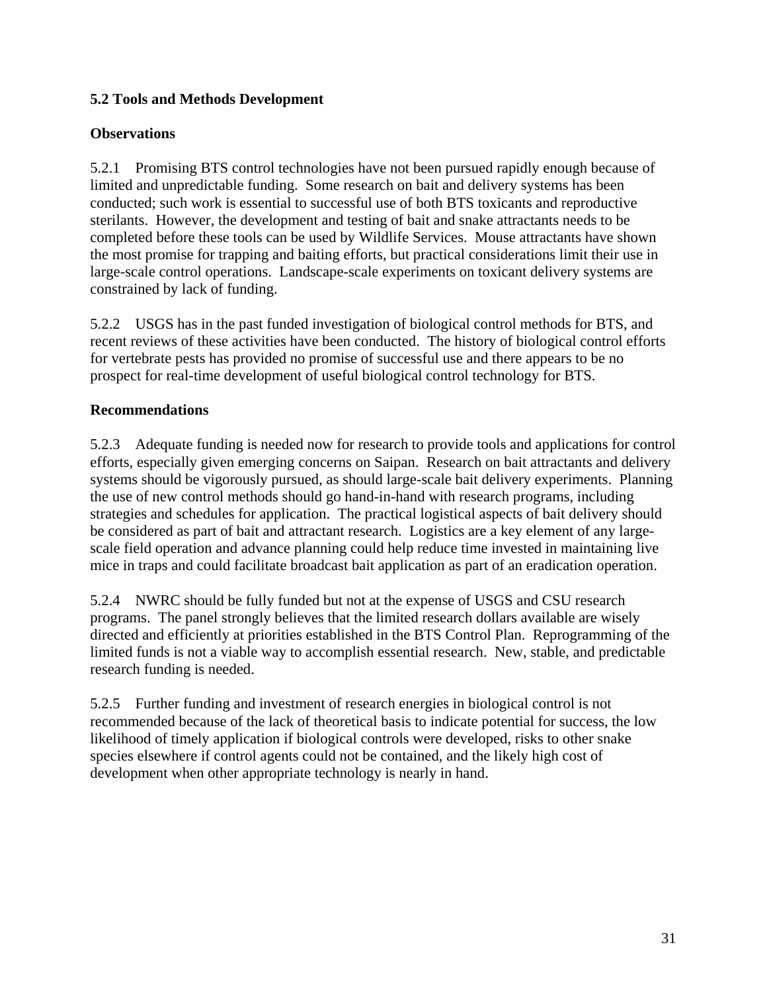## **5.2 Tools and Methods Development**

#### **Observations**

5.2.1 Promising BTS control technologies have not been pursued rapidly enough because of limited and unpredictable funding. Some research on bait and delivery systems has been conducted; such work is essential to successful use of both BTS toxicants and reproductive sterilants. However, the development and testing of bait and snake attractants needs to be completed before these tools can be used by Wildlife Services. Mouse attractants have shown the most promise for trapping and baiting efforts, but practical considerations limit their use in large-scale control operations. Landscape-scale experiments on toxicant delivery systems are constrained by lack of funding.

5.2.2 USGS has in the past funded investigation of biological control methods for BTS, and recent reviews of these activities have been conducted. The history of biological control efforts for vertebrate pests has provided no promise of successful use and there appears to be no prospect for real-time development of useful biological control technology for BTS.

#### **Recommendations**

5.2.3 Adequate funding is needed now for research to provide tools and applications for control efforts, especially given emerging concerns on Saipan. Research on bait attractants and delivery systems should be vigorously pursued, as should large-scale bait delivery experiments. Planning the use of new control methods should go hand-in-hand with research programs, including strategies and schedules for application. The practical logistical aspects of bait delivery should be considered as part of bait and attractant research. Logistics are a key element of any largescale field operation and advance planning could help reduce time invested in maintaining live mice in traps and could facilitate broadcast bait application as part of an eradication operation.

5.2.4 NWRC should be fully funded but not at the expense of USGS and CSU research programs. The panel strongly believes that the limited research dollars available are wisely directed and efficiently at priorities established in the BTS Control Plan. Reprogramming of the limited funds is not a viable way to accomplish essential research. New, stable, and predictable research funding is needed.

5.2.5 Further funding and investment of research energies in biological control is not recommended because of the lack of theoretical basis to indicate potential for success, the low likelihood of timely application if biological controls were developed, risks to other snake species elsewhere if control agents could not be contained, and the likely high cost of development when other appropriate technology is nearly in hand.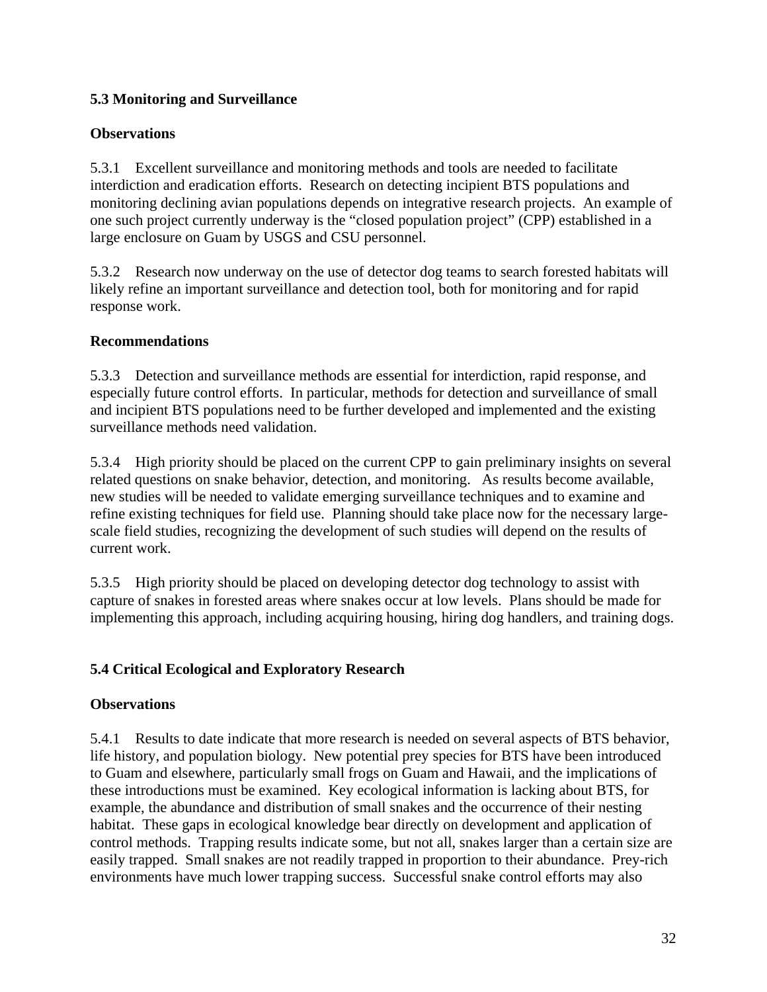## **5.3 Monitoring and Surveillance**

## **Observations**

5.3.1 Excellent surveillance and monitoring methods and tools are needed to facilitate interdiction and eradication efforts. Research on detecting incipient BTS populations and monitoring declining avian populations depends on integrative research projects. An example of one such project currently underway is the "closed population project" (CPP) established in a large enclosure on Guam by USGS and CSU personnel.

5.3.2 Research now underway on the use of detector dog teams to search forested habitats will likely refine an important surveillance and detection tool, both for monitoring and for rapid response work.

## **Recommendations**

5.3.3 Detection and surveillance methods are essential for interdiction, rapid response, and especially future control efforts. In particular, methods for detection and surveillance of small and incipient BTS populations need to be further developed and implemented and the existing surveillance methods need validation.

5.3.4 High priority should be placed on the current CPP to gain preliminary insights on several related questions on snake behavior, detection, and monitoring. As results become available, new studies will be needed to validate emerging surveillance techniques and to examine and refine existing techniques for field use. Planning should take place now for the necessary largescale field studies, recognizing the development of such studies will depend on the results of current work.

5.3.5 High priority should be placed on developing detector dog technology to assist with capture of snakes in forested areas where snakes occur at low levels. Plans should be made for implementing this approach, including acquiring housing, hiring dog handlers, and training dogs.

## **5.4 Critical Ecological and Exploratory Research**

## **Observations**

5.4.1 Results to date indicate that more research is needed on several aspects of BTS behavior, life history, and population biology. New potential prey species for BTS have been introduced to Guam and elsewhere, particularly small frogs on Guam and Hawaii, and the implications of these introductions must be examined. Key ecological information is lacking about BTS, for example, the abundance and distribution of small snakes and the occurrence of their nesting habitat. These gaps in ecological knowledge bear directly on development and application of control methods. Trapping results indicate some, but not all, snakes larger than a certain size are easily trapped. Small snakes are not readily trapped in proportion to their abundance. Prey-rich environments have much lower trapping success. Successful snake control efforts may also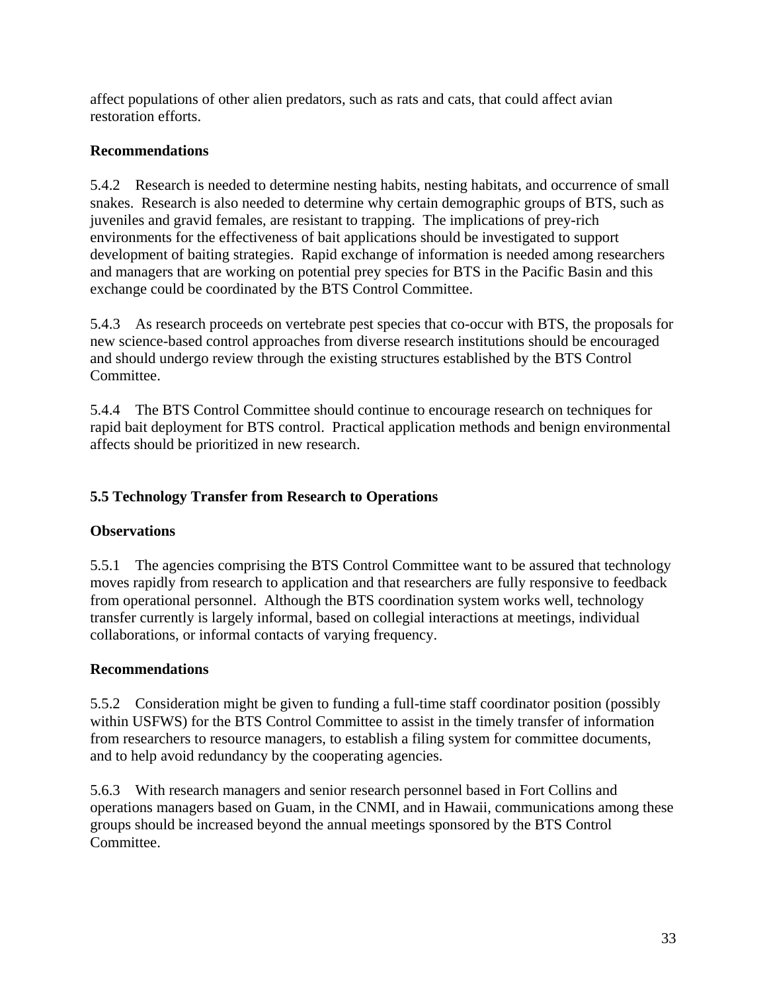affect populations of other alien predators, such as rats and cats, that could affect avian restoration efforts.

## **Recommendations**

5.4.2 Research is needed to determine nesting habits, nesting habitats, and occurrence of small snakes. Research is also needed to determine why certain demographic groups of BTS, such as juveniles and gravid females, are resistant to trapping. The implications of prey-rich environments for the effectiveness of bait applications should be investigated to support development of baiting strategies. Rapid exchange of information is needed among researchers and managers that are working on potential prey species for BTS in the Pacific Basin and this exchange could be coordinated by the BTS Control Committee.

5.4.3 As research proceeds on vertebrate pest species that co-occur with BTS, the proposals for new science-based control approaches from diverse research institutions should be encouraged and should undergo review through the existing structures established by the BTS Control Committee.

5.4.4 The BTS Control Committee should continue to encourage research on techniques for rapid bait deployment for BTS control. Practical application methods and benign environmental affects should be prioritized in new research.

## **5.5 Technology Transfer from Research to Operations**

## **Observations**

5.5.1 The agencies comprising the BTS Control Committee want to be assured that technology moves rapidly from research to application and that researchers are fully responsive to feedback from operational personnel. Although the BTS coordination system works well, technology transfer currently is largely informal, based on collegial interactions at meetings, individual collaborations, or informal contacts of varying frequency.

#### **Recommendations**

5.5.2 Consideration might be given to funding a full-time staff coordinator position (possibly within USFWS) for the BTS Control Committee to assist in the timely transfer of information from researchers to resource managers, to establish a filing system for committee documents, and to help avoid redundancy by the cooperating agencies.

5.6.3 With research managers and senior research personnel based in Fort Collins and operations managers based on Guam, in the CNMI, and in Hawaii, communications among these groups should be increased beyond the annual meetings sponsored by the BTS Control Committee.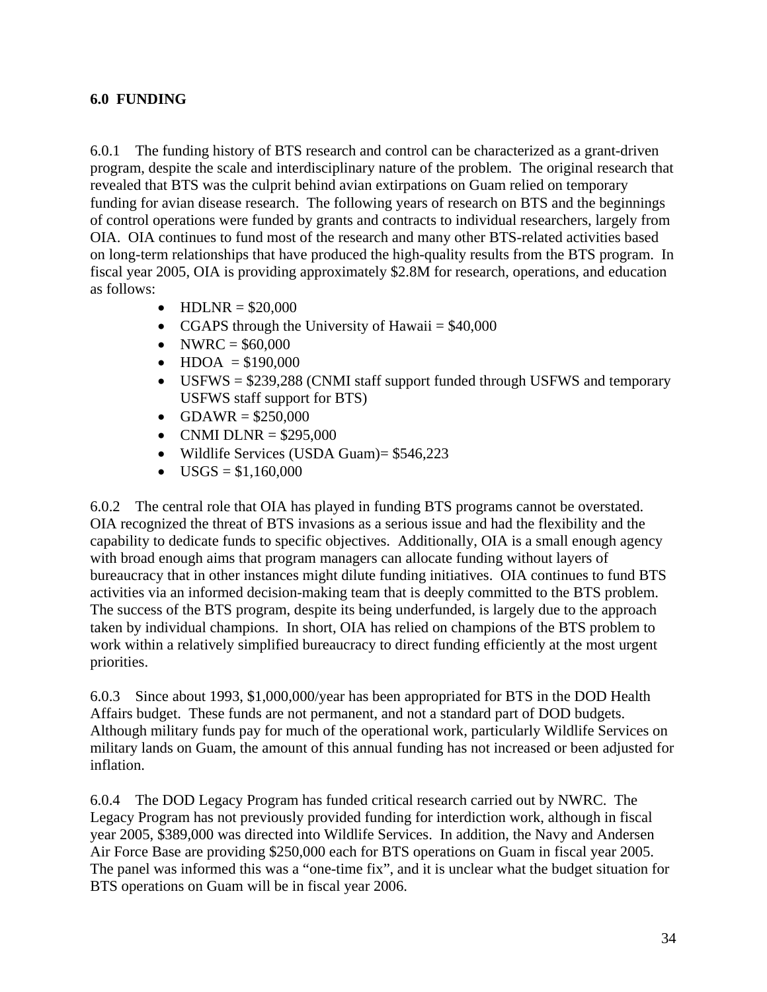#### **6.0 FUNDING**

6.0.1 The funding history of BTS research and control can be characterized as a grant-driven program, despite the scale and interdisciplinary nature of the problem. The original research that revealed that BTS was the culprit behind avian extirpations on Guam relied on temporary funding for avian disease research. The following years of research on BTS and the beginnings of control operations were funded by grants and contracts to individual researchers, largely from OIA. OIA continues to fund most of the research and many other BTS-related activities based on long-term relationships that have produced the high-quality results from the BTS program. In fiscal year 2005, OIA is providing approximately \$2.8M for research, operations, and education as follows:

- HDLNR =  $$20,000$
- CGAPS through the University of Hawaii  $= $40,000$
- NWRC =  $$60,000$
- $HDOA = $190,000$
- USFWS = \$239,288 (CNMI staff support funded through USFWS and temporary USFWS staff support for BTS)
- $GDAWR = $250,000$
- CNMI DLNR =  $$295,000$
- Wildlife Services (USDA Guam)= \$546,223
- $USGS = $1,160,000$

6.0.2 The central role that OIA has played in funding BTS programs cannot be overstated. OIA recognized the threat of BTS invasions as a serious issue and had the flexibility and the capability to dedicate funds to specific objectives. Additionally, OIA is a small enough agency with broad enough aims that program managers can allocate funding without layers of bureaucracy that in other instances might dilute funding initiatives. OIA continues to fund BTS activities via an informed decision-making team that is deeply committed to the BTS problem. The success of the BTS program, despite its being underfunded, is largely due to the approach taken by individual champions. In short, OIA has relied on champions of the BTS problem to work within a relatively simplified bureaucracy to direct funding efficiently at the most urgent priorities.

6.0.3 Since about 1993, \$1,000,000/year has been appropriated for BTS in the DOD Health Affairs budget. These funds are not permanent, and not a standard part of DOD budgets. Although military funds pay for much of the operational work, particularly Wildlife Services on military lands on Guam, the amount of this annual funding has not increased or been adjusted for inflation.

6.0.4 The DOD Legacy Program has funded critical research carried out by NWRC. The Legacy Program has not previously provided funding for interdiction work, although in fiscal year 2005, \$389,000 was directed into Wildlife Services. In addition, the Navy and Andersen Air Force Base are providing \$250,000 each for BTS operations on Guam in fiscal year 2005. The panel was informed this was a "one-time fix", and it is unclear what the budget situation for BTS operations on Guam will be in fiscal year 2006.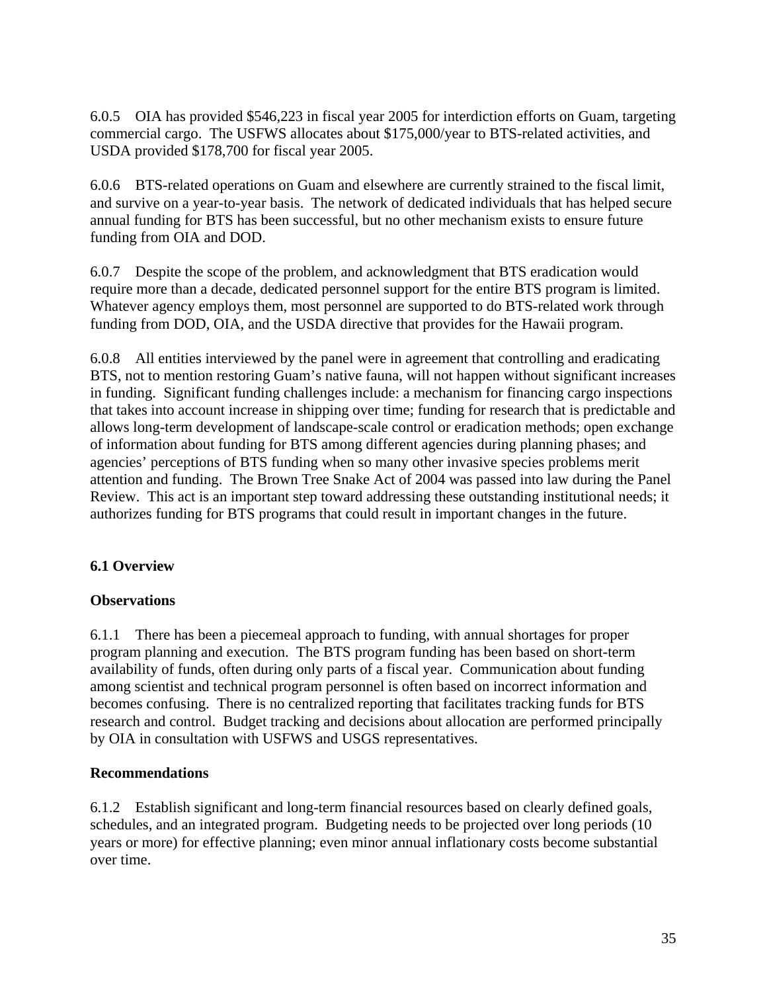6.0.5 OIA has provided \$546,223 in fiscal year 2005 for interdiction efforts on Guam, targeting commercial cargo. The USFWS allocates about \$175,000/year to BTS-related activities, and USDA provided \$178,700 for fiscal year 2005.

6.0.6 BTS-related operations on Guam and elsewhere are currently strained to the fiscal limit, and survive on a year-to-year basis. The network of dedicated individuals that has helped secure annual funding for BTS has been successful, but no other mechanism exists to ensure future funding from OIA and DOD.

6.0.7 Despite the scope of the problem, and acknowledgment that BTS eradication would require more than a decade, dedicated personnel support for the entire BTS program is limited. Whatever agency employs them, most personnel are supported to do BTS-related work through funding from DOD, OIA, and the USDA directive that provides for the Hawaii program.

6.0.8 All entities interviewed by the panel were in agreement that controlling and eradicating BTS, not to mention restoring Guam's native fauna, will not happen without significant increases in funding. Significant funding challenges include: a mechanism for financing cargo inspections that takes into account increase in shipping over time; funding for research that is predictable and allows long-term development of landscape-scale control or eradication methods; open exchange of information about funding for BTS among different agencies during planning phases; and agencies' perceptions of BTS funding when so many other invasive species problems merit attention and funding. The Brown Tree Snake Act of 2004 was passed into law during the Panel Review. This act is an important step toward addressing these outstanding institutional needs; it authorizes funding for BTS programs that could result in important changes in the future.

## **6.1 Overview**

#### **Observations**

6.1.1 There has been a piecemeal approach to funding, with annual shortages for proper program planning and execution. The BTS program funding has been based on short-term availability of funds, often during only parts of a fiscal year. Communication about funding among scientist and technical program personnel is often based on incorrect information and becomes confusing. There is no centralized reporting that facilitates tracking funds for BTS research and control. Budget tracking and decisions about allocation are performed principally by OIA in consultation with USFWS and USGS representatives.

#### **Recommendations**

6.1.2 Establish significant and long-term financial resources based on clearly defined goals, schedules, and an integrated program. Budgeting needs to be projected over long periods (10 years or more) for effective planning; even minor annual inflationary costs become substantial over time.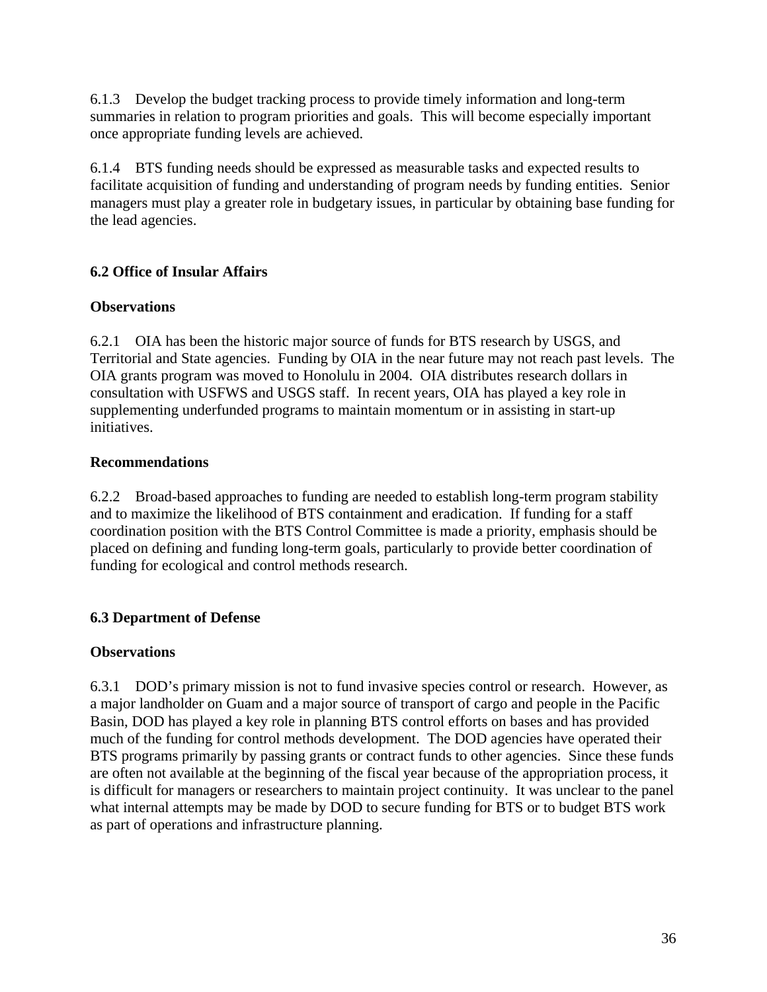6.1.3 Develop the budget tracking process to provide timely information and long-term summaries in relation to program priorities and goals. This will become especially important once appropriate funding levels are achieved.

6.1.4 BTS funding needs should be expressed as measurable tasks and expected results to facilitate acquisition of funding and understanding of program needs by funding entities. Senior managers must play a greater role in budgetary issues, in particular by obtaining base funding for the lead agencies.

## **6.2 Office of Insular Affairs**

### **Observations**

6.2.1 OIA has been the historic major source of funds for BTS research by USGS, and Territorial and State agencies. Funding by OIA in the near future may not reach past levels. The OIA grants program was moved to Honolulu in 2004. OIA distributes research dollars in consultation with USFWS and USGS staff. In recent years, OIA has played a key role in supplementing underfunded programs to maintain momentum or in assisting in start-up initiatives.

### **Recommendations**

6.2.2 Broad-based approaches to funding are needed to establish long-term program stability and to maximize the likelihood of BTS containment and eradication. If funding for a staff coordination position with the BTS Control Committee is made a priority, emphasis should be placed on defining and funding long-term goals, particularly to provide better coordination of funding for ecological and control methods research.

## **6.3 Department of Defense**

## **Observations**

6.3.1 DOD's primary mission is not to fund invasive species control or research. However, as a major landholder on Guam and a major source of transport of cargo and people in the Pacific Basin, DOD has played a key role in planning BTS control efforts on bases and has provided much of the funding for control methods development. The DOD agencies have operated their BTS programs primarily by passing grants or contract funds to other agencies. Since these funds are often not available at the beginning of the fiscal year because of the appropriation process, it is difficult for managers or researchers to maintain project continuity. It was unclear to the panel what internal attempts may be made by DOD to secure funding for BTS or to budget BTS work as part of operations and infrastructure planning.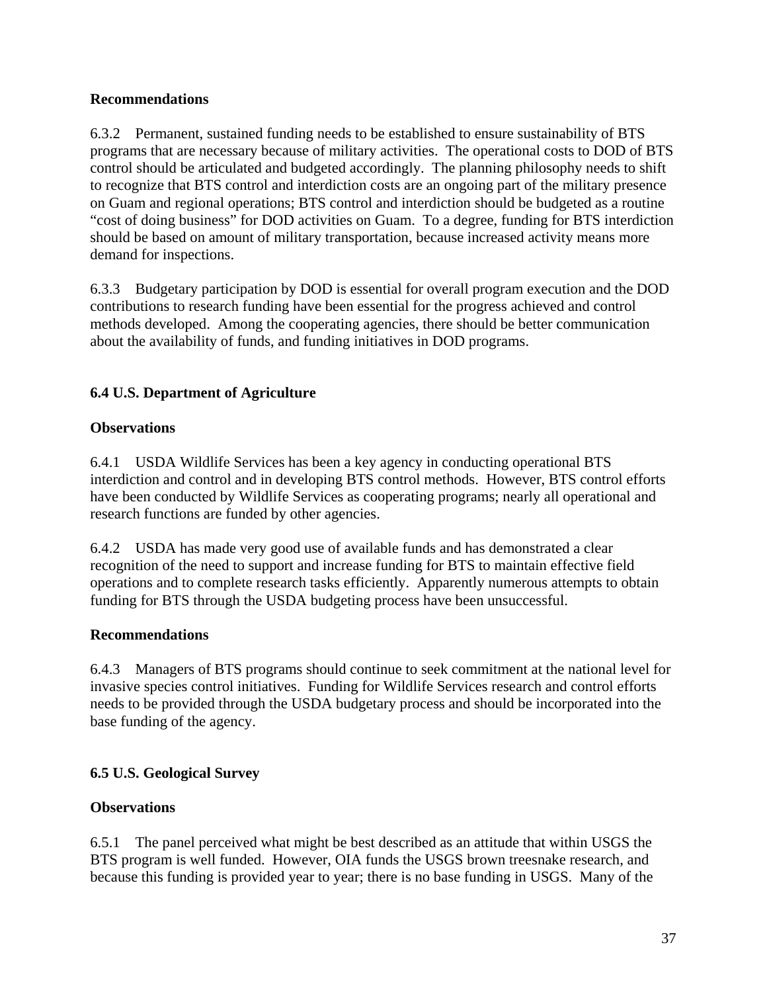#### **Recommendations**

6.3.2 Permanent, sustained funding needs to be established to ensure sustainability of BTS programs that are necessary because of military activities. The operational costs to DOD of BTS control should be articulated and budgeted accordingly. The planning philosophy needs to shift to recognize that BTS control and interdiction costs are an ongoing part of the military presence on Guam and regional operations; BTS control and interdiction should be budgeted as a routine "cost of doing business" for DOD activities on Guam. To a degree, funding for BTS interdiction should be based on amount of military transportation, because increased activity means more demand for inspections.

6.3.3 Budgetary participation by DOD is essential for overall program execution and the DOD contributions to research funding have been essential for the progress achieved and control methods developed. Among the cooperating agencies, there should be better communication about the availability of funds, and funding initiatives in DOD programs.

## **6.4 U.S. Department of Agriculture**

## **Observations**

6.4.1 USDA Wildlife Services has been a key agency in conducting operational BTS interdiction and control and in developing BTS control methods. However, BTS control efforts have been conducted by Wildlife Services as cooperating programs; nearly all operational and research functions are funded by other agencies.

6.4.2 USDA has made very good use of available funds and has demonstrated a clear recognition of the need to support and increase funding for BTS to maintain effective field operations and to complete research tasks efficiently. Apparently numerous attempts to obtain funding for BTS through the USDA budgeting process have been unsuccessful.

#### **Recommendations**

6.4.3 Managers of BTS programs should continue to seek commitment at the national level for invasive species control initiatives. Funding for Wildlife Services research and control efforts needs to be provided through the USDA budgetary process and should be incorporated into the base funding of the agency.

## **6.5 U.S. Geological Survey**

## **Observations**

6.5.1 The panel perceived what might be best described as an attitude that within USGS the BTS program is well funded. However, OIA funds the USGS brown treesnake research, and because this funding is provided year to year; there is no base funding in USGS. Many of the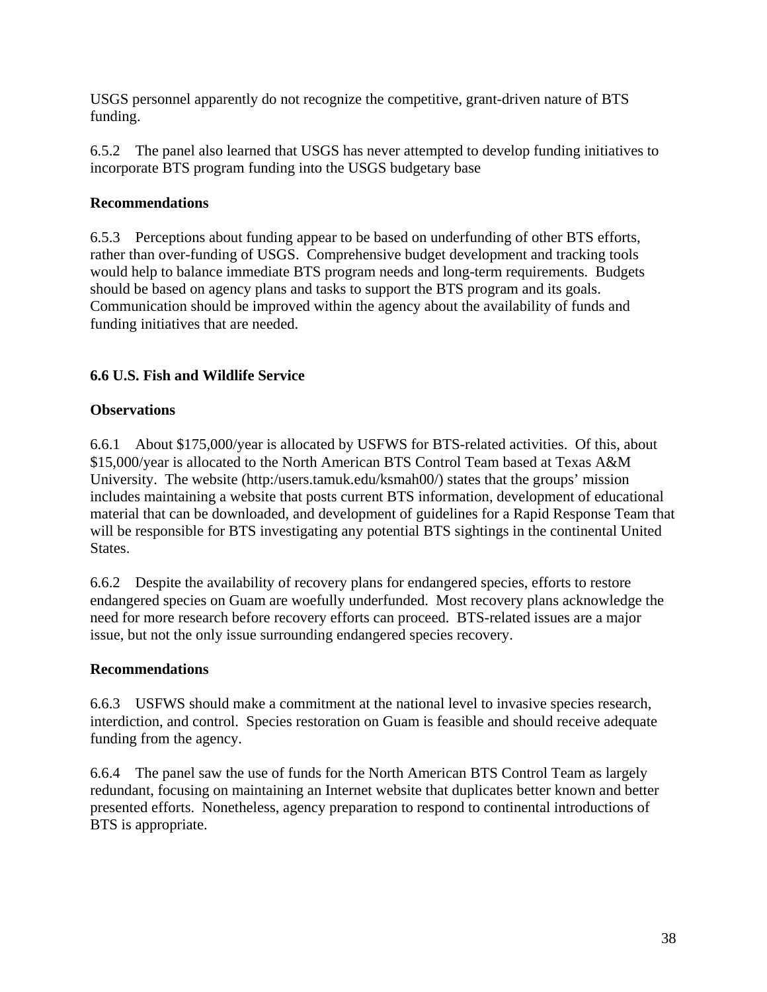USGS personnel apparently do not recognize the competitive, grant-driven nature of BTS funding.

6.5.2 The panel also learned that USGS has never attempted to develop funding initiatives to incorporate BTS program funding into the USGS budgetary base

#### **Recommendations**

6.5.3 Perceptions about funding appear to be based on underfunding of other BTS efforts, rather than over-funding of USGS. Comprehensive budget development and tracking tools would help to balance immediate BTS program needs and long-term requirements. Budgets should be based on agency plans and tasks to support the BTS program and its goals. Communication should be improved within the agency about the availability of funds and funding initiatives that are needed.

## **6.6 U.S. Fish and Wildlife Service**

#### **Observations**

6.6.1 About \$175,000/year is allocated by USFWS for BTS-related activities. Of this, about \$15,000/year is allocated to the North American BTS Control Team based at Texas A&M University. The website (http:/users.tamuk.edu/ksmah00/) states that the groups' mission includes maintaining a website that posts current BTS information, development of educational material that can be downloaded, and development of guidelines for a Rapid Response Team that will be responsible for BTS investigating any potential BTS sightings in the continental United States.

6.6.2 Despite the availability of recovery plans for endangered species, efforts to restore endangered species on Guam are woefully underfunded. Most recovery plans acknowledge the need for more research before recovery efforts can proceed. BTS-related issues are a major issue, but not the only issue surrounding endangered species recovery.

#### **Recommendations**

6.6.3 USFWS should make a commitment at the national level to invasive species research, interdiction, and control. Species restoration on Guam is feasible and should receive adequate funding from the agency.

6.6.4 The panel saw the use of funds for the North American BTS Control Team as largely redundant, focusing on maintaining an Internet website that duplicates better known and better presented efforts. Nonetheless, agency preparation to respond to continental introductions of BTS is appropriate.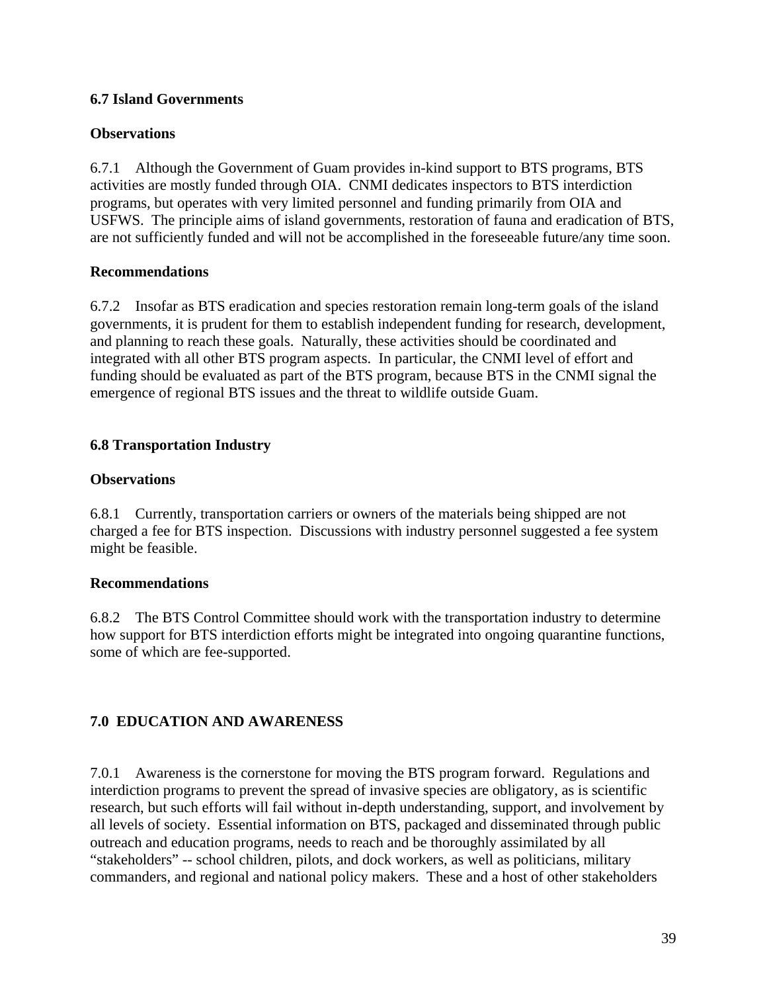#### **6.7 Island Governments**

#### **Observations**

6.7.1 Although the Government of Guam provides in-kind support to BTS programs, BTS activities are mostly funded through OIA. CNMI dedicates inspectors to BTS interdiction programs, but operates with very limited personnel and funding primarily from OIA and USFWS. The principle aims of island governments, restoration of fauna and eradication of BTS, are not sufficiently funded and will not be accomplished in the foreseeable future/any time soon.

### **Recommendations**

6.7.2 Insofar as BTS eradication and species restoration remain long-term goals of the island governments, it is prudent for them to establish independent funding for research, development, and planning to reach these goals. Naturally, these activities should be coordinated and integrated with all other BTS program aspects. In particular, the CNMI level of effort and funding should be evaluated as part of the BTS program, because BTS in the CNMI signal the emergence of regional BTS issues and the threat to wildlife outside Guam.

## **6.8 Transportation Industry**

#### **Observations**

6.8.1 Currently, transportation carriers or owners of the materials being shipped are not charged a fee for BTS inspection. Discussions with industry personnel suggested a fee system might be feasible.

#### **Recommendations**

6.8.2 The BTS Control Committee should work with the transportation industry to determine how support for BTS interdiction efforts might be integrated into ongoing quarantine functions, some of which are fee-supported.

## **7.0 EDUCATION AND AWARENESS**

7.0.1 Awareness is the cornerstone for moving the BTS program forward. Regulations and interdiction programs to prevent the spread of invasive species are obligatory, as is scientific research, but such efforts will fail without in-depth understanding, support, and involvement by all levels of society. Essential information on BTS, packaged and disseminated through public outreach and education programs, needs to reach and be thoroughly assimilated by all "stakeholders" -- school children, pilots, and dock workers, as well as politicians, military commanders, and regional and national policy makers. These and a host of other stakeholders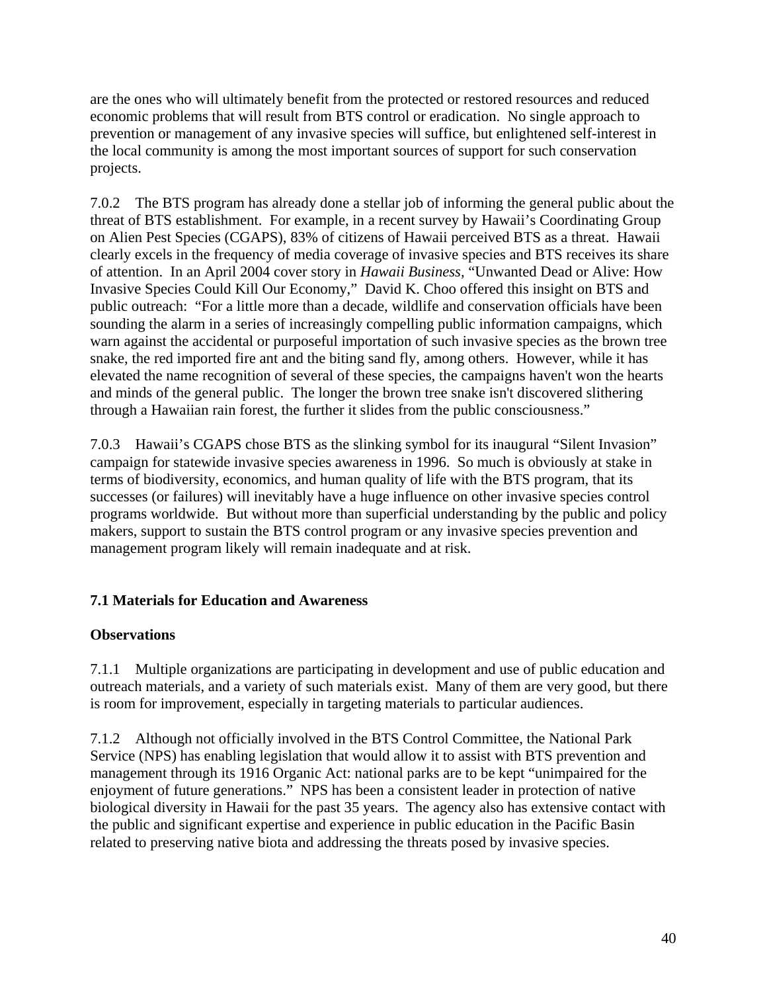are the ones who will ultimately benefit from the protected or restored resources and reduced economic problems that will result from BTS control or eradication. No single approach to prevention or management of any invasive species will suffice, but enlightened self-interest in the local community is among the most important sources of support for such conservation projects.

7.0.2 The BTS program has already done a stellar job of informing the general public about the threat of BTS establishment. For example, in a recent survey by Hawaii's Coordinating Group on Alien Pest Species (CGAPS), 83% of citizens of Hawaii perceived BTS as a threat. Hawaii clearly excels in the frequency of media coverage of invasive species and BTS receives its share of attention. In an April 2004 cover story in *Hawaii Business,* "Unwanted Dead or Alive: How Invasive Species Could Kill Our Economy," David K. Choo offered this insight on BTS and public outreach: "For a little more than a decade, wildlife and conservation officials have been sounding the alarm in a series of increasingly compelling public information campaigns, which warn against the accidental or purposeful importation of such invasive species as the brown tree snake, the red imported fire ant and the biting sand fly, among others. However, while it has elevated the name recognition of several of these species, the campaigns haven't won the hearts and minds of the general public. The longer the brown tree snake isn't discovered slithering through a Hawaiian rain forest, the further it slides from the public consciousness."

7.0.3 Hawaii's CGAPS chose BTS as the slinking symbol for its inaugural "Silent Invasion" campaign for statewide invasive species awareness in 1996. So much is obviously at stake in terms of biodiversity, economics, and human quality of life with the BTS program, that its successes (or failures) will inevitably have a huge influence on other invasive species control programs worldwide. But without more than superficial understanding by the public and policy makers, support to sustain the BTS control program or any invasive species prevention and management program likely will remain inadequate and at risk.

## **7.1 Materials for Education and Awareness**

## **Observations**

7.1.1 Multiple organizations are participating in development and use of public education and outreach materials, and a variety of such materials exist. Many of them are very good, but there is room for improvement, especially in targeting materials to particular audiences.

7.1.2 Although not officially involved in the BTS Control Committee, the National Park Service (NPS) has enabling legislation that would allow it to assist with BTS prevention and management through its 1916 Organic Act: national parks are to be kept "unimpaired for the enjoyment of future generations." NPS has been a consistent leader in protection of native biological diversity in Hawaii for the past 35 years. The agency also has extensive contact with the public and significant expertise and experience in public education in the Pacific Basin related to preserving native biota and addressing the threats posed by invasive species.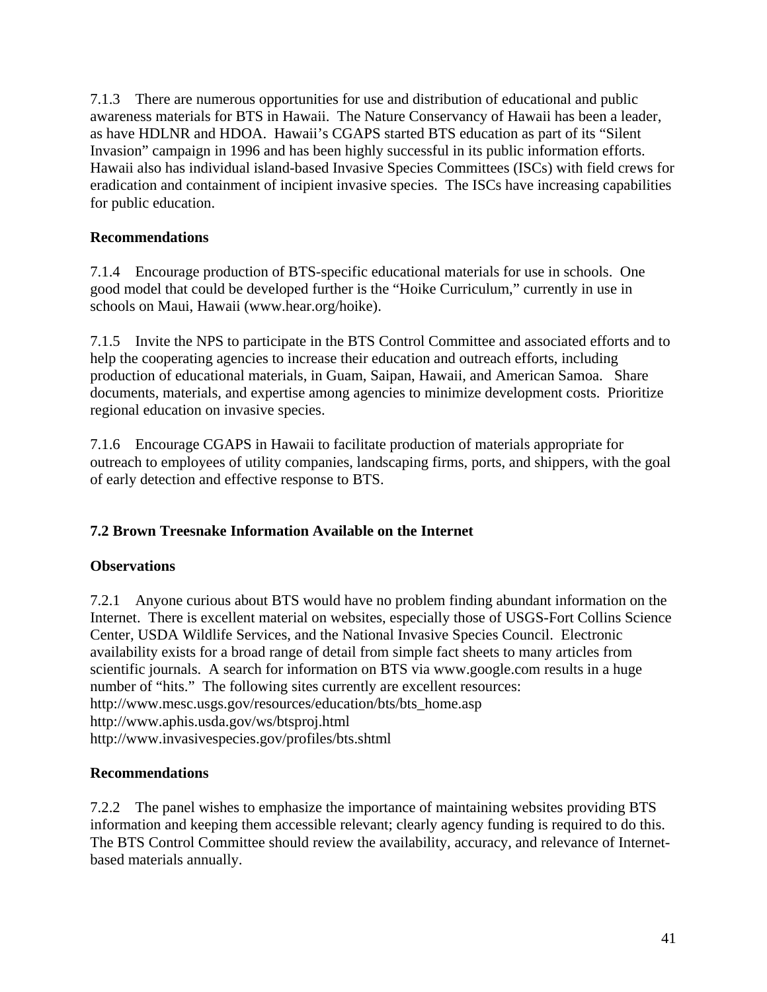7.1.3 There are numerous opportunities for use and distribution of educational and public awareness materials for BTS in Hawaii. The Nature Conservancy of Hawaii has been a leader, as have HDLNR and HDOA. Hawaii's CGAPS started BTS education as part of its "Silent Invasion" campaign in 1996 and has been highly successful in its public information efforts. Hawaii also has individual island-based Invasive Species Committees (ISCs) with field crews for eradication and containment of incipient invasive species. The ISCs have increasing capabilities for public education.

## **Recommendations**

7.1.4 Encourage production of BTS-specific educational materials for use in schools. One good model that could be developed further is the "Hoike Curriculum," currently in use in schools on Maui, Hawaii (www.hear.org/hoike).

7.1.5 Invite the NPS to participate in the BTS Control Committee and associated efforts and to help the cooperating agencies to increase their education and outreach efforts, including production of educational materials, in Guam, Saipan, Hawaii, and American Samoa. Share documents, materials, and expertise among agencies to minimize development costs. Prioritize regional education on invasive species.

7.1.6 Encourage CGAPS in Hawaii to facilitate production of materials appropriate for outreach to employees of utility companies, landscaping firms, ports, and shippers, with the goal of early detection and effective response to BTS.

## **7.2 Brown Treesnake Information Available on the Internet**

## **Observations**

7.2.1 Anyone curious about BTS would have no problem finding abundant information on the Internet. There is excellent material on websites, especially those of USGS-Fort Collins Science Center, USDA Wildlife Services, and the National Invasive Species Council. Electronic availability exists for a broad range of detail from simple fact sheets to many articles from scientific journals. A search for information on BTS via www.google.com results in a huge number of "hits." The following sites currently are excellent resources: http://www.mesc.usgs.gov/resources/education/bts/bts\_home.asp http://www.aphis.usda.gov/ws/btsproj.html http://www.invasivespecies.gov/profiles/bts.shtml

#### **Recommendations**

7.2.2 The panel wishes to emphasize the importance of maintaining websites providing BTS information and keeping them accessible relevant; clearly agency funding is required to do this. The BTS Control Committee should review the availability, accuracy, and relevance of Internetbased materials annually.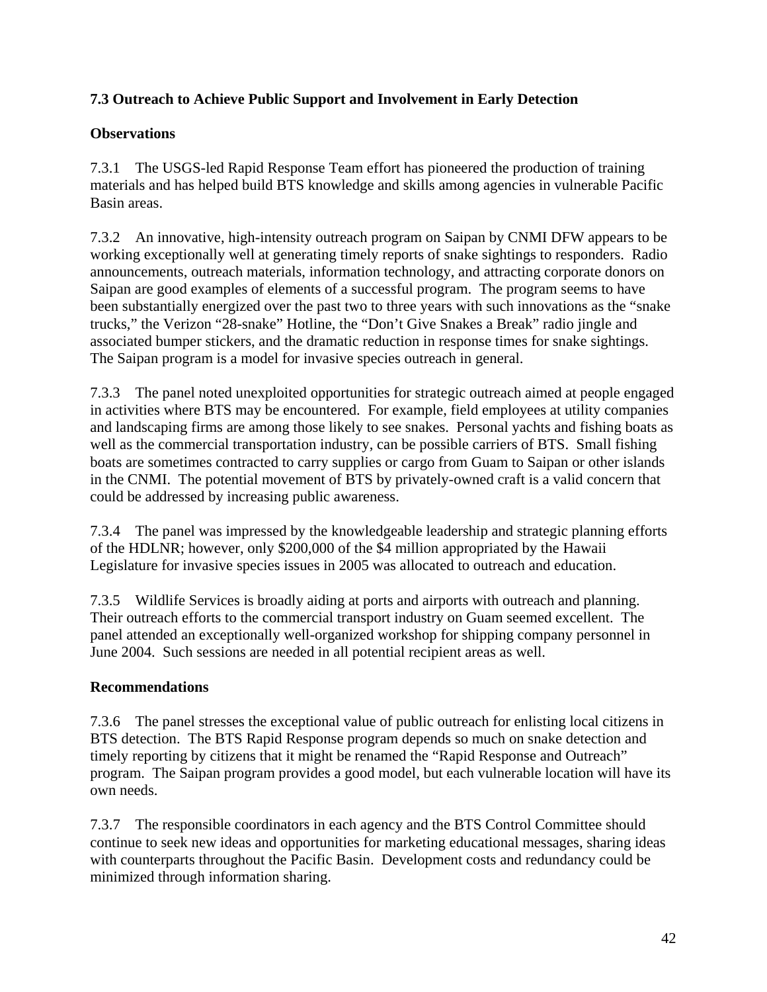## **7.3 Outreach to Achieve Public Support and Involvement in Early Detection**

## **Observations**

7.3.1 The USGS-led Rapid Response Team effort has pioneered the production of training materials and has helped build BTS knowledge and skills among agencies in vulnerable Pacific Basin areas.

7.3.2 An innovative, high-intensity outreach program on Saipan by CNMI DFW appears to be working exceptionally well at generating timely reports of snake sightings to responders. Radio announcements, outreach materials, information technology, and attracting corporate donors on Saipan are good examples of elements of a successful program. The program seems to have been substantially energized over the past two to three years with such innovations as the "snake trucks," the Verizon "28-snake" Hotline, the "Don't Give Snakes a Break" radio jingle and associated bumper stickers, and the dramatic reduction in response times for snake sightings. The Saipan program is a model for invasive species outreach in general.

7.3.3 The panel noted unexploited opportunities for strategic outreach aimed at people engaged in activities where BTS may be encountered. For example, field employees at utility companies and landscaping firms are among those likely to see snakes. Personal yachts and fishing boats as well as the commercial transportation industry, can be possible carriers of BTS. Small fishing boats are sometimes contracted to carry supplies or cargo from Guam to Saipan or other islands in the CNMI. The potential movement of BTS by privately-owned craft is a valid concern that could be addressed by increasing public awareness.

7.3.4 The panel was impressed by the knowledgeable leadership and strategic planning efforts of the HDLNR; however, only \$200,000 of the \$4 million appropriated by the Hawaii Legislature for invasive species issues in 2005 was allocated to outreach and education.

7.3.5 Wildlife Services is broadly aiding at ports and airports with outreach and planning. Their outreach efforts to the commercial transport industry on Guam seemed excellent. The panel attended an exceptionally well-organized workshop for shipping company personnel in June 2004. Such sessions are needed in all potential recipient areas as well.

## **Recommendations**

7.3.6 The panel stresses the exceptional value of public outreach for enlisting local citizens in BTS detection. The BTS Rapid Response program depends so much on snake detection and timely reporting by citizens that it might be renamed the "Rapid Response and Outreach" program. The Saipan program provides a good model, but each vulnerable location will have its own needs.

7.3.7 The responsible coordinators in each agency and the BTS Control Committee should continue to seek new ideas and opportunities for marketing educational messages, sharing ideas with counterparts throughout the Pacific Basin. Development costs and redundancy could be minimized through information sharing.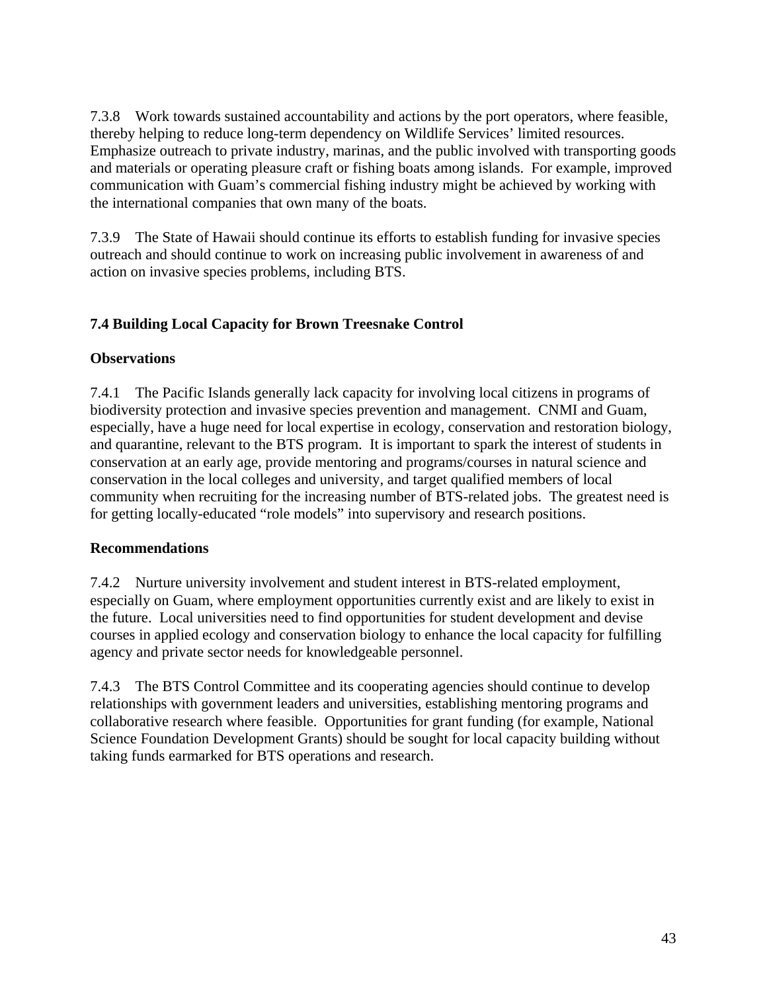7.3.8 Work towards sustained accountability and actions by the port operators, where feasible, thereby helping to reduce long-term dependency on Wildlife Services' limited resources. Emphasize outreach to private industry, marinas, and the public involved with transporting goods and materials or operating pleasure craft or fishing boats among islands. For example, improved communication with Guam's commercial fishing industry might be achieved by working with the international companies that own many of the boats.

7.3.9 The State of Hawaii should continue its efforts to establish funding for invasive species outreach and should continue to work on increasing public involvement in awareness of and action on invasive species problems, including BTS.

## **7.4 Building Local Capacity for Brown Treesnake Control**

### **Observations**

7.4.1 The Pacific Islands generally lack capacity for involving local citizens in programs of biodiversity protection and invasive species prevention and management. CNMI and Guam, especially, have a huge need for local expertise in ecology, conservation and restoration biology, and quarantine, relevant to the BTS program. It is important to spark the interest of students in conservation at an early age, provide mentoring and programs/courses in natural science and conservation in the local colleges and university, and target qualified members of local community when recruiting for the increasing number of BTS-related jobs. The greatest need is for getting locally-educated "role models" into supervisory and research positions.

#### **Recommendations**

7.4.2 Nurture university involvement and student interest in BTS-related employment, especially on Guam, where employment opportunities currently exist and are likely to exist in the future. Local universities need to find opportunities for student development and devise courses in applied ecology and conservation biology to enhance the local capacity for fulfilling agency and private sector needs for knowledgeable personnel.

7.4.3 The BTS Control Committee and its cooperating agencies should continue to develop relationships with government leaders and universities, establishing mentoring programs and collaborative research where feasible. Opportunities for grant funding (for example, National Science Foundation Development Grants) should be sought for local capacity building without taking funds earmarked for BTS operations and research.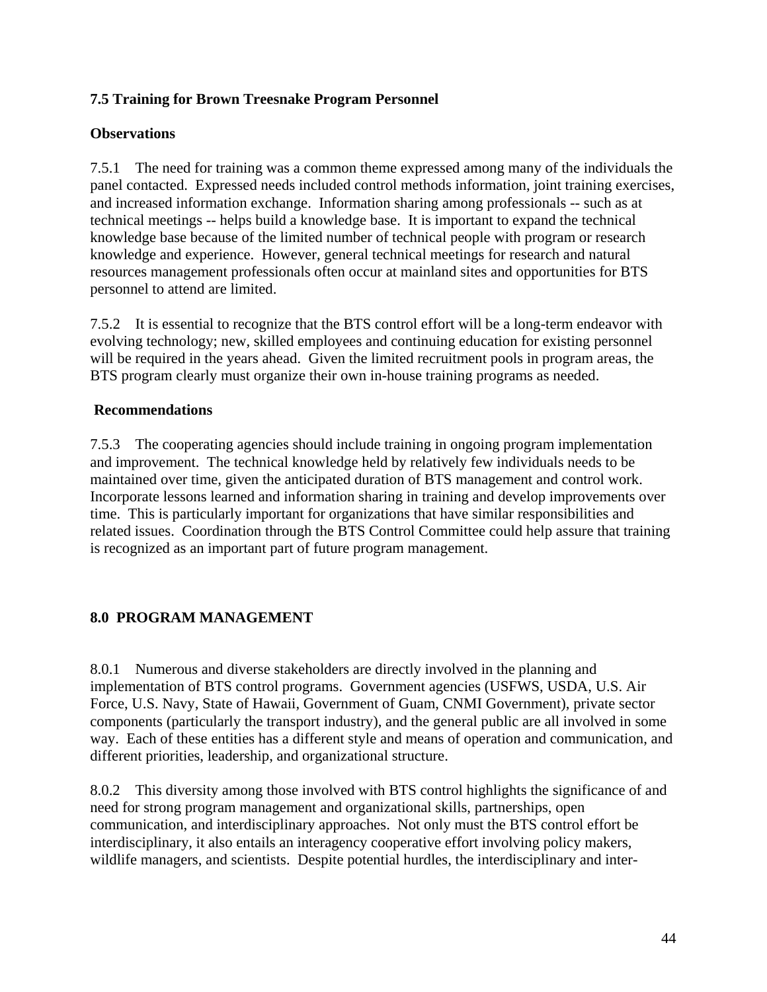## **7.5 Training for Brown Treesnake Program Personnel**

#### **Observations**

7.5.1 The need for training was a common theme expressed among many of the individuals the panel contacted. Expressed needs included control methods information, joint training exercises, and increased information exchange. Information sharing among professionals -- such as at technical meetings -- helps build a knowledge base. It is important to expand the technical knowledge base because of the limited number of technical people with program or research knowledge and experience. However, general technical meetings for research and natural resources management professionals often occur at mainland sites and opportunities for BTS personnel to attend are limited.

7.5.2 It is essential to recognize that the BTS control effort will be a long-term endeavor with evolving technology; new, skilled employees and continuing education for existing personnel will be required in the years ahead. Given the limited recruitment pools in program areas, the BTS program clearly must organize their own in-house training programs as needed.

#### **Recommendations**

7.5.3 The cooperating agencies should include training in ongoing program implementation and improvement. The technical knowledge held by relatively few individuals needs to be maintained over time, given the anticipated duration of BTS management and control work. Incorporate lessons learned and information sharing in training and develop improvements over time. This is particularly important for organizations that have similar responsibilities and related issues. Coordination through the BTS Control Committee could help assure that training is recognized as an important part of future program management.

## **8.0 PROGRAM MANAGEMENT**

8.0.1 Numerous and diverse stakeholders are directly involved in the planning and implementation of BTS control programs. Government agencies (USFWS, USDA, U.S. Air Force, U.S. Navy, State of Hawaii, Government of Guam, CNMI Government), private sector components (particularly the transport industry), and the general public are all involved in some way. Each of these entities has a different style and means of operation and communication, and different priorities, leadership, and organizational structure.

8.0.2 This diversity among those involved with BTS control highlights the significance of and need for strong program management and organizational skills, partnerships, open communication, and interdisciplinary approaches. Not only must the BTS control effort be interdisciplinary, it also entails an interagency cooperative effort involving policy makers, wildlife managers, and scientists. Despite potential hurdles, the interdisciplinary and inter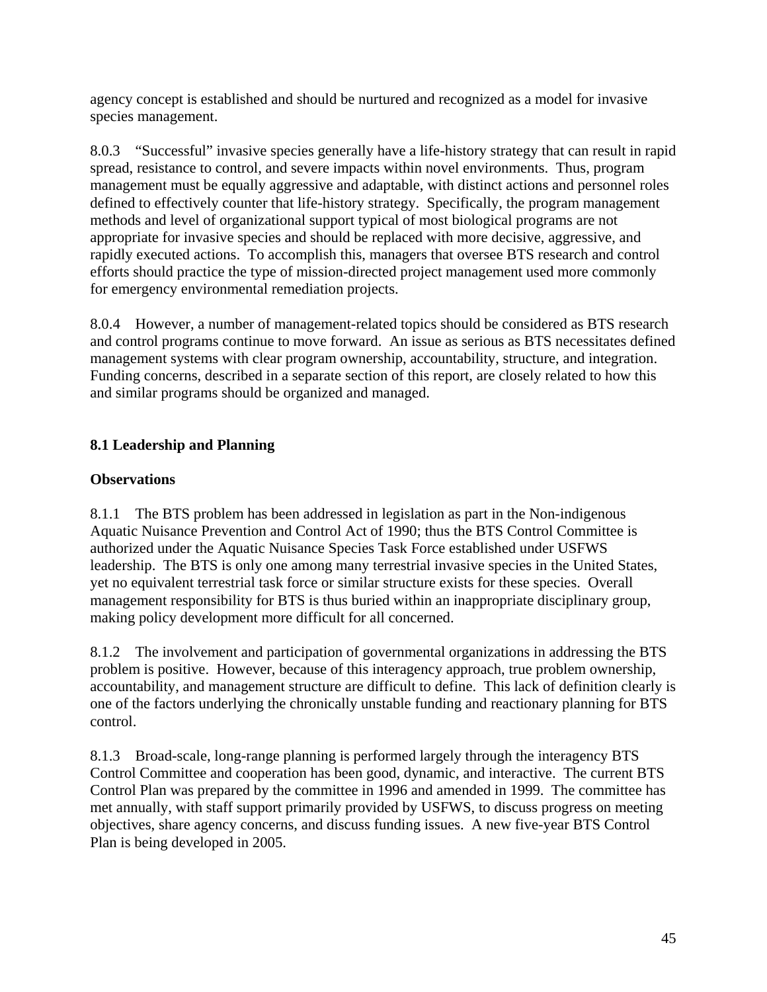agency concept is established and should be nurtured and recognized as a model for invasive species management.

8.0.3 "Successful" invasive species generally have a life-history strategy that can result in rapid spread, resistance to control, and severe impacts within novel environments. Thus, program management must be equally aggressive and adaptable, with distinct actions and personnel roles defined to effectively counter that life-history strategy. Specifically, the program management methods and level of organizational support typical of most biological programs are not appropriate for invasive species and should be replaced with more decisive, aggressive, and rapidly executed actions. To accomplish this, managers that oversee BTS research and control efforts should practice the type of mission-directed project management used more commonly for emergency environmental remediation projects.

8.0.4 However, a number of management-related topics should be considered as BTS research and control programs continue to move forward. An issue as serious as BTS necessitates defined management systems with clear program ownership, accountability, structure, and integration. Funding concerns, described in a separate section of this report, are closely related to how this and similar programs should be organized and managed.

## **8.1 Leadership and Planning**

#### **Observations**

8.1.1 The BTS problem has been addressed in legislation as part in the Non-indigenous Aquatic Nuisance Prevention and Control Act of 1990; thus the BTS Control Committee is authorized under the Aquatic Nuisance Species Task Force established under USFWS leadership. The BTS is only one among many terrestrial invasive species in the United States, yet no equivalent terrestrial task force or similar structure exists for these species. Overall management responsibility for BTS is thus buried within an inappropriate disciplinary group, making policy development more difficult for all concerned.

8.1.2 The involvement and participation of governmental organizations in addressing the BTS problem is positive. However, because of this interagency approach, true problem ownership, accountability, and management structure are difficult to define. This lack of definition clearly is one of the factors underlying the chronically unstable funding and reactionary planning for BTS control.

8.1.3 Broad-scale, long-range planning is performed largely through the interagency BTS Control Committee and cooperation has been good, dynamic, and interactive. The current BTS Control Plan was prepared by the committee in 1996 and amended in 1999. The committee has met annually, with staff support primarily provided by USFWS, to discuss progress on meeting objectives, share agency concerns, and discuss funding issues. A new five-year BTS Control Plan is being developed in 2005.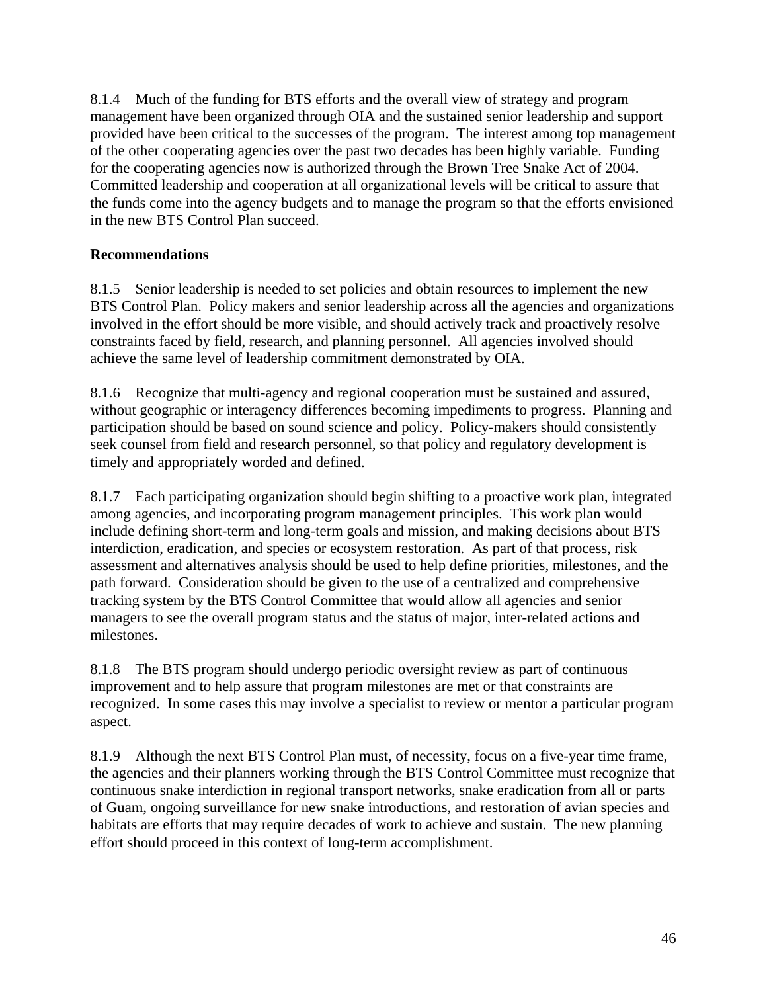8.1.4 Much of the funding for BTS efforts and the overall view of strategy and program management have been organized through OIA and the sustained senior leadership and support provided have been critical to the successes of the program. The interest among top management of the other cooperating agencies over the past two decades has been highly variable. Funding for the cooperating agencies now is authorized through the Brown Tree Snake Act of 2004. Committed leadership and cooperation at all organizational levels will be critical to assure that the funds come into the agency budgets and to manage the program so that the efforts envisioned in the new BTS Control Plan succeed.

### **Recommendations**

8.1.5 Senior leadership is needed to set policies and obtain resources to implement the new BTS Control Plan. Policy makers and senior leadership across all the agencies and organizations involved in the effort should be more visible, and should actively track and proactively resolve constraints faced by field, research, and planning personnel. All agencies involved should achieve the same level of leadership commitment demonstrated by OIA.

8.1.6 Recognize that multi-agency and regional cooperation must be sustained and assured, without geographic or interagency differences becoming impediments to progress. Planning and participation should be based on sound science and policy. Policy-makers should consistently seek counsel from field and research personnel, so that policy and regulatory development is timely and appropriately worded and defined.

8.1.7 Each participating organization should begin shifting to a proactive work plan, integrated among agencies, and incorporating program management principles. This work plan would include defining short-term and long-term goals and mission, and making decisions about BTS interdiction, eradication, and species or ecosystem restoration. As part of that process, risk assessment and alternatives analysis should be used to help define priorities, milestones, and the path forward. Consideration should be given to the use of a centralized and comprehensive tracking system by the BTS Control Committee that would allow all agencies and senior managers to see the overall program status and the status of major, inter-related actions and milestones.

8.1.8 The BTS program should undergo periodic oversight review as part of continuous improvement and to help assure that program milestones are met or that constraints are recognized. In some cases this may involve a specialist to review or mentor a particular program aspect.

8.1.9 Although the next BTS Control Plan must, of necessity, focus on a five-year time frame, the agencies and their planners working through the BTS Control Committee must recognize that continuous snake interdiction in regional transport networks, snake eradication from all or parts of Guam, ongoing surveillance for new snake introductions, and restoration of avian species and habitats are efforts that may require decades of work to achieve and sustain. The new planning effort should proceed in this context of long-term accomplishment.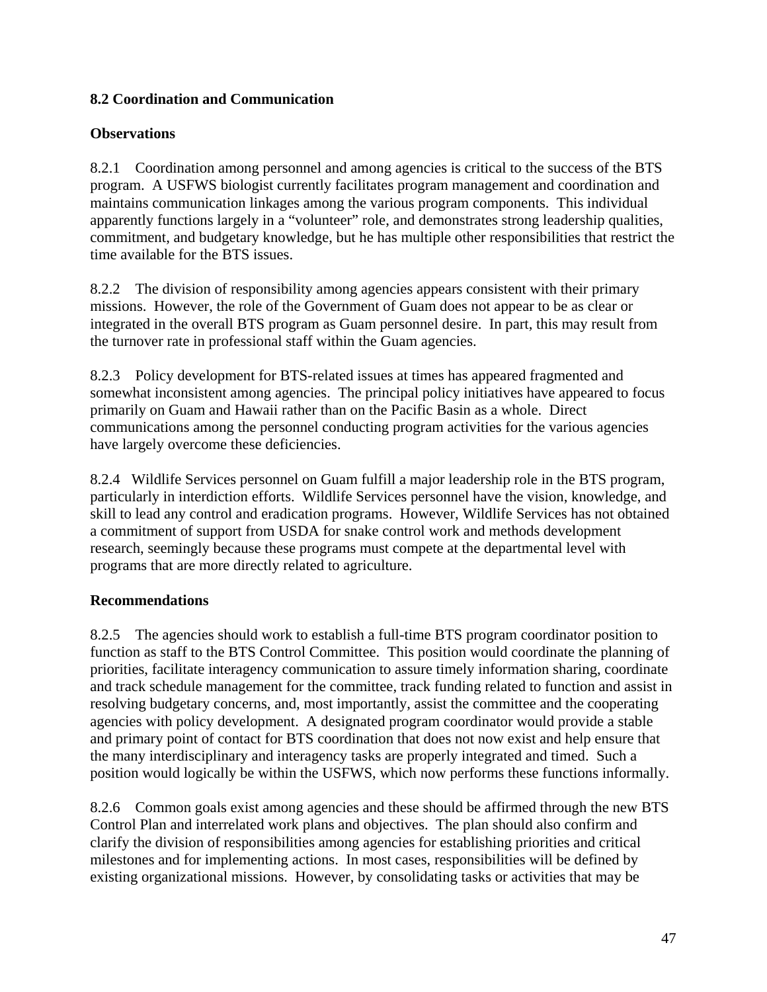## **8.2 Coordination and Communication**

#### **Observations**

8.2.1 Coordination among personnel and among agencies is critical to the success of the BTS program. A USFWS biologist currently facilitates program management and coordination and maintains communication linkages among the various program components. This individual apparently functions largely in a "volunteer" role, and demonstrates strong leadership qualities, commitment, and budgetary knowledge, but he has multiple other responsibilities that restrict the time available for the BTS issues.

8.2.2 The division of responsibility among agencies appears consistent with their primary missions. However, the role of the Government of Guam does not appear to be as clear or integrated in the overall BTS program as Guam personnel desire. In part, this may result from the turnover rate in professional staff within the Guam agencies.

8.2.3 Policy development for BTS-related issues at times has appeared fragmented and somewhat inconsistent among agencies. The principal policy initiatives have appeared to focus primarily on Guam and Hawaii rather than on the Pacific Basin as a whole. Direct communications among the personnel conducting program activities for the various agencies have largely overcome these deficiencies.

8.2.4 Wildlife Services personnel on Guam fulfill a major leadership role in the BTS program, particularly in interdiction efforts. Wildlife Services personnel have the vision, knowledge, and skill to lead any control and eradication programs. However, Wildlife Services has not obtained a commitment of support from USDA for snake control work and methods development research, seemingly because these programs must compete at the departmental level with programs that are more directly related to agriculture.

#### **Recommendations**

8.2.5 The agencies should work to establish a full-time BTS program coordinator position to function as staff to the BTS Control Committee. This position would coordinate the planning of priorities, facilitate interagency communication to assure timely information sharing, coordinate and track schedule management for the committee, track funding related to function and assist in resolving budgetary concerns, and, most importantly, assist the committee and the cooperating agencies with policy development. A designated program coordinator would provide a stable and primary point of contact for BTS coordination that does not now exist and help ensure that the many interdisciplinary and interagency tasks are properly integrated and timed. Such a position would logically be within the USFWS, which now performs these functions informally.

8.2.6 Common goals exist among agencies and these should be affirmed through the new BTS Control Plan and interrelated work plans and objectives. The plan should also confirm and clarify the division of responsibilities among agencies for establishing priorities and critical milestones and for implementing actions. In most cases, responsibilities will be defined by existing organizational missions. However, by consolidating tasks or activities that may be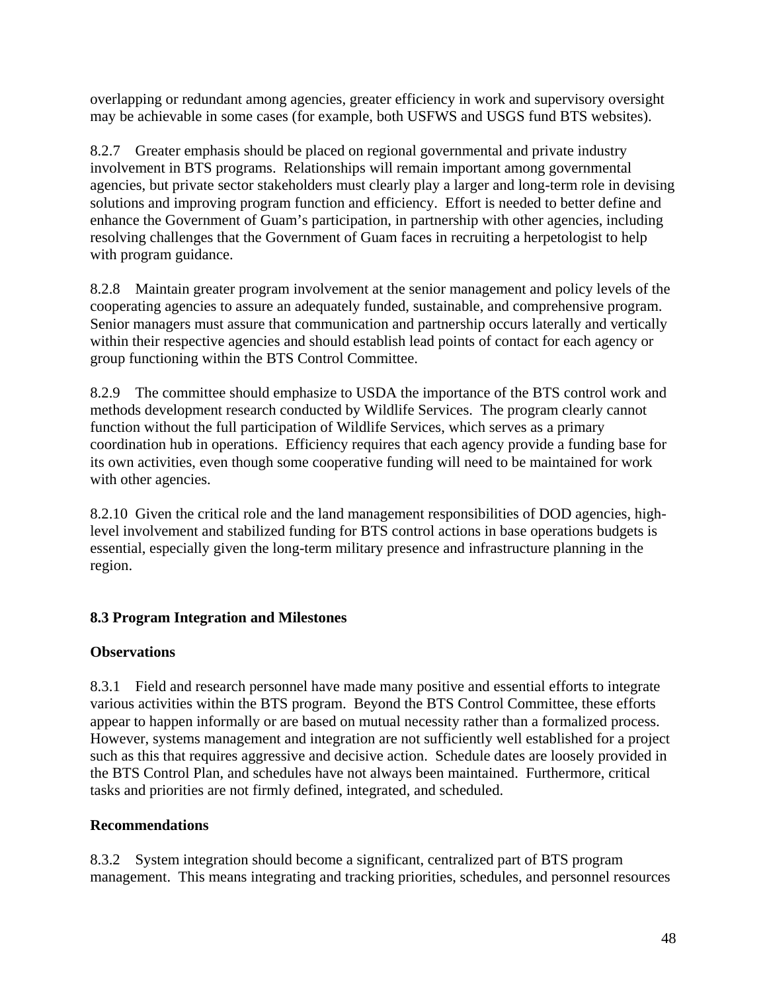overlapping or redundant among agencies, greater efficiency in work and supervisory oversight may be achievable in some cases (for example, both USFWS and USGS fund BTS websites).

8.2.7 Greater emphasis should be placed on regional governmental and private industry involvement in BTS programs. Relationships will remain important among governmental agencies, but private sector stakeholders must clearly play a larger and long-term role in devising solutions and improving program function and efficiency. Effort is needed to better define and enhance the Government of Guam's participation, in partnership with other agencies, including resolving challenges that the Government of Guam faces in recruiting a herpetologist to help with program guidance.

8.2.8 Maintain greater program involvement at the senior management and policy levels of the cooperating agencies to assure an adequately funded, sustainable, and comprehensive program. Senior managers must assure that communication and partnership occurs laterally and vertically within their respective agencies and should establish lead points of contact for each agency or group functioning within the BTS Control Committee.

8.2.9 The committee should emphasize to USDA the importance of the BTS control work and methods development research conducted by Wildlife Services. The program clearly cannot function without the full participation of Wildlife Services, which serves as a primary coordination hub in operations. Efficiency requires that each agency provide a funding base for its own activities, even though some cooperative funding will need to be maintained for work with other agencies.

8.2.10 Given the critical role and the land management responsibilities of DOD agencies, highlevel involvement and stabilized funding for BTS control actions in base operations budgets is essential, especially given the long-term military presence and infrastructure planning in the region.

## **8.3 Program Integration and Milestones**

#### **Observations**

8.3.1 Field and research personnel have made many positive and essential efforts to integrate various activities within the BTS program. Beyond the BTS Control Committee, these efforts appear to happen informally or are based on mutual necessity rather than a formalized process. However, systems management and integration are not sufficiently well established for a project such as this that requires aggressive and decisive action. Schedule dates are loosely provided in the BTS Control Plan, and schedules have not always been maintained. Furthermore, critical tasks and priorities are not firmly defined, integrated, and scheduled.

#### **Recommendations**

8.3.2 System integration should become a significant, centralized part of BTS program management. This means integrating and tracking priorities, schedules, and personnel resources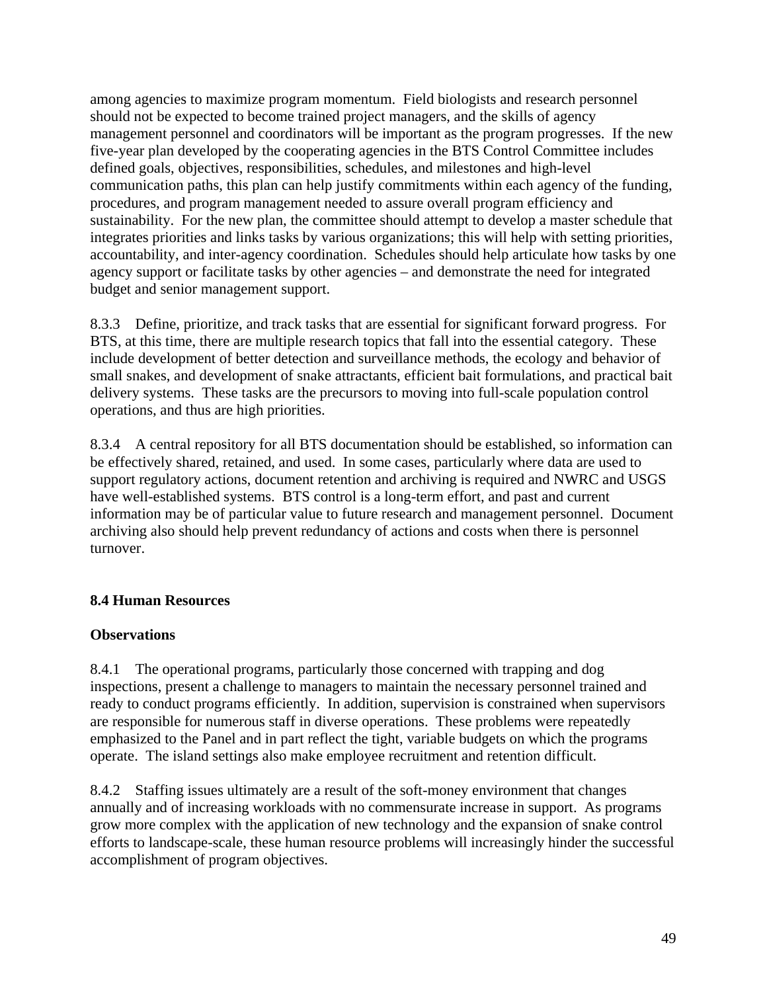among agencies to maximize program momentum. Field biologists and research personnel should not be expected to become trained project managers, and the skills of agency management personnel and coordinators will be important as the program progresses. If the new five-year plan developed by the cooperating agencies in the BTS Control Committee includes defined goals, objectives, responsibilities, schedules, and milestones and high-level communication paths, this plan can help justify commitments within each agency of the funding, procedures, and program management needed to assure overall program efficiency and sustainability. For the new plan, the committee should attempt to develop a master schedule that integrates priorities and links tasks by various organizations; this will help with setting priorities, accountability, and inter-agency coordination. Schedules should help articulate how tasks by one agency support or facilitate tasks by other agencies – and demonstrate the need for integrated budget and senior management support.

8.3.3 Define, prioritize, and track tasks that are essential for significant forward progress. For BTS, at this time, there are multiple research topics that fall into the essential category. These include development of better detection and surveillance methods, the ecology and behavior of small snakes, and development of snake attractants, efficient bait formulations, and practical bait delivery systems. These tasks are the precursors to moving into full-scale population control operations, and thus are high priorities.

8.3.4 A central repository for all BTS documentation should be established, so information can be effectively shared, retained, and used. In some cases, particularly where data are used to support regulatory actions, document retention and archiving is required and NWRC and USGS have well-established systems. BTS control is a long-term effort, and past and current information may be of particular value to future research and management personnel. Document archiving also should help prevent redundancy of actions and costs when there is personnel turnover.

## **8.4 Human Resources**

#### **Observations**

8.4.1 The operational programs, particularly those concerned with trapping and dog inspections, present a challenge to managers to maintain the necessary personnel trained and ready to conduct programs efficiently. In addition, supervision is constrained when supervisors are responsible for numerous staff in diverse operations. These problems were repeatedly emphasized to the Panel and in part reflect the tight, variable budgets on which the programs operate. The island settings also make employee recruitment and retention difficult.

8.4.2 Staffing issues ultimately are a result of the soft-money environment that changes annually and of increasing workloads with no commensurate increase in support. As programs grow more complex with the application of new technology and the expansion of snake control efforts to landscape-scale, these human resource problems will increasingly hinder the successful accomplishment of program objectives.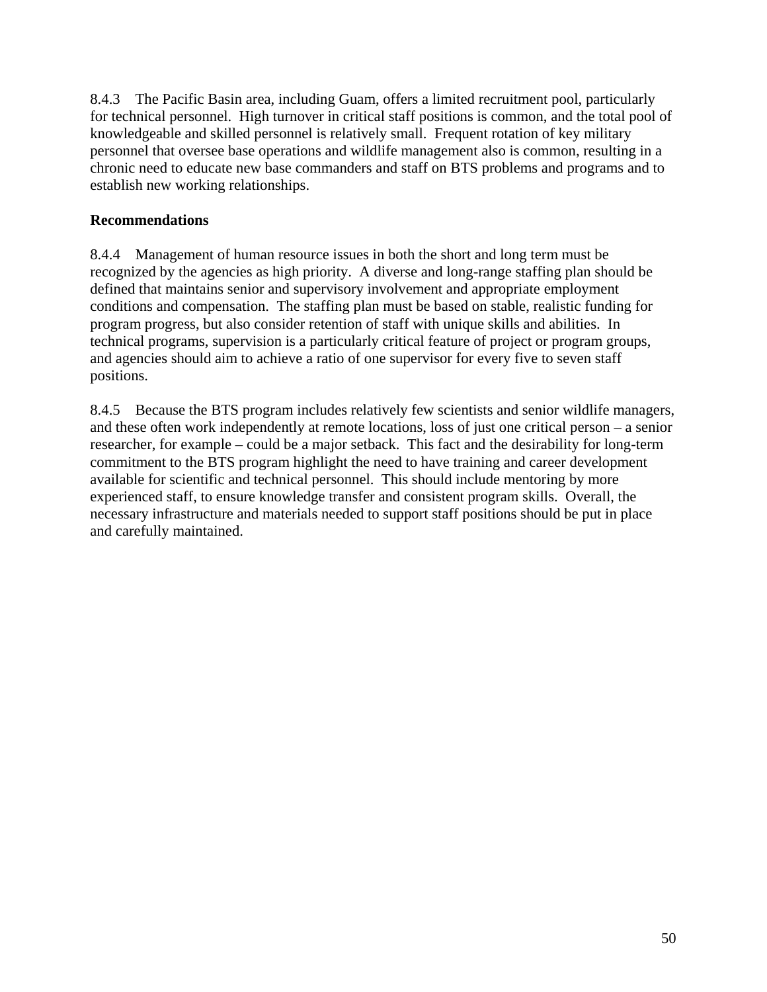8.4.3 The Pacific Basin area, including Guam, offers a limited recruitment pool, particularly for technical personnel. High turnover in critical staff positions is common, and the total pool of knowledgeable and skilled personnel is relatively small. Frequent rotation of key military personnel that oversee base operations and wildlife management also is common, resulting in a chronic need to educate new base commanders and staff on BTS problems and programs and to establish new working relationships.

#### **Recommendations**

8.4.4 Management of human resource issues in both the short and long term must be recognized by the agencies as high priority. A diverse and long-range staffing plan should be defined that maintains senior and supervisory involvement and appropriate employment conditions and compensation. The staffing plan must be based on stable, realistic funding for program progress, but also consider retention of staff with unique skills and abilities. In technical programs, supervision is a particularly critical feature of project or program groups, and agencies should aim to achieve a ratio of one supervisor for every five to seven staff positions.

8.4.5 Because the BTS program includes relatively few scientists and senior wildlife managers, and these often work independently at remote locations, loss of just one critical person – a senior researcher, for example – could be a major setback. This fact and the desirability for long-term commitment to the BTS program highlight the need to have training and career development available for scientific and technical personnel. This should include mentoring by more experienced staff, to ensure knowledge transfer and consistent program skills. Overall, the necessary infrastructure and materials needed to support staff positions should be put in place and carefully maintained.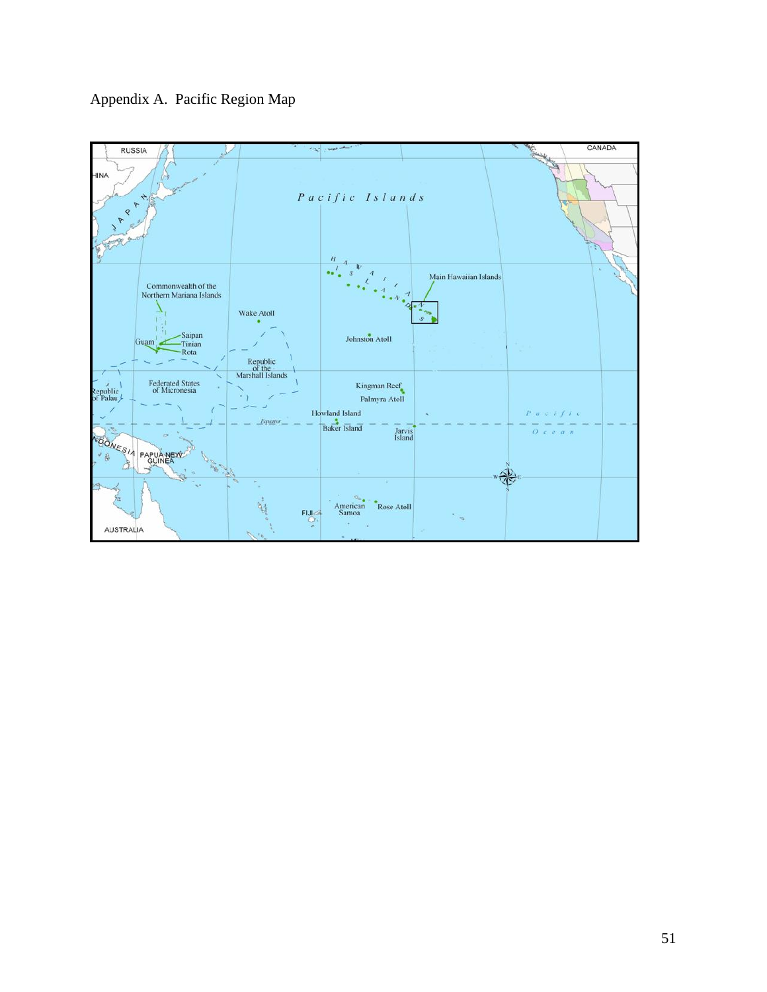

Appendix A. Pacific Region Map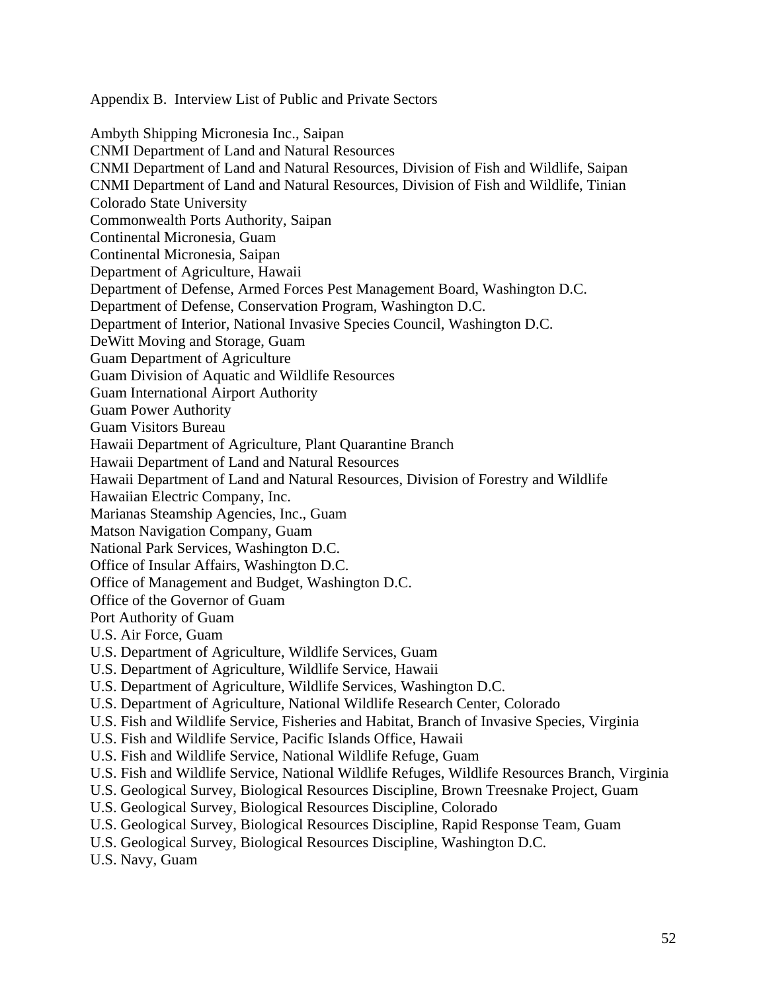Appendix B. Interview List of Public and Private Sectors

Ambyth Shipping Micronesia Inc., Saipan CNMI Department of Land and Natural Resources CNMI Department of Land and Natural Resources, Division of Fish and Wildlife, Saipan CNMI Department of Land and Natural Resources, Division of Fish and Wildlife, Tinian Colorado State University Commonwealth Ports Authority, Saipan Continental Micronesia, Guam Continental Micronesia, Saipan Department of Agriculture, Hawaii Department of Defense, Armed Forces Pest Management Board, Washington D.C. Department of Defense, Conservation Program, Washington D.C. Department of Interior, National Invasive Species Council, Washington D.C. DeWitt Moving and Storage, Guam Guam Department of Agriculture Guam Division of Aquatic and Wildlife Resources Guam International Airport Authority Guam Power Authority Guam Visitors Bureau Hawaii Department of Agriculture, Plant Quarantine Branch Hawaii Department of Land and Natural Resources Hawaii Department of Land and Natural Resources, Division of Forestry and Wildlife Hawaiian Electric Company, Inc. Marianas Steamship Agencies, Inc., Guam Matson Navigation Company, Guam National Park Services, Washington D.C. Office of Insular Affairs, Washington D.C. Office of Management and Budget, Washington D.C. Office of the Governor of Guam Port Authority of Guam U.S. Air Force, Guam U.S. Department of Agriculture, Wildlife Services, Guam U.S. Department of Agriculture, Wildlife Service, Hawaii U.S. Department of Agriculture, Wildlife Services, Washington D.C. U.S. Department of Agriculture, National Wildlife Research Center, Colorado U.S. Fish and Wildlife Service, Fisheries and Habitat, Branch of Invasive Species, Virginia U.S. Fish and Wildlife Service, Pacific Islands Office, Hawaii U.S. Fish and Wildlife Service, National Wildlife Refuge, Guam U.S. Fish and Wildlife Service, National Wildlife Refuges, Wildlife Resources Branch, Virginia U.S. Geological Survey, Biological Resources Discipline, Brown Treesnake Project, Guam U.S. Geological Survey, Biological Resources Discipline, Colorado U.S. Geological Survey, Biological Resources Discipline, Rapid Response Team, Guam U.S. Geological Survey, Biological Resources Discipline, Washington D.C. U.S. Navy, Guam